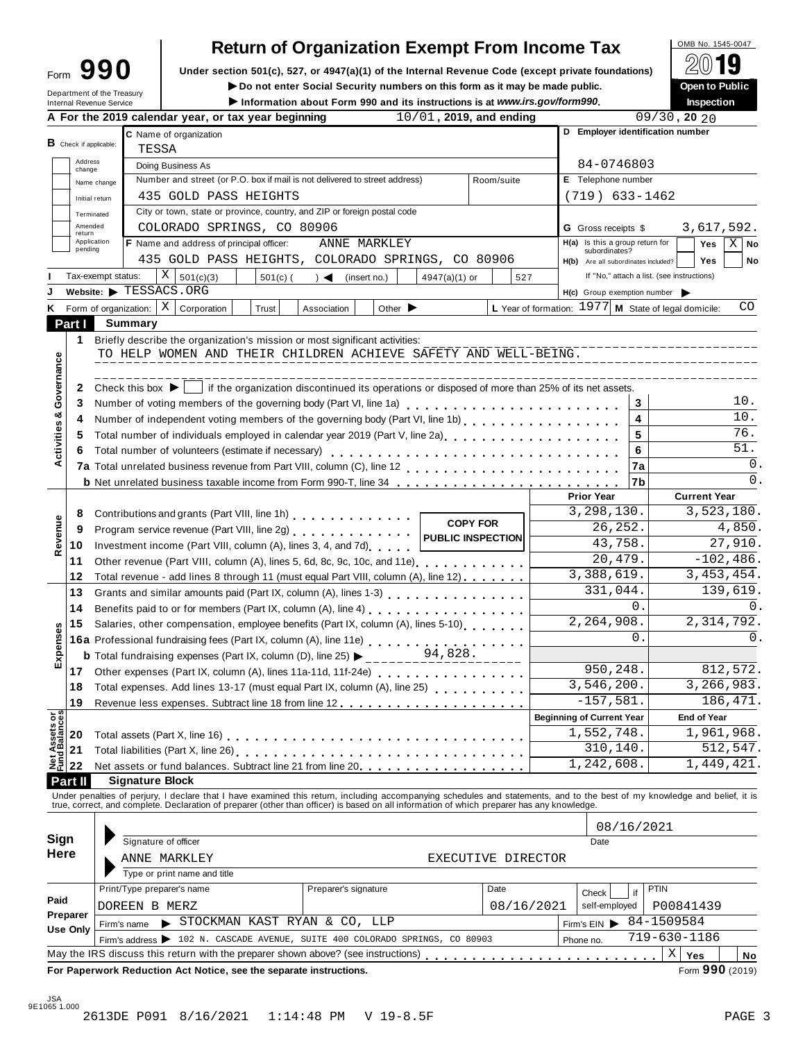| Form | 990 |                            |  |
|------|-----|----------------------------|--|
|      |     | Department of the Treasury |  |

# **Return of Organization Exempt From Income Tax**<br>section 501(c), 527, or 4947(a)(1) of the Internal Revenue Code (except private foundations)

Form  $\mathbf{990}$  Under section 501(c), 527, or 4947(a)(1) of the Internal Revenue Code (except private foundations)  $\Box$   $\Box$   $\Box$ 

**i h b not enter Social Security** numbers on this form as it may be made public. **Open open copy contract in the public contract is to the public contract in the public contract is to the public c** 

|                                                                | Internal Revenue Service | Department of the Treasury                                                                                                                                                                                                     |                                                                   | Information about Form 990 and its instructions is at www.irs.gov/form990.                                                                                                                                                                                                                                                                             |                         |                    |  |                                                    |            | Inspection                                             |                        |  |  |
|----------------------------------------------------------------|--------------------------|--------------------------------------------------------------------------------------------------------------------------------------------------------------------------------------------------------------------------------|-------------------------------------------------------------------|--------------------------------------------------------------------------------------------------------------------------------------------------------------------------------------------------------------------------------------------------------------------------------------------------------------------------------------------------------|-------------------------|--------------------|--|----------------------------------------------------|------------|--------------------------------------------------------|------------------------|--|--|
|                                                                |                          | A For the 2019 calendar year, or tax year beginning                                                                                                                                                                            |                                                                   |                                                                                                                                                                                                                                                                                                                                                        | 10/01, 2019, and ending |                    |  |                                                    |            | $09/30$ , 20 $20$                                      |                        |  |  |
|                                                                |                          | C Name of organization                                                                                                                                                                                                         |                                                                   |                                                                                                                                                                                                                                                                                                                                                        |                         |                    |  |                                                    |            | D Employer identification number                       |                        |  |  |
| <b>B</b> Check if applicable:                                  |                          | TESSA                                                                                                                                                                                                                          |                                                                   |                                                                                                                                                                                                                                                                                                                                                        |                         |                    |  |                                                    |            |                                                        |                        |  |  |
| change                                                         | Address                  | Doing Business As                                                                                                                                                                                                              |                                                                   |                                                                                                                                                                                                                                                                                                                                                        |                         |                    |  |                                                    | 84-0746803 |                                                        |                        |  |  |
|                                                                | Name change              |                                                                                                                                                                                                                                |                                                                   | Number and street (or P.O. box if mail is not delivered to street address)                                                                                                                                                                                                                                                                             |                         | Room/suite         |  | E Telephone number                                 |            |                                                        |                        |  |  |
|                                                                | Initial return           | 435 GOLD PASS HEIGHTS                                                                                                                                                                                                          |                                                                   |                                                                                                                                                                                                                                                                                                                                                        |                         |                    |  | $(719)$ 633-1462                                   |            |                                                        |                        |  |  |
|                                                                | Terminated               |                                                                                                                                                                                                                                |                                                                   | City or town, state or province, country, and ZIP or foreign postal code                                                                                                                                                                                                                                                                               |                         |                    |  |                                                    |            |                                                        |                        |  |  |
| return                                                         | Amended                  | COLORADO SPRINGS, CO 80906                                                                                                                                                                                                     |                                                                   |                                                                                                                                                                                                                                                                                                                                                        |                         |                    |  | <b>G</b> Gross receipts \$                         |            |                                                        | 3,617,592.             |  |  |
| pending                                                        | Application              | F Name and address of principal officer:                                                                                                                                                                                       |                                                                   | ANNE MARKLEY                                                                                                                                                                                                                                                                                                                                           |                         |                    |  | $H(a)$ Is this a group return for<br>subordinates? |            | Yes                                                    | $X \mid$ No            |  |  |
|                                                                |                          |                                                                                                                                                                                                                                |                                                                   | 435 GOLD PASS HEIGHTS, COLORADO SPRINGS, CO 80906                                                                                                                                                                                                                                                                                                      |                         |                    |  | H(b) Are all subordinates included?                |            | <b>Yes</b>                                             | No                     |  |  |
|                                                                | Tax-exempt status:       | $X \mid$<br>501(c)(3)                                                                                                                                                                                                          | $501(c)$ (                                                        | $\rightarrow$<br>(insert no.)                                                                                                                                                                                                                                                                                                                          | 4947(a)(1) or           | 527                |  |                                                    |            | If "No," attach a list. (see instructions)             |                        |  |  |
|                                                                |                          | Website: FESSACS.ORG                                                                                                                                                                                                           |                                                                   |                                                                                                                                                                                                                                                                                                                                                        |                         |                    |  | $H(c)$ Group exemption number                      |            |                                                        |                        |  |  |
| Κ                                                              | Form of organization:    | $\mathbf{X}$<br>Corporation                                                                                                                                                                                                    | Trust                                                             | Other $\blacktriangleright$<br>Association                                                                                                                                                                                                                                                                                                             |                         |                    |  |                                                    |            | L Year of formation: $1977$ M State of legal domicile: | CO                     |  |  |
| Part I                                                         |                          | <b>Summary</b>                                                                                                                                                                                                                 |                                                                   |                                                                                                                                                                                                                                                                                                                                                        |                         |                    |  |                                                    |            |                                                        |                        |  |  |
| 1                                                              |                          |                                                                                                                                                                                                                                |                                                                   | Briefly describe the organization's mission or most significant activities:                                                                                                                                                                                                                                                                            |                         |                    |  |                                                    |            |                                                        |                        |  |  |
|                                                                |                          |                                                                                                                                                                                                                                |                                                                   |                                                                                                                                                                                                                                                                                                                                                        |                         |                    |  |                                                    |            |                                                        |                        |  |  |
| Activities & Governance                                        |                          |                                                                                                                                                                                                                                |                                                                   |                                                                                                                                                                                                                                                                                                                                                        |                         |                    |  |                                                    |            |                                                        |                        |  |  |
| 2                                                              |                          |                                                                                                                                                                                                                                |                                                                   | Check this box $\blacktriangleright$   if the organization discontinued its operations or disposed of more than 25% of its net assets.                                                                                                                                                                                                                 |                         |                    |  |                                                    |            |                                                        |                        |  |  |
| 3                                                              |                          |                                                                                                                                                                                                                                |                                                                   |                                                                                                                                                                                                                                                                                                                                                        |                         |                    |  |                                                    | 3          |                                                        | 10.                    |  |  |
| 4                                                              |                          |                                                                                                                                                                                                                                |                                                                   |                                                                                                                                                                                                                                                                                                                                                        |                         |                    |  |                                                    | 4          |                                                        | 10.                    |  |  |
| 5                                                              |                          |                                                                                                                                                                                                                                |                                                                   | Total number of individuals employed in calendar year 2019 (Part V, line 2a)<br>The 2a)                                                                                                                                                                                                                                                                |                         |                    |  |                                                    | 5          |                                                        | 76.                    |  |  |
| 6                                                              |                          | Total number of volunteers (estimate if necessary)                                                                                                                                                                             |                                                                   |                                                                                                                                                                                                                                                                                                                                                        |                         |                    |  |                                                    | 6          |                                                        | 51.                    |  |  |
|                                                                |                          |                                                                                                                                                                                                                                |                                                                   |                                                                                                                                                                                                                                                                                                                                                        |                         |                    |  |                                                    | 7a         |                                                        | 0.                     |  |  |
|                                                                |                          |                                                                                                                                                                                                                                |                                                                   | <b>b</b> Net unrelated business taxable income from Form 990-T, line 34                                                                                                                                                                                                                                                                                |                         |                    |  |                                                    | 7b         |                                                        | 0.                     |  |  |
|                                                                |                          |                                                                                                                                                                                                                                |                                                                   |                                                                                                                                                                                                                                                                                                                                                        |                         |                    |  | <b>Prior Year</b>                                  |            | <b>Current Year</b>                                    |                        |  |  |
| 8                                                              |                          | 3,298,130.<br>Contributions and grants (Part VIII, line 1h)<br><b>COPY FOR</b><br>26,252.<br>Program service revenue (Part VIII, line 2g)<br><b>PUBLIC INSPECTION</b>                                                          |                                                                   |                                                                                                                                                                                                                                                                                                                                                        |                         |                    |  |                                                    |            |                                                        | 3,523,180.             |  |  |
| Revenue<br>9                                                   |                          |                                                                                                                                                                                                                                |                                                                   |                                                                                                                                                                                                                                                                                                                                                        |                         |                    |  |                                                    |            |                                                        | 4,850.                 |  |  |
| 10                                                             |                          |                                                                                                                                                                                                                                |                                                                   | Investment income (Part VIII, column (A), lines 3, 4, and 7d)                                                                                                                                                                                                                                                                                          |                         |                    |  | 43,758.                                            |            |                                                        | 27,910.                |  |  |
| 11                                                             |                          |                                                                                                                                                                                                                                |                                                                   | Other revenue (Part VIII, column (A), lines 5, 6d, 8c, 9c, 10c, and 11e)                                                                                                                                                                                                                                                                               |                         |                    |  | 20,479.                                            |            |                                                        | $-102, 486.$           |  |  |
| 12                                                             |                          |                                                                                                                                                                                                                                |                                                                   | Total revenue - add lines 8 through 11 (must equal Part VIII, column (A), line 12)                                                                                                                                                                                                                                                                     |                         |                    |  | 3,388,619.                                         |            |                                                        | 3,453,454.             |  |  |
| 13                                                             |                          |                                                                                                                                                                                                                                |                                                                   |                                                                                                                                                                                                                                                                                                                                                        |                         |                    |  | 331,044.                                           |            |                                                        | 139,619.               |  |  |
| 14                                                             |                          | 0.<br>Benefits paid to or for members (Part IX, column (A), line 4)                                                                                                                                                            |                                                                   |                                                                                                                                                                                                                                                                                                                                                        |                         |                    |  |                                                    |            |                                                        | 0.                     |  |  |
| 15                                                             |                          |                                                                                                                                                                                                                                |                                                                   | Salaries, other compensation, employee benefits (Part IX, column (A), lines 5-10)                                                                                                                                                                                                                                                                      |                         |                    |  | 2, 264, 908.<br>$\Omega$ .                         |            | 2,314,792.                                             |                        |  |  |
| Expenses                                                       |                          |                                                                                                                                                                                                                                | 16a Professional fundraising fees (Part IX, column (A), line 11e) |                                                                                                                                                                                                                                                                                                                                                        |                         |                    |  |                                                    |            |                                                        | 0.                     |  |  |
|                                                                |                          |                                                                                                                                                                                                                                |                                                                   | <b>b</b> Total fundraising expenses (Part IX, column (D), line 25) $\blacktriangleright$ ______                                                                                                                                                                                                                                                        | 94,828.                 |                    |  |                                                    |            |                                                        |                        |  |  |
| 17                                                             |                          |                                                                                                                                                                                                                                |                                                                   | Other expenses (Part IX, column (A), lines 11a-11d, 11f-24e)                                                                                                                                                                                                                                                                                           |                         |                    |  | 950,248.                                           |            |                                                        | 812,572.               |  |  |
| 18                                                             |                          |                                                                                                                                                                                                                                |                                                                   | Total expenses. Add lines 13-17 (must equal Part IX, column (A), line 25)                                                                                                                                                                                                                                                                              |                         |                    |  | 3,546,200.                                         |            |                                                        | 3,266,983.             |  |  |
| 19                                                             |                          |                                                                                                                                                                                                                                |                                                                   |                                                                                                                                                                                                                                                                                                                                                        |                         |                    |  | $-157,581.$                                        |            |                                                        | 186,471.               |  |  |
| Net Assets or                                                  |                          |                                                                                                                                                                                                                                |                                                                   |                                                                                                                                                                                                                                                                                                                                                        |                         |                    |  | <b>Beginning of Current Year</b>                   |            | <b>End of Year</b>                                     |                        |  |  |
| 20                                                             |                          |                                                                                                                                                                                                                                |                                                                   |                                                                                                                                                                                                                                                                                                                                                        |                         |                    |  | 1,552,748.                                         |            |                                                        | 1,961,968.             |  |  |
| 21                                                             |                          |                                                                                                                                                                                                                                |                                                                   |                                                                                                                                                                                                                                                                                                                                                        |                         |                    |  | 310,140.<br>1,242,608.                             |            |                                                        | 512,547.<br>1,449,421. |  |  |
|                                                                |                          |                                                                                                                                                                                                                                |                                                                   | Net assets or fund balances. Subtract line 21 from line 20.                                                                                                                                                                                                                                                                                            |                         |                    |  |                                                    |            |                                                        |                        |  |  |
| 22                                                             |                          | <b>Signature Block</b>                                                                                                                                                                                                         |                                                                   |                                                                                                                                                                                                                                                                                                                                                        |                         |                    |  |                                                    |            |                                                        |                        |  |  |
|                                                                |                          |                                                                                                                                                                                                                                |                                                                   |                                                                                                                                                                                                                                                                                                                                                        |                         |                    |  |                                                    |            |                                                        |                        |  |  |
|                                                                |                          | Under penalties of perjury, I declare that I have examined this return, including accompanying schedules and statements, and to the best of my knowledge and belief, it is true, correct, and complete. Declaration of prepare |                                                                   |                                                                                                                                                                                                                                                                                                                                                        |                         |                    |  |                                                    |            |                                                        |                        |  |  |
|                                                                |                          |                                                                                                                                                                                                                                |                                                                   |                                                                                                                                                                                                                                                                                                                                                        |                         |                    |  |                                                    |            |                                                        |                        |  |  |
|                                                                |                          |                                                                                                                                                                                                                                |                                                                   |                                                                                                                                                                                                                                                                                                                                                        |                         |                    |  | 08/16/2021                                         |            |                                                        |                        |  |  |
|                                                                |                          | Signature of officer                                                                                                                                                                                                           |                                                                   |                                                                                                                                                                                                                                                                                                                                                        |                         |                    |  | Date                                               |            |                                                        |                        |  |  |
|                                                                |                          | ANNE MARKLEY                                                                                                                                                                                                                   |                                                                   |                                                                                                                                                                                                                                                                                                                                                        |                         | EXECUTIVE DIRECTOR |  |                                                    |            |                                                        |                        |  |  |
|                                                                |                          | Type or print name and title                                                                                                                                                                                                   |                                                                   |                                                                                                                                                                                                                                                                                                                                                        |                         |                    |  |                                                    |            |                                                        |                        |  |  |
|                                                                |                          | Print/Type preparer's name                                                                                                                                                                                                     |                                                                   | Preparer's signature                                                                                                                                                                                                                                                                                                                                   |                         | Date               |  | Check                                              | if         | <b>PTIN</b>                                            |                        |  |  |
|                                                                |                          | DOREEN B MERZ                                                                                                                                                                                                                  |                                                                   |                                                                                                                                                                                                                                                                                                                                                        |                         | 08/16/2021         |  | self-employed                                      |            | P00841439                                              |                        |  |  |
| Part II<br>Sign<br><b>Here</b><br>Paid<br>Preparer<br>Use Only |                          | Firm's name                                                                                                                                                                                                                    |                                                                   | STOCKMAN KAST RYAN & CO, LLP                                                                                                                                                                                                                                                                                                                           |                         |                    |  | Firm's EIN                                         |            | 84-1509584                                             |                        |  |  |
|                                                                |                          |                                                                                                                                                                                                                                |                                                                   | Firm's address > 102 N. CASCADE AVENUE, SUITE 400 COLORADO SPRINGS, CO 80903<br>May the IRS discuss this return with the preparer shown above? (see instructions) [1] [1] $\ldots$ [1] [1] $\ldots$ [1] [1] $\ldots$ [1] $\ldots$ [1] $\ldots$ [1] $\ldots$ [1] $\ldots$ [1] $\ldots$ [1] $\ldots$ [1] $\ldots$ [1] $\ldots$ [1] $\ldots$ [1] $\ldots$ |                         |                    |  | Phone no.                                          |            | 719-630-1186<br>Χ<br>Yes                               | No                     |  |  |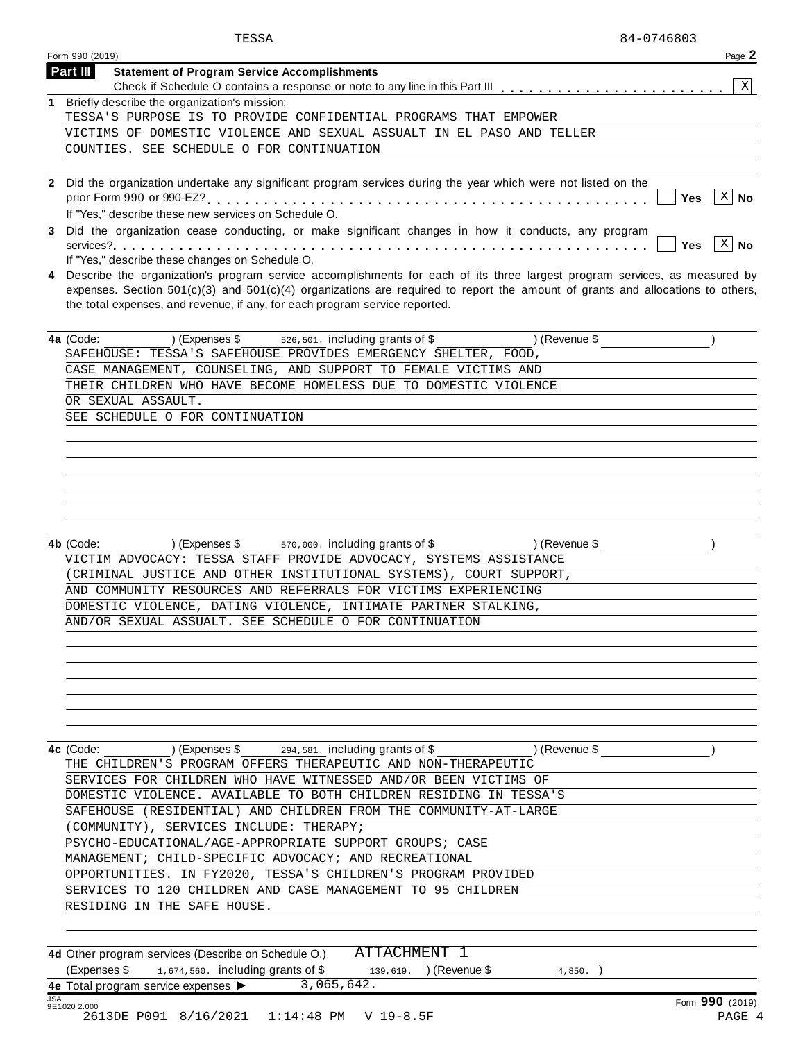|                            | TESSA                                                                                                                                                                                                             | 84-0746803 |                      |
|----------------------------|-------------------------------------------------------------------------------------------------------------------------------------------------------------------------------------------------------------------|------------|----------------------|
|                            | Form 990 (2019)                                                                                                                                                                                                   |            | Page 2               |
| Part III                   | <b>Statement of Program Service Accomplishments</b>                                                                                                                                                               |            |                      |
|                            |                                                                                                                                                                                                                   |            | X                    |
|                            | Briefly describe the organization's mission:                                                                                                                                                                      |            |                      |
|                            | TESSA'S PURPOSE IS TO PROVIDE CONFIDENTIAL PROGRAMS THAT EMPOWER                                                                                                                                                  |            |                      |
|                            | VICTIMS OF DOMESTIC VIOLENCE AND SEXUAL ASSUALT IN EL PASO AND TELLER                                                                                                                                             |            |                      |
|                            | COUNTIES. SEE SCHEDULE O FOR CONTINUATION                                                                                                                                                                         |            |                      |
|                            | 2 Did the organization undertake any significant program services during the year which were not listed on the                                                                                                    |            |                      |
|                            | If "Yes," describe these new services on Schedule O.                                                                                                                                                              | <b>Yes</b> | $\lceil x \rceil$ No |
|                            | Did the organization cease conducting, or make significant changes in how it conducts, any program                                                                                                                | <b>Yes</b> | $ X $ No             |
|                            | If "Yes," describe these changes on Schedule O.<br>Describe the organization's program service accomplishments for each of its three largest program services, as measured by                                     |            |                      |
|                            | expenses. Section $501(c)(3)$ and $501(c)(4)$ organizations are required to report the amount of grants and allocations to others,<br>the total expenses, and revenue, if any, for each program service reported. |            |                      |
| 4a (Code:                  | (Revenue \$) (Revenue \,<br>) (Expenses $\frac{1}{2}$ s26, 501. including grants of \$                                                                                                                            |            |                      |
|                            | SAFEHOUSE: TESSA'S SAFEHOUSE PROVIDES EMERGENCY SHELTER, FOOD,                                                                                                                                                    |            |                      |
|                            | CASE MANAGEMENT, COUNSELING, AND SUPPORT TO FEMALE VICTIMS AND                                                                                                                                                    |            |                      |
|                            | THEIR CHILDREN WHO HAVE BECOME HOMELESS DUE TO DOMESTIC VIOLENCE<br>OR SEXUAL ASSAULT.                                                                                                                            |            |                      |
|                            | SEE SCHEDULE O FOR CONTINUATION                                                                                                                                                                                   |            |                      |
|                            |                                                                                                                                                                                                                   |            |                      |
|                            |                                                                                                                                                                                                                   |            |                      |
|                            |                                                                                                                                                                                                                   |            |                      |
|                            |                                                                                                                                                                                                                   |            |                      |
|                            |                                                                                                                                                                                                                   |            |                      |
|                            |                                                                                                                                                                                                                   |            |                      |
|                            |                                                                                                                                                                                                                   |            |                      |
| 4b (Code:                  |                                                                                                                                                                                                                   |            |                      |
|                            | ) (Revenue \$<br>VICTIM ADVOCACY: TESSA STAFF PROVIDE ADVOCACY, SYSTEMS ASSISTANCE                                                                                                                                |            |                      |
|                            | (CRIMINAL JUSTICE AND OTHER INSTITUTIONAL SYSTEMS), COURT SUPPORT,                                                                                                                                                |            |                      |
|                            | AND COMMUNITY RESOURCES AND REFERRALS FOR VICTIMS EXPERIENCING                                                                                                                                                    |            |                      |
|                            | DOMESTIC VIOLENCE, DATING VIOLENCE, INTIMATE PARTNER STALKING,                                                                                                                                                    |            |                      |
|                            | AND/OR SEXUAL ASSUALT. SEE SCHEDULE O FOR CONTINUATION                                                                                                                                                            |            |                      |
|                            |                                                                                                                                                                                                                   |            |                      |
|                            |                                                                                                                                                                                                                   |            |                      |
|                            |                                                                                                                                                                                                                   |            |                      |
|                            |                                                                                                                                                                                                                   |            |                      |
| 4c (Code:                  | 294,581. including grants of \$<br>) (Revenue \$<br>) (Expenses \$                                                                                                                                                |            |                      |
|                            | THE CHILDREN'S PROGRAM OFFERS THERAPEUTIC AND NON-THERAPEUTIC                                                                                                                                                     |            |                      |
|                            | SERVICES FOR CHILDREN WHO HAVE WITNESSED AND/OR BEEN VICTIMS OF                                                                                                                                                   |            |                      |
|                            | DOMESTIC VIOLENCE. AVAILABLE TO BOTH CHILDREN RESIDING IN TESSA'S                                                                                                                                                 |            |                      |
|                            | SAFEHOUSE (RESIDENTIAL) AND CHILDREN FROM THE COMMUNITY-AT-LARGE                                                                                                                                                  |            |                      |
|                            | (COMMUNITY), SERVICES INCLUDE: THERAPY;                                                                                                                                                                           |            |                      |
|                            | PSYCHO-EDUCATIONAL/AGE-APPROPRIATE SUPPORT GROUPS; CASE                                                                                                                                                           |            |                      |
|                            | MANAGEMENT; CHILD-SPECIFIC ADVOCACY; AND RECREATIONAL                                                                                                                                                             |            |                      |
|                            | OPPORTUNITIES. IN FY2020, TESSA'S CHILDREN'S PROGRAM PROVIDED                                                                                                                                                     |            |                      |
|                            | SERVICES TO 120 CHILDREN AND CASE MANAGEMENT TO 95 CHILDREN                                                                                                                                                       |            |                      |
|                            | RESIDING IN THE SAFE HOUSE.                                                                                                                                                                                       |            |                      |
|                            |                                                                                                                                                                                                                   |            |                      |
|                            | ATTACHMENT 1<br>4d Other program services (Describe on Schedule O.)                                                                                                                                               |            |                      |
|                            | (Expenses \$<br>$1,674,560$ . including grants of \$<br>139,619. (Revenue \$<br>4,850.                                                                                                                            |            |                      |
|                            | 3,065,642.<br>4e Total program service expenses >                                                                                                                                                                 |            |                      |
| <b>JSA</b><br>9E1020 2.000 |                                                                                                                                                                                                                   |            | Form 990 (2019)      |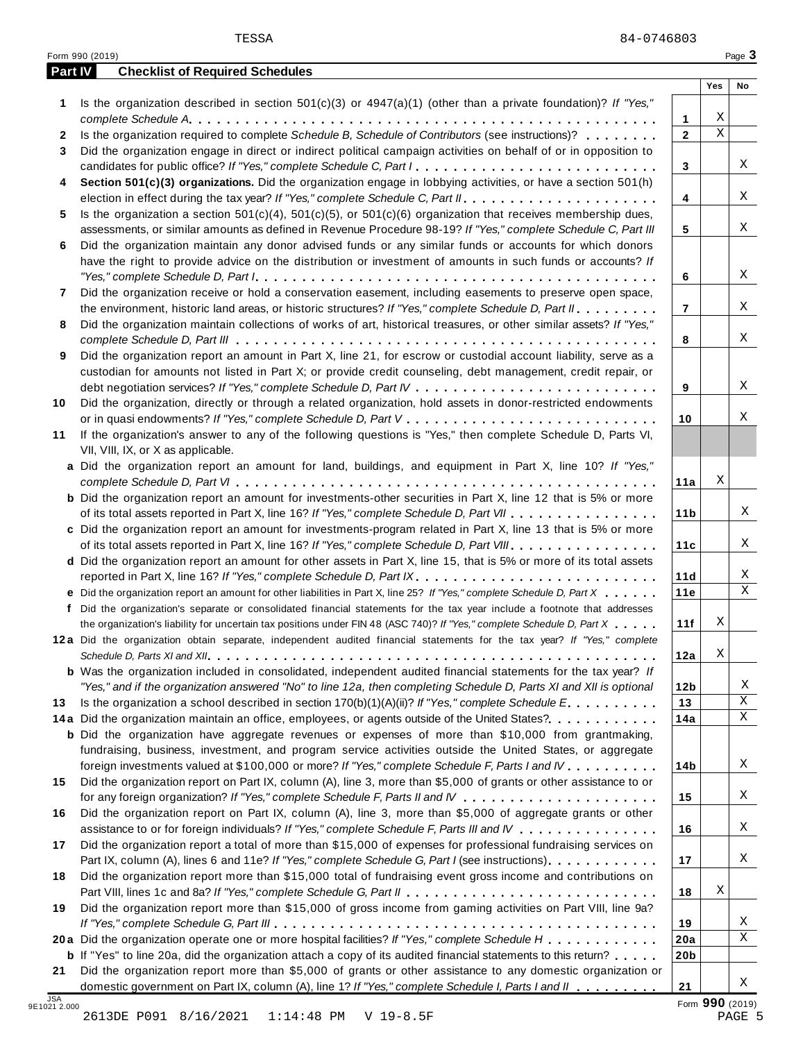| Form 990 (2019) | Page $\bullet$ |
|-----------------|----------------|
|                 |                |

| 1            | Is the organization described in section $501(c)(3)$ or $4947(a)(1)$ (other than a private foundation)? If "Yes,"                                                                                                                                 |                 | Yes         | No |
|--------------|---------------------------------------------------------------------------------------------------------------------------------------------------------------------------------------------------------------------------------------------------|-----------------|-------------|----|
|              |                                                                                                                                                                                                                                                   | $\mathbf{1}$    | Χ           |    |
| $\mathbf{2}$ | Is the organization required to complete Schedule B, Schedule of Contributors (see instructions)?                                                                                                                                                 | $\mathbf{2}$    | $\mathbf X$ |    |
| 3            | Did the organization engage in direct or indirect political campaign activities on behalf of or in opposition to                                                                                                                                  |                 |             |    |
| 4            | Section 501(c)(3) organizations. Did the organization engage in lobbying activities, or have a section 501(h)                                                                                                                                     | 3               |             |    |
| 5.           | election in effect during the tax year? If "Yes," complete Schedule C, Part II.<br>Is the organization a section $501(c)(4)$ , $501(c)(5)$ , or $501(c)(6)$ organization that receives membership dues,                                           | 4               |             |    |
|              | assessments, or similar amounts as defined in Revenue Procedure 98-19? If "Yes," complete Schedule C, Part III                                                                                                                                    | 5               |             |    |
| 6            | Did the organization maintain any donor advised funds or any similar funds or accounts for which donors<br>have the right to provide advice on the distribution or investment of amounts in such funds or accounts? If                            | 6               |             |    |
| 7            | Did the organization receive or hold a conservation easement, including easements to preserve open space,                                                                                                                                         |                 |             |    |
| 8            | the environment, historic land areas, or historic structures? If "Yes," complete Schedule D, Part II.<br>Did the organization maintain collections of works of art, historical treasures, or other similar assets? If "Yes,"                      | $\overline{7}$  |             |    |
| 9            | Did the organization report an amount in Part X, line 21, for escrow or custodial account liability, serve as a                                                                                                                                   | 8               |             |    |
|              | custodian for amounts not listed in Part X; or provide credit counseling, debt management, credit repair, or                                                                                                                                      | 9               |             |    |
| 10           | Did the organization, directly or through a related organization, hold assets in donor-restricted endowments                                                                                                                                      | 10              |             |    |
| 11           | If the organization's answer to any of the following questions is "Yes," then complete Schedule D, Parts VI,<br>VII, VIII, IX, or X as applicable.                                                                                                |                 |             |    |
|              | a Did the organization report an amount for land, buildings, and equipment in Part X, line 10? If "Yes,"                                                                                                                                          | 11a             | Χ           |    |
|              | <b>b</b> Did the organization report an amount for investments-other securities in Part X, line 12 that is 5% or more<br>of its total assets reported in Part X, line 16? If "Yes," complete Schedule D, Part VII                                 | 11 <sub>b</sub> |             |    |
|              | c Did the organization report an amount for investments-program related in Part X, line 13 that is 5% or more<br>of its total assets reported in Part X, line 16? If "Yes," complete Schedule D, Part VIII                                        | 11c             |             |    |
|              | d Did the organization report an amount for other assets in Part X, line 15, that is 5% or more of its total assets<br>reported in Part X, line 16? If "Yes," complete Schedule D, Part IX.                                                       | 11d             |             |    |
|              | e Did the organization report an amount for other liabilities in Part X, line 25? If "Yes," complete Schedule D, Part X                                                                                                                           | 11e             |             |    |
|              | f Did the organization's separate or consolidated financial statements for the tax year include a footnote that addresses                                                                                                                         |                 |             |    |
|              | the organization's liability for uncertain tax positions under FIN 48 (ASC 740)? If "Yes," complete Schedule D, Part X<br>12a Did the organization obtain separate, independent audited financial statements for the tax year? If "Yes," complete | 11f             | Χ           |    |
|              |                                                                                                                                                                                                                                                   | 12a             | Χ           |    |
|              | <b>b</b> Was the organization included in consolidated, independent audited financial statements for the tax year? If<br>"Yes," and if the organization answered "No" to line 12a, then completing Schedule D, Parts XI and XII is optional       | 12 <sub>b</sub> |             |    |
| 13           | Is the organization a school described in section $170(b)(1)(A)(ii)?$ If "Yes," complete Schedule E.                                                                                                                                              | 13              |             |    |
|              | 14a Did the organization maintain an office, employees, or agents outside of the United States?.                                                                                                                                                  | 14a             |             |    |
|              | <b>b</b> Did the organization have aggregate revenues or expenses of more than \$10,000 from grantmaking,                                                                                                                                         |                 |             |    |
|              | fundraising, business, investment, and program service activities outside the United States, or aggregate<br>foreign investments valued at \$100,000 or more? If "Yes," complete Schedule F, Parts I and IV                                       | 14b             |             |    |
| 15           | Did the organization report on Part IX, column (A), line 3, more than \$5,000 of grants or other assistance to or                                                                                                                                 | 15              |             |    |
| 16           | Did the organization report on Part IX, column (A), line 3, more than \$5,000 of aggregate grants or other<br>assistance to or for foreign individuals? If "Yes," complete Schedule F, Parts III and IV                                           | 16              |             |    |
| 17           | Did the organization report a total of more than \$15,000 of expenses for professional fundraising services on<br>Part IX, column (A), lines 6 and 11e? If "Yes," complete Schedule G, Part I (see instructions)                                  | 17              |             |    |
| 18           | Did the organization report more than \$15,000 total of fundraising event gross income and contributions on                                                                                                                                       | 18              | Χ           |    |
| 19           | Did the organization report more than \$15,000 of gross income from gaming activities on Part VIII, line 9a?                                                                                                                                      | 19              |             |    |
|              | 20a Did the organization operate one or more hospital facilities? If "Yes," complete Schedule H                                                                                                                                                   | 20a             |             |    |
|              | <b>b</b> If "Yes" to line 20a, did the organization attach a copy of its audited financial statements to this return?                                                                                                                             | 20 <sub>b</sub> |             |    |
| 21           | Did the organization report more than \$5,000 of grants or other assistance to any domestic organization or                                                                                                                                       |                 |             |    |
|              | domestic government on Part IX, column (A), line 1? If "Yes," complete Schedule I, Parts I and II                                                                                                                                                 | 21              |             |    |

2613DE P091 8/16/2021 1:14:48 PM V 19-8.5F 2613DE PAGE 5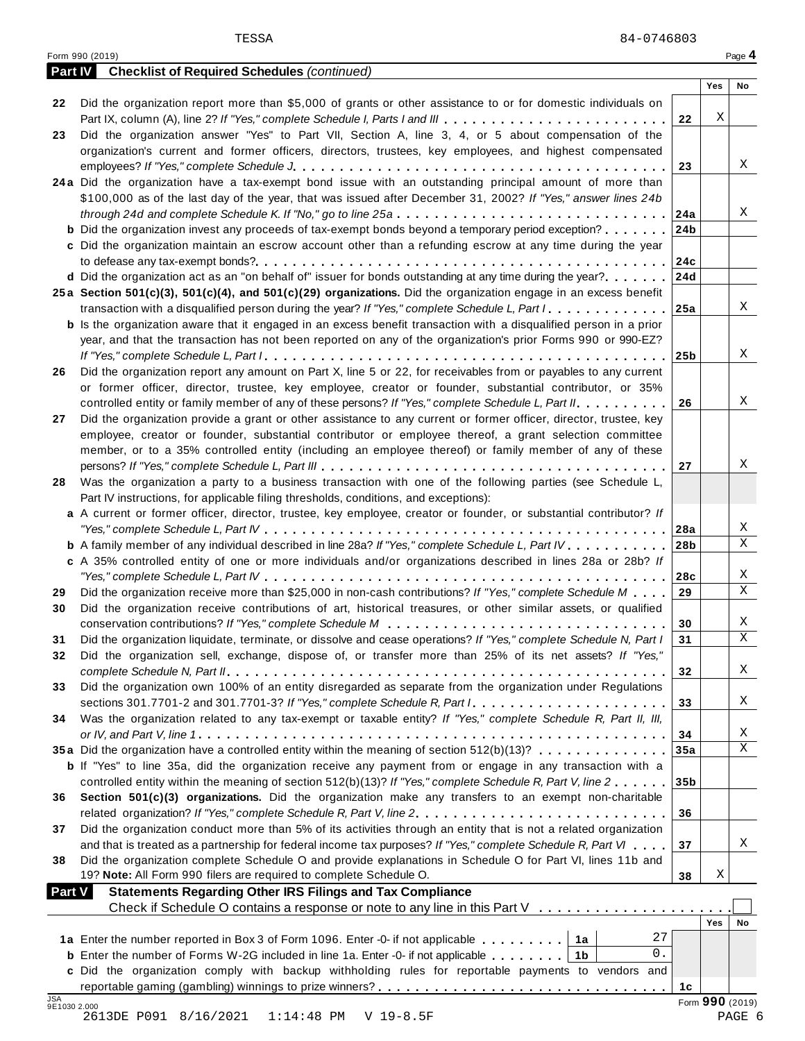| Form 990 (2019) | Page 4 |
|-----------------|--------|
|-----------------|--------|

|               | <b>Part IV</b> Checklist of Required Schedules (continued)                                                                |                 |     |             |
|---------------|---------------------------------------------------------------------------------------------------------------------------|-----------------|-----|-------------|
|               | Did the organization report more than \$5,000 of grants or other assistance to or for domestic individuals on             |                 | Yes | No          |
| 22            |                                                                                                                           | 22              | Χ   |             |
| 23            | Did the organization answer "Yes" to Part VII, Section A, line 3, 4, or 5 about compensation of the                       |                 |     |             |
|               | organization's current and former officers, directors, trustees, key employees, and highest compensated                   |                 |     |             |
|               |                                                                                                                           | 23              |     | Χ           |
|               | 24a Did the organization have a tax-exempt bond issue with an outstanding principal amount of more than                   |                 |     |             |
|               | \$100,000 as of the last day of the year, that was issued after December 31, 2002? If "Yes," answer lines 24b             |                 |     |             |
|               |                                                                                                                           | 24a             |     | Χ           |
|               | <b>b</b> Did the organization invest any proceeds of tax-exempt bonds beyond a temporary period exception?                | 24 <sub>b</sub> |     |             |
|               | c Did the organization maintain an escrow account other than a refunding escrow at any time during the year               |                 |     |             |
|               |                                                                                                                           | 24c             |     |             |
|               | <b>d</b> Did the organization act as an "on behalf of" issuer for bonds outstanding at any time during the year?          | 24d             |     |             |
|               | 25a Section 501(c)(3), 501(c)(4), and 501(c)(29) organizations. Did the organization engage in an excess benefit          |                 |     |             |
|               | transaction with a disqualified person during the year? If "Yes," complete Schedule L, Part I.                            | 25a             |     | X           |
|               | <b>b</b> Is the organization aware that it engaged in an excess benefit transaction with a disqualified person in a prior |                 |     |             |
|               | year, and that the transaction has not been reported on any of the organization's prior Forms 990 or 990-EZ?              |                 |     |             |
|               |                                                                                                                           | 25 <sub>b</sub> |     | X           |
| 26            | Did the organization report any amount on Part X, line 5 or 22, for receivables from or payables to any current           |                 |     |             |
|               | or former officer, director, trustee, key employee, creator or founder, substantial contributor, or 35%                   |                 |     |             |
|               | controlled entity or family member of any of these persons? If "Yes," complete Schedule L, Part II.                       | 26              |     | X           |
| 27            | Did the organization provide a grant or other assistance to any current or former officer, director, trustee, key         |                 |     |             |
|               | employee, creator or founder, substantial contributor or employee thereof, a grant selection committee                    |                 |     |             |
|               | member, or to a 35% controlled entity (including an employee thereof) or family member of any of these                    |                 |     |             |
|               |                                                                                                                           | 27              |     | X           |
| 28            | Was the organization a party to a business transaction with one of the following parties (see Schedule L,                 |                 |     |             |
|               | Part IV instructions, for applicable filing thresholds, conditions, and exceptions):                                      |                 |     |             |
|               | a A current or former officer, director, trustee, key employee, creator or founder, or substantial contributor? If        |                 |     |             |
|               |                                                                                                                           | 28a             |     | Χ           |
|               | <b>b</b> A family member of any individual described in line 28a? If "Yes," complete Schedule L, Part IV.                 | 28 <sub>b</sub> |     | X           |
|               | c A 35% controlled entity of one or more individuals and/or organizations described in lines 28a or 28b? If               |                 |     |             |
|               |                                                                                                                           | 28c             |     | Χ           |
| 29            | Did the organization receive more than \$25,000 in non-cash contributions? If "Yes," complete Schedule M $\ldots$         | 29              |     | $\mathbf X$ |
| 30            | Did the organization receive contributions of art, historical treasures, or other similar assets, or qualified            |                 |     |             |
|               |                                                                                                                           | 30              |     | X           |
| 31            | Did the organization liquidate, terminate, or dissolve and cease operations? If "Yes," complete Schedule N, Part I        | 31              |     | $\mathbf X$ |
| 32            | Did the organization sell, exchange, dispose of, or transfer more than 25% of its net assets? If "Yes,"                   |                 |     |             |
|               |                                                                                                                           | 32              |     | Χ           |
| 33            | Did the organization own 100% of an entity disregarded as separate from the organization under Regulations                |                 |     |             |
|               |                                                                                                                           | 33              |     | Χ           |
| 34            | Was the organization related to any tax-exempt or taxable entity? If "Yes," complete Schedule R, Part II, III,            |                 |     |             |
|               |                                                                                                                           | 34              |     | X           |
|               | 35a Did the organization have a controlled entity within the meaning of section 512(b)(13)?                               | 35a             |     | $\mathbf X$ |
|               | <b>b</b> If "Yes" to line 35a, did the organization receive any payment from or engage in any transaction with a          |                 |     |             |
|               | controlled entity within the meaning of section 512(b)(13)? If "Yes," complete Schedule R, Part V, line 2                 | 35 <sub>b</sub> |     |             |
| 36            | Section 501(c)(3) organizations. Did the organization make any transfers to an exempt non-charitable                      |                 |     |             |
|               | related organization? If "Yes," complete Schedule R, Part V, line 2.                                                      | 36              |     |             |
| 37            | Did the organization conduct more than 5% of its activities through an entity that is not a related organization          |                 |     |             |
|               | and that is treated as a partnership for federal income tax purposes? If "Yes," complete Schedule R, Part VI              | 37              |     | Χ           |
| 38            | Did the organization complete Schedule O and provide explanations in Schedule O for Part VI, lines 11b and                |                 |     |             |
|               | 19? Note: All Form 990 filers are required to complete Schedule O.                                                        | 38              | Χ   |             |
| <b>Part V</b> | <b>Statements Regarding Other IRS Filings and Tax Compliance</b>                                                          |                 |     |             |
|               | Check if Schedule O contains a response or note to any line in this Part V                                                |                 |     |             |
|               |                                                                                                                           |                 | Yes | No          |
|               | 27                                                                                                                        |                 |     |             |
|               | 1a Enter the number reported in Box 3 of Form 1096. Enter -0- if not applicable   1a                                      |                 |     |             |
|               | 0.<br><b>b</b> Enter the number of Forms W-2G included in line 1a. Enter -0- if not applicable $\ldots \ldots$ ,          |                 |     |             |
|               | c Did the organization comply with backup withholding rules for reportable payments to vendors and                        |                 |     |             |
| JSA           |                                                                                                                           | 1c              |     |             |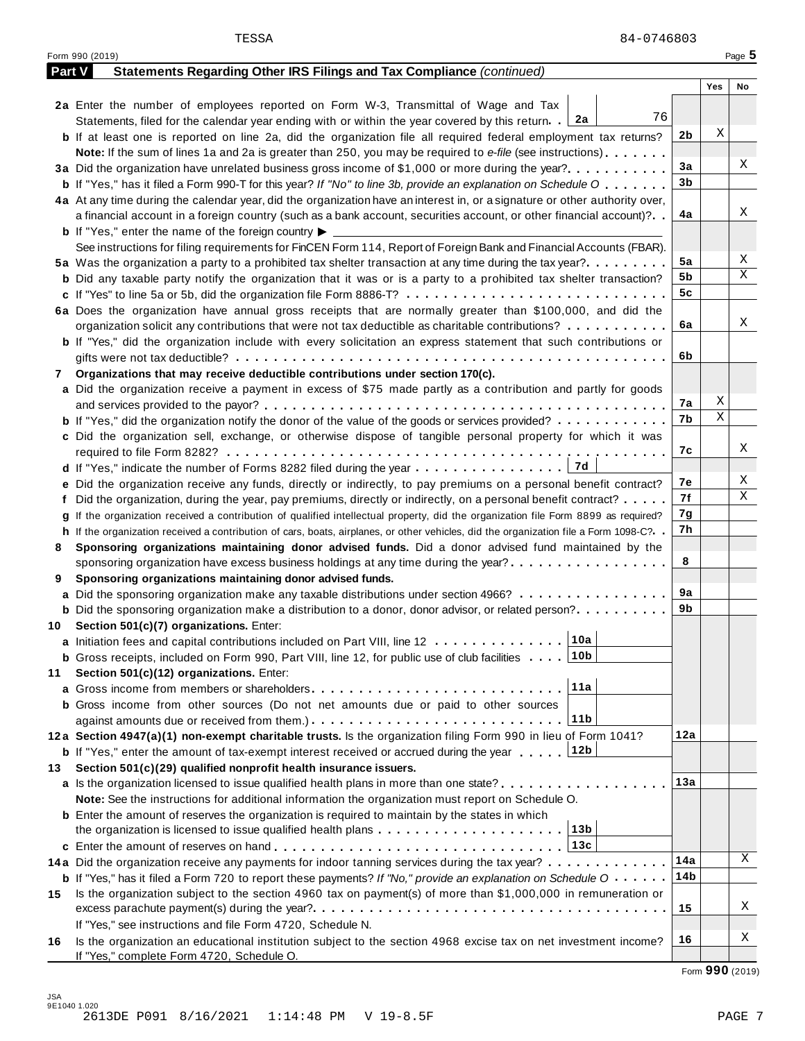| <b>Part V</b> | <b>Statements Regarding Other IRS Filings and Tax Compliance (continued)</b>                                                                                 |                |             |    |
|---------------|--------------------------------------------------------------------------------------------------------------------------------------------------------------|----------------|-------------|----|
|               |                                                                                                                                                              |                | Yes         | No |
|               | 2a Enter the number of employees reported on Form W-3, Transmittal of Wage and Tax                                                                           |                |             |    |
|               | 76<br>Statements, filed for the calendar year ending with or within the year covered by this return. [2a                                                     |                |             |    |
|               | <b>b</b> If at least one is reported on line 2a, did the organization file all required federal employment tax returns?                                      | 2b             | Χ           |    |
|               | Note: If the sum of lines 1a and 2a is greater than 250, you may be required to e-file (see instructions)                                                    |                |             |    |
|               | 3a Did the organization have unrelated business gross income of \$1,000 or more during the year?                                                             | 3a             |             | Χ  |
|               | <b>b</b> If "Yes," has it filed a Form 990-T for this year? If "No" to line 3b, provide an explanation on Schedule O                                         | 3 <sub>b</sub> |             |    |
|               | 4a At any time during the calendar year, did the organization have an interest in, or a signature or other authority over,                                   |                |             |    |
|               | a financial account in a foreign country (such as a bank account, securities account, or other financial account)?                                           | 4a             |             | Χ  |
|               | <b>b</b> If "Yes," enter the name of the foreign country $\blacktriangleright$                                                                               |                |             |    |
|               | See instructions for filing requirements for FinCEN Form 114, Report of Foreign Bank and Financial Accounts (FBAR).                                          |                |             |    |
|               | 5a Was the organization a party to a prohibited tax shelter transaction at any time during the tax year?                                                     | 5a             |             | Χ  |
|               | <b>b</b> Did any taxable party notify the organization that it was or is a party to a prohibited tax shelter transaction?                                    | 5b             |             | Χ  |
|               |                                                                                                                                                              | 5c             |             |    |
|               | 6a Does the organization have annual gross receipts that are normally greater than \$100,000, and did the                                                    |                |             |    |
|               | organization solicit any contributions that were not tax deductible as charitable contributions?                                                             | 6a             |             | Χ  |
|               | <b>b</b> If "Yes," did the organization include with every solicitation an express statement that such contributions or                                      |                |             |    |
|               |                                                                                                                                                              | 6b             |             |    |
| $\mathbf{7}$  | Organizations that may receive deductible contributions under section 170(c).                                                                                |                |             |    |
|               | a Did the organization receive a payment in excess of \$75 made partly as a contribution and partly for goods                                                |                |             |    |
|               |                                                                                                                                                              | 7a             | Χ           |    |
|               | <b>b</b> If "Yes," did the organization notify the donor of the value of the goods or services provided?                                                     | 7b             | $\mathbf X$ |    |
|               | c Did the organization sell, exchange, or otherwise dispose of tangible personal property for which it was                                                   |                |             |    |
|               |                                                                                                                                                              | 7c             |             | Χ  |
|               | d If "Yes," indicate the number of Forms 8282 filed during the year 7d                                                                                       |                |             |    |
|               | e Did the organization receive any funds, directly or indirectly, to pay premiums on a personal benefit contract?                                            | 7e             |             | Χ  |
|               | f Did the organization, during the year, pay premiums, directly or indirectly, on a personal benefit contract?                                               | 7f             |             | Χ  |
| g             | If the organization received a contribution of qualified intellectual property, did the organization file Form 8899 as required?                             | 7g             |             |    |
|               | h If the organization received a contribution of cars, boats, airplanes, or other vehicles, did the organization file a Form 1098-C?. .                      | 7h             |             |    |
| 8             | Sponsoring organizations maintaining donor advised funds. Did a donor advised fund maintained by the                                                         |                |             |    |
|               | sponsoring organization have excess business holdings at any time during the year?                                                                           | 8              |             |    |
| 9             | Sponsoring organizations maintaining donor advised funds.                                                                                                    |                |             |    |
|               | a Did the sponsoring organization make any taxable distributions under section 4966?                                                                         | 9а             |             |    |
|               | <b>b</b> Did the sponsoring organization make a distribution to a donor, donor advisor, or related person?                                                   | 9b             |             |    |
| 10            | Section 501(c)(7) organizations. Enter:                                                                                                                      |                |             |    |
|               | 10a<br>a Initiation fees and capital contributions included on Part VIII, line 12                                                                            |                |             |    |
|               | <b>b</b> Gross receipts, included on Form 990, Part VIII, line 12, for public use of club facilities  10b                                                    |                |             |    |
| 11            | Section 501(c)(12) organizations. Enter:                                                                                                                     |                |             |    |
|               | 11a<br><b>a</b> Gross income from members or shareholders                                                                                                    |                |             |    |
|               | <b>b</b> Gross income from other sources (Do not net amounts due or paid to other sources                                                                    |                |             |    |
|               | 11 <sub>b</sub>                                                                                                                                              |                |             |    |
|               | 12a Section 4947(a)(1) non-exempt charitable trusts. Is the organization filing Form 990 in lieu of Form 1041?                                               | 12a            |             |    |
|               | <b>b</b> If "Yes," enter the amount of tax-exempt interest received or accrued during the year 12b                                                           |                |             |    |
| 13.           | Section 501(c)(29) qualified nonprofit health insurance issuers.                                                                                             |                |             |    |
|               | a Is the organization licensed to issue qualified health plans in more than one state?                                                                       | 13а            |             |    |
|               | Note: See the instructions for additional information the organization must report on Schedule O.                                                            |                |             |    |
|               | <b>b</b> Enter the amount of reserves the organization is required to maintain by the states in which                                                        |                |             |    |
|               | 13 <sub>b</sub>                                                                                                                                              |                |             |    |
|               | 13с                                                                                                                                                          |                |             | Χ  |
|               | 14a Did the organization receive any payments for indoor tanning services during the tax year?                                                               | 14a            |             |    |
|               | <b>b</b> If "Yes," has it filed a Form 720 to report these payments? If "No," provide an explanation on Schedule $0 \cdot \cdot \cdot \cdot$                 | 14b            |             |    |
| 15            | Is the organization subject to the section 4960 tax on payment(s) of more than \$1,000,000 in remuneration or                                                | 15             |             | Χ  |
|               | If "Yes," see instructions and file Form 4720, Schedule N.                                                                                                   |                |             |    |
|               |                                                                                                                                                              | 16             |             | Χ  |
| 16            | Is the organization an educational institution subject to the section 4968 excise tax on net investment income?<br>If "Yes," complete Form 4720, Schedule O. |                |             |    |

Form <sup>990</sup> (2019) Page **5**

Form **990** (2019)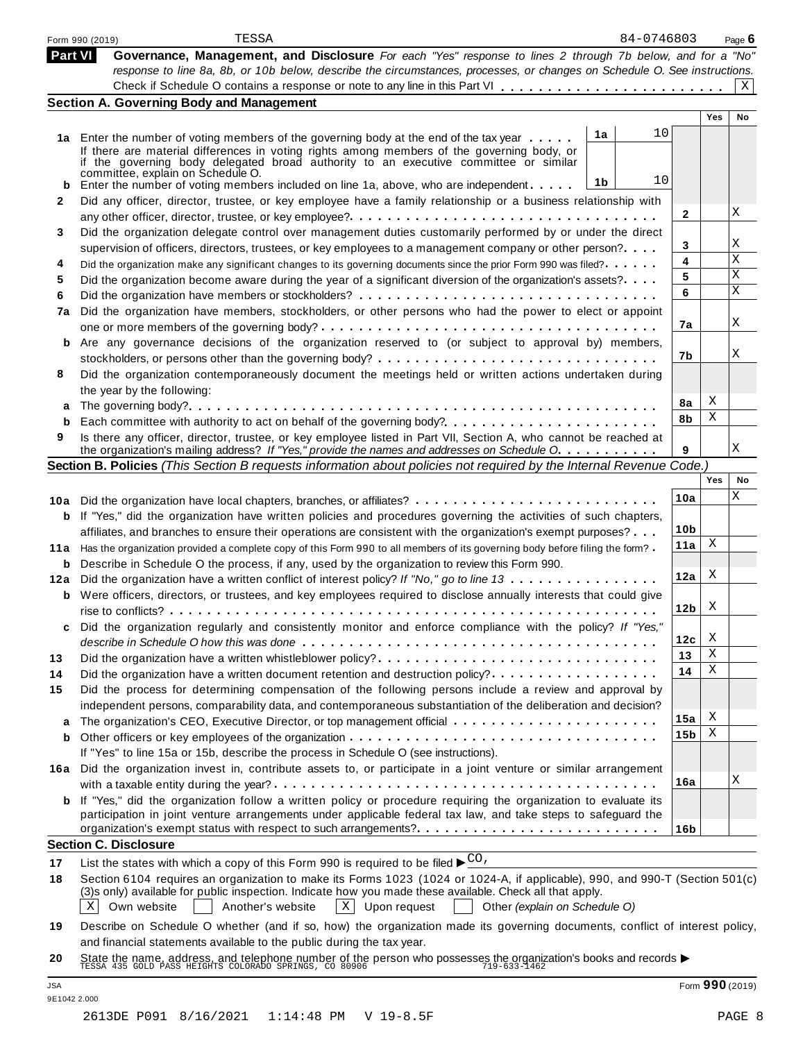|            | 84-0746803<br>TESSA<br>Form 990 (2019)                                                                                                                                                      |                 |            | Page 6          |
|------------|---------------------------------------------------------------------------------------------------------------------------------------------------------------------------------------------|-----------------|------------|-----------------|
|            | Governance, Management, and Disclosure For each "Yes" response to lines 2 through 7b below, and for a "No"<br>Part VI                                                                       |                 |            |                 |
|            | response to line 8a, 8b, or 10b below, describe the circumstances, processes, or changes on Schedule O. See instructions.                                                                   |                 |            |                 |
|            |                                                                                                                                                                                             |                 |            | $\mathbf X$     |
|            | <b>Section A. Governing Body and Management</b>                                                                                                                                             |                 |            |                 |
|            |                                                                                                                                                                                             |                 | <b>Yes</b> | No              |
|            | 10<br>1a<br>1a Enter the number of voting members of the governing body at the end of the tax year                                                                                          |                 |            |                 |
|            | If there are material differences in voting rights among members of the governing body, or                                                                                                  |                 |            |                 |
|            | if the governing body delegated broad authority to an executive committee or similar<br>committee, explain on Schedule O.                                                                   |                 |            |                 |
| b          | 10<br>1b<br>Enter the number of voting members included on line 1a, above, who are independent                                                                                              |                 |            |                 |
| 2          | Did any officer, director, trustee, or key employee have a family relationship or a business relationship with                                                                              |                 |            |                 |
|            |                                                                                                                                                                                             | $\mathbf{2}$    |            | Χ               |
| 3          | Did the organization delegate control over management duties customarily performed by or under the direct                                                                                   |                 |            |                 |
|            | supervision of officers, directors, trustees, or key employees to a management company or other person?                                                                                     | 3               |            | Χ               |
| 4          | Did the organization make any significant changes to its governing documents since the prior Form 990 was filed?                                                                            | 4               |            | X               |
| 5          | Did the organization become aware during the year of a significant diversion of the organization's assets?                                                                                  | 5               |            | X               |
| 6          |                                                                                                                                                                                             | 6               |            | Χ               |
| 7a         | Did the organization have members, stockholders, or other persons who had the power to elect or appoint                                                                                     |                 |            |                 |
|            |                                                                                                                                                                                             | 7a              |            | Χ               |
| b          | Are any governance decisions of the organization reserved to (or subject to approval by) members,                                                                                           |                 |            |                 |
|            |                                                                                                                                                                                             | 7b              |            | Χ               |
| 8          | Did the organization contemporaneously document the meetings held or written actions undertaken during                                                                                      |                 |            |                 |
|            | the year by the following:                                                                                                                                                                  |                 |            |                 |
| a          |                                                                                                                                                                                             | 8a              | Χ          |                 |
| b          |                                                                                                                                                                                             | 8b              | Χ          |                 |
| 9          | Is there any officer, director, trustee, or key employee listed in Part VII, Section A, who cannot be reached at                                                                            |                 |            |                 |
|            | the organization's mailing address? If "Yes," provide the names and addresses on Schedule O.                                                                                                | 9               |            | Χ               |
|            | Section B. Policies (This Section B requests information about policies not required by the Internal Revenue Code.)                                                                         |                 |            |                 |
|            |                                                                                                                                                                                             |                 | Yes        | No              |
|            |                                                                                                                                                                                             | 10a             |            | Χ               |
| b          | If "Yes," did the organization have written policies and procedures governing the activities of such chapters,                                                                              |                 |            |                 |
|            | affiliates, and branches to ensure their operations are consistent with the organization's exempt purposes?                                                                                 | 10 <sub>b</sub> |            |                 |
|            | 11a Has the organization provided a complete copy of this Form 990 to all members of its governing body before filing the form?                                                             | 11a             | X          |                 |
| b          | Describe in Schedule O the process, if any, used by the organization to review this Form 990.                                                                                               |                 |            |                 |
|            | 12a Did the organization have a written conflict of interest policy? If "No," go to line 13                                                                                                 | 12a             | X          |                 |
| b          | Were officers, directors, or trustees, and key employees required to disclose annually interests that could give                                                                            |                 |            |                 |
|            |                                                                                                                                                                                             | 12 <sub>b</sub> | X          |                 |
|            | Did the organization regularly and consistently monitor and enforce compliance with the policy? If "Yes,"                                                                                   |                 |            |                 |
|            |                                                                                                                                                                                             | 12c             | Χ          |                 |
| 13         |                                                                                                                                                                                             | 13              | Χ          |                 |
| 14         | Did the organization have a written document retention and destruction policy?                                                                                                              | 14              | Χ          |                 |
| 15         | Did the process for determining compensation of the following persons include a review and approval by                                                                                      |                 |            |                 |
|            | independent persons, comparability data, and contemporaneous substantiation of the deliberation and decision?                                                                               |                 |            |                 |
| a          |                                                                                                                                                                                             | 15a             | Χ          |                 |
| b          |                                                                                                                                                                                             | 15 <sub>b</sub> | X          |                 |
|            | If "Yes" to line 15a or 15b, describe the process in Schedule O (see instructions).                                                                                                         |                 |            |                 |
|            | 16a Did the organization invest in, contribute assets to, or participate in a joint venture or similar arrangement                                                                          |                 |            |                 |
|            |                                                                                                                                                                                             | 16a             |            | Χ               |
|            | If "Yes," did the organization follow a written policy or procedure requiring the organization to evaluate its                                                                              |                 |            |                 |
| b          | participation in joint venture arrangements under applicable federal tax law, and take steps to safeguard the                                                                               |                 |            |                 |
|            | organization's exempt status with respect to such arrangements?                                                                                                                             | 16b             |            |                 |
|            | <b>Section C. Disclosure</b>                                                                                                                                                                |                 |            |                 |
| 17         | List the states with which a copy of this Form 990 is required to be filed $\blacktriangleright \frac{\text{CO}}{\text{O}}$ ,                                                               |                 |            |                 |
|            | Section 6104 requires an organization to make its Forms 1023 (1024 or 1024-A, if applicable), 990, and 990-T (Section 501(c)                                                                |                 |            |                 |
| 18         | (3)s only) available for public inspection. Indicate how you made these available. Check all that apply.                                                                                    |                 |            |                 |
|            | Χ<br>$\mathbf{X}$<br>Own website<br>Another's website<br>Upon request<br>Other (explain on Schedule O)                                                                                      |                 |            |                 |
|            |                                                                                                                                                                                             |                 |            |                 |
| 19         | Describe on Schedule O whether (and if so, how) the organization made its governing documents, conflict of interest policy,                                                                 |                 |            |                 |
|            | and financial statements available to the public during the tax year.                                                                                                                       |                 |            |                 |
| 20         | State the name, address, and telephone number of the person who possesses the organization's books and records $\blacktriangleright$ ressa 435 GOLD PASS HEIGHTS COLORADO SPRINGS, CO 80906 |                 |            |                 |
| <b>JSA</b> |                                                                                                                                                                                             |                 |            | Form 990 (2019) |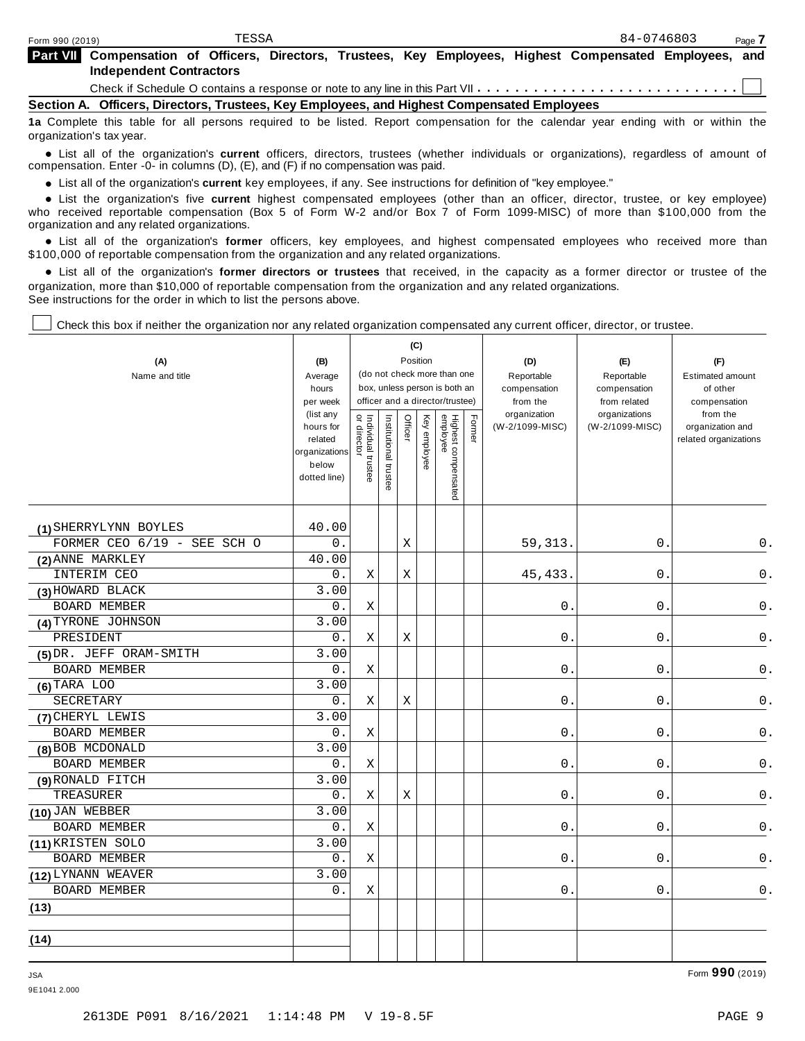Form <sup>990</sup> (2019) Page **7** TESSA 84-0746803

**Compensation of Officers, Directors, Trustees, Key Employees, Highest Compensated Employees, and Part VII Independent Contractors**

Check if Schedule O contains a response or note to any line in this Part VII  $\dots \dots \dots \dots \dots \dots \dots \dots \dots \dots$ 

**Section A. Officers, Directors, Trustees, Key Employees, and Highest Compensated Employees**

**1a** Complete this table for all persons required to be listed. Report compensation for the calendar year ending with or within the organization's tax year.

anization's lax year.<br>● List all of the organization's **current** officers, directors, trustees (whether individuals or organizations), regardless of amount of<br>nnensation Enter -0- in columns (D) (E) and (E) if no compensa compensation. Enter -0- in columns (D), (E), and (F) if no compensation was paid.

**■** List all of the organization's **current** key employees, if any. See instructions for definition of "key employee."<br>■ List the experientials five event highert expressed employees (other than an efficer director of

**Example in the organization's current** key employees, if any. See instructions for definition of key employee.<br>• List the organization's five **current** highest compensated employees (other than an officer, director, trust who received reportable compensation (Box 5 of Form W-2 and/or Box 7 of Form 1099-MISC) of more than \$100,000 from the

organization and any related organizations.<br>• List all of the organization's **former** officers, key employees, and highest compensated employees who received more than<br>\$1.00.000 of reportable componention from the erganiza \$100,000 of reportable compensation from the organization and any related organizations.

% List all of the organization's **former directors or trustees** that received, in the capacity as a former director or trustee of the organization, more than \$10,000 of reportable compensation from the organization and any related organizations. See instructions for the order in which to list the persons above.

 $\mathbf{C}$ 

Check this box if neither the organization nor any related organization compensated any current officer, director, or trustee.

| (A)<br>Name and title       | (B)<br>Average<br>hours<br>per week<br>(list any<br>hours for<br>related<br>organizations<br>below<br>dotted line) | Individual trustee<br>or director | Institutional trustee | (ပ)<br>Officer | Position<br>Key employee | (do not check more than one<br>box, unless person is both an<br>officer and a director/trustee)<br>Highest compensated<br>employee | Former | (D)<br>Reportable<br>compensation<br>from the<br>organization<br>(W-2/1099-MISC) | (E)<br>Reportable<br>compensation<br>from related<br>organizations<br>(W-2/1099-MISC) | (F)<br><b>Estimated amount</b><br>of other<br>compensation<br>from the<br>organization and<br>related organizations |
|-----------------------------|--------------------------------------------------------------------------------------------------------------------|-----------------------------------|-----------------------|----------------|--------------------------|------------------------------------------------------------------------------------------------------------------------------------|--------|----------------------------------------------------------------------------------|---------------------------------------------------------------------------------------|---------------------------------------------------------------------------------------------------------------------|
| (1) SHERRYLYNN BOYLES       | 40.00                                                                                                              |                                   |                       |                |                          |                                                                                                                                    |        |                                                                                  |                                                                                       |                                                                                                                     |
| FORMER CEO 6/19 - SEE SCH O | 0.                                                                                                                 |                                   |                       | X              |                          |                                                                                                                                    |        | 59, 313.                                                                         | 0                                                                                     | 0.                                                                                                                  |
| (2) ANNE MARKLEY            | 40.00                                                                                                              |                                   |                       |                |                          |                                                                                                                                    |        |                                                                                  |                                                                                       |                                                                                                                     |
| INTERIM CEO                 | $0$ .                                                                                                              | Χ                                 |                       | $\mathbf X$    |                          |                                                                                                                                    |        | 45, 433.                                                                         | 0                                                                                     | $\mathsf 0$ .                                                                                                       |
| (3) HOWARD BLACK            | 3.00                                                                                                               |                                   |                       |                |                          |                                                                                                                                    |        |                                                                                  |                                                                                       |                                                                                                                     |
| <b>BOARD MEMBER</b>         | 0.                                                                                                                 | X                                 |                       |                |                          |                                                                                                                                    |        | 0                                                                                | $\mathbf 0$                                                                           | $0$ .                                                                                                               |
| (4) TYRONE JOHNSON          | 3.00                                                                                                               |                                   |                       |                |                          |                                                                                                                                    |        |                                                                                  |                                                                                       |                                                                                                                     |
| PRESIDENT                   | 0.                                                                                                                 | Χ                                 |                       | Χ              |                          |                                                                                                                                    |        | 0.                                                                               | $0$ .                                                                                 | $\mathsf 0$ .                                                                                                       |
| (5) DR. JEFF ORAM-SMITH     | 3.00                                                                                                               |                                   |                       |                |                          |                                                                                                                                    |        |                                                                                  |                                                                                       |                                                                                                                     |
| BOARD MEMBER                | О.                                                                                                                 | Χ                                 |                       |                |                          |                                                                                                                                    |        | 0.                                                                               | 0                                                                                     | $0$ .                                                                                                               |
| $(6)$ TARA LOO              | 3.00                                                                                                               |                                   |                       |                |                          |                                                                                                                                    |        |                                                                                  |                                                                                       |                                                                                                                     |
| SECRETARY                   | 0.                                                                                                                 | $\rm X$                           |                       | Χ              |                          |                                                                                                                                    |        | 0                                                                                | 0                                                                                     | 0.                                                                                                                  |
| (7) CHERYL LEWIS            | 3.00                                                                                                               |                                   |                       |                |                          |                                                                                                                                    |        |                                                                                  |                                                                                       |                                                                                                                     |
| BOARD MEMBER                | 0.                                                                                                                 | Χ                                 |                       |                |                          |                                                                                                                                    |        | $\mathsf 0$                                                                      | 0                                                                                     | $0$ .                                                                                                               |
| (8) BOB MCDONALD            | 3.00                                                                                                               |                                   |                       |                |                          |                                                                                                                                    |        |                                                                                  |                                                                                       |                                                                                                                     |
| <b>BOARD MEMBER</b>         | О.                                                                                                                 | Χ                                 |                       |                |                          |                                                                                                                                    |        | 0                                                                                | 0                                                                                     | 0.                                                                                                                  |
| (9) RONALD FITCH            | 3.00                                                                                                               |                                   |                       |                |                          |                                                                                                                                    |        |                                                                                  |                                                                                       |                                                                                                                     |
| TREASURER                   | 0.                                                                                                                 | X                                 |                       | $\mathbf X$    |                          |                                                                                                                                    |        | $\mathbf 0$                                                                      | $\mathsf 0$                                                                           | $0$ .                                                                                                               |
| $(10)$ JAN WEBBER           | 3.00                                                                                                               |                                   |                       |                |                          |                                                                                                                                    |        |                                                                                  |                                                                                       |                                                                                                                     |
| <b>BOARD MEMBER</b>         | О.                                                                                                                 | Χ                                 |                       |                |                          |                                                                                                                                    |        | $\mathsf{O}$                                                                     | $\mathsf{O}$ .                                                                        | $\mathsf 0$ .                                                                                                       |
| (11) KRISTEN SOLO           | 3.00                                                                                                               |                                   |                       |                |                          |                                                                                                                                    |        |                                                                                  |                                                                                       |                                                                                                                     |
| BOARD MEMBER                | 0.                                                                                                                 | Χ                                 |                       |                |                          |                                                                                                                                    |        | 0                                                                                | $\mathsf{O}$ .                                                                        | $0$ .                                                                                                               |
| (12) LYNANN WEAVER          | 3.00                                                                                                               |                                   |                       |                |                          |                                                                                                                                    |        |                                                                                  |                                                                                       |                                                                                                                     |
| <b>BOARD MEMBER</b>         | 0.                                                                                                                 | Χ                                 |                       |                |                          |                                                                                                                                    |        | 0                                                                                | 0                                                                                     | 0.                                                                                                                  |
| (13)                        |                                                                                                                    |                                   |                       |                |                          |                                                                                                                                    |        |                                                                                  |                                                                                       |                                                                                                                     |
| (14)                        |                                                                                                                    |                                   |                       |                |                          |                                                                                                                                    |        |                                                                                  |                                                                                       |                                                                                                                     |

 $JSA$  **Form**  $990$  (2019)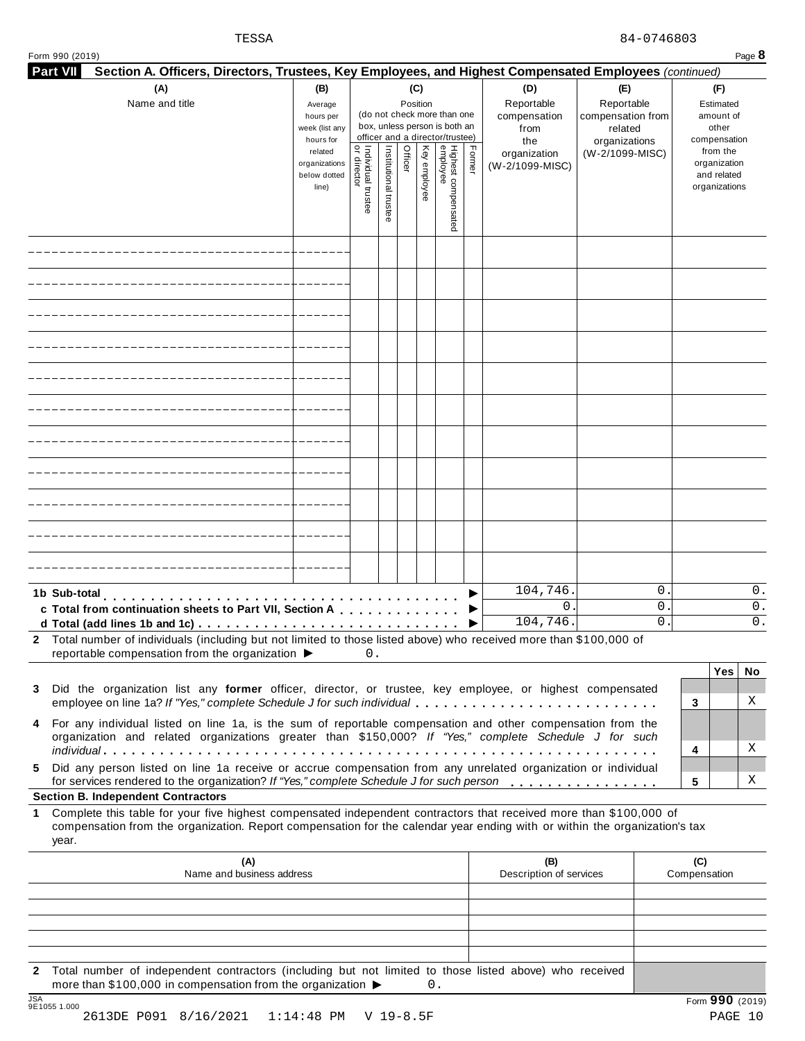| (A)<br>(B)<br>(C)<br>(D)<br>(E)<br>(F)<br>Reportable<br>Reportable<br>Name and title<br>Position<br>Estimated<br>Average<br>(do not check more than one<br>compensation<br>compensation from<br>amount of<br>hours per<br>box, unless person is both an<br>other<br>week (list any<br>related<br>from<br>officer and a director/trustee)<br>compensation<br>hours for<br>the<br>organizations<br>  Individual trustee<br> <br>  or director<br>Highest compensated<br>employee<br>Institutional trustee<br>Key employee<br>Former<br>Officer<br>from the<br>related<br>(W-2/1099-MISC)<br>organization<br>organization<br>organizations<br>(W-2/1099-MISC)<br>below dotted<br>and related<br>organizations<br>line)<br>104,746.<br>$0$ .<br>1b Sub-total<br>$0$ .<br>$0$ .<br>c Total from continuation sheets to Part VII, Section A<br>104,746.<br>0<br>d Total (add lines 1b and 1c) $\cdots \cdots \cdots \cdots \cdots \cdots \cdots \cdots \cdots \cdots \cdots$<br>2 Total number of individuals (including but not limited to those listed above) who received more than \$100,000 of<br>reportable compensation from the organization $\blacktriangleright$<br>0.<br>Yes  <br>Did the organization list any former officer, director, or trustee, key employee, or highest compensated<br>3<br>Χ<br>employee on line 1a? If "Yes," complete Schedule J for such individual<br>3<br>For any individual listed on line 1a, is the sum of reportable compensation and other compensation from the<br>4<br>organization and related organizations greater than \$150,000? If "Yes," complete Schedule J for such<br>Χ<br>4<br>Did any person listed on line 1a receive or accrue compensation from any unrelated organization or individual<br>5.<br>Χ<br>for services rendered to the organization? If "Yes," complete Schedule J for such person<br>5<br><b>Section B. Independent Contractors</b><br>Complete this table for your five highest compensated independent contractors that received more than \$100,000 of<br>1<br>compensation from the organization. Report compensation for the calendar year ending with or within the organization's tax<br>year.<br>(C)<br>(A)<br>(B)<br>Name and business address<br>Description of services<br>Compensation | Form 990 (2019)<br><b>Part VII</b><br>Section A. Officers, Directors, Trustees, Key Employees, and Highest Compensated Employees (continued) |  |  |  |  |  | Page 8   |
|--------------------------------------------------------------------------------------------------------------------------------------------------------------------------------------------------------------------------------------------------------------------------------------------------------------------------------------------------------------------------------------------------------------------------------------------------------------------------------------------------------------------------------------------------------------------------------------------------------------------------------------------------------------------------------------------------------------------------------------------------------------------------------------------------------------------------------------------------------------------------------------------------------------------------------------------------------------------------------------------------------------------------------------------------------------------------------------------------------------------------------------------------------------------------------------------------------------------------------------------------------------------------------------------------------------------------------------------------------------------------------------------------------------------------------------------------------------------------------------------------------------------------------------------------------------------------------------------------------------------------------------------------------------------------------------------------------------------------------------------------------------------------------------------------------------------------------------------------------------------------------------------------------------------------------------------------------------------------------------------------------------------------------------------------------------------------------------------------------------------------------------------------------------------------------------------------------------------------------------------------------------------------|----------------------------------------------------------------------------------------------------------------------------------------------|--|--|--|--|--|----------|
|                                                                                                                                                                                                                                                                                                                                                                                                                                                                                                                                                                                                                                                                                                                                                                                                                                                                                                                                                                                                                                                                                                                                                                                                                                                                                                                                                                                                                                                                                                                                                                                                                                                                                                                                                                                                                                                                                                                                                                                                                                                                                                                                                                                                                                                                          |                                                                                                                                              |  |  |  |  |  |          |
|                                                                                                                                                                                                                                                                                                                                                                                                                                                                                                                                                                                                                                                                                                                                                                                                                                                                                                                                                                                                                                                                                                                                                                                                                                                                                                                                                                                                                                                                                                                                                                                                                                                                                                                                                                                                                                                                                                                                                                                                                                                                                                                                                                                                                                                                          |                                                                                                                                              |  |  |  |  |  |          |
|                                                                                                                                                                                                                                                                                                                                                                                                                                                                                                                                                                                                                                                                                                                                                                                                                                                                                                                                                                                                                                                                                                                                                                                                                                                                                                                                                                                                                                                                                                                                                                                                                                                                                                                                                                                                                                                                                                                                                                                                                                                                                                                                                                                                                                                                          |                                                                                                                                              |  |  |  |  |  |          |
|                                                                                                                                                                                                                                                                                                                                                                                                                                                                                                                                                                                                                                                                                                                                                                                                                                                                                                                                                                                                                                                                                                                                                                                                                                                                                                                                                                                                                                                                                                                                                                                                                                                                                                                                                                                                                                                                                                                                                                                                                                                                                                                                                                                                                                                                          |                                                                                                                                              |  |  |  |  |  |          |
|                                                                                                                                                                                                                                                                                                                                                                                                                                                                                                                                                                                                                                                                                                                                                                                                                                                                                                                                                                                                                                                                                                                                                                                                                                                                                                                                                                                                                                                                                                                                                                                                                                                                                                                                                                                                                                                                                                                                                                                                                                                                                                                                                                                                                                                                          |                                                                                                                                              |  |  |  |  |  |          |
|                                                                                                                                                                                                                                                                                                                                                                                                                                                                                                                                                                                                                                                                                                                                                                                                                                                                                                                                                                                                                                                                                                                                                                                                                                                                                                                                                                                                                                                                                                                                                                                                                                                                                                                                                                                                                                                                                                                                                                                                                                                                                                                                                                                                                                                                          |                                                                                                                                              |  |  |  |  |  |          |
|                                                                                                                                                                                                                                                                                                                                                                                                                                                                                                                                                                                                                                                                                                                                                                                                                                                                                                                                                                                                                                                                                                                                                                                                                                                                                                                                                                                                                                                                                                                                                                                                                                                                                                                                                                                                                                                                                                                                                                                                                                                                                                                                                                                                                                                                          |                                                                                                                                              |  |  |  |  |  |          |
|                                                                                                                                                                                                                                                                                                                                                                                                                                                                                                                                                                                                                                                                                                                                                                                                                                                                                                                                                                                                                                                                                                                                                                                                                                                                                                                                                                                                                                                                                                                                                                                                                                                                                                                                                                                                                                                                                                                                                                                                                                                                                                                                                                                                                                                                          |                                                                                                                                              |  |  |  |  |  |          |
|                                                                                                                                                                                                                                                                                                                                                                                                                                                                                                                                                                                                                                                                                                                                                                                                                                                                                                                                                                                                                                                                                                                                                                                                                                                                                                                                                                                                                                                                                                                                                                                                                                                                                                                                                                                                                                                                                                                                                                                                                                                                                                                                                                                                                                                                          |                                                                                                                                              |  |  |  |  |  |          |
|                                                                                                                                                                                                                                                                                                                                                                                                                                                                                                                                                                                                                                                                                                                                                                                                                                                                                                                                                                                                                                                                                                                                                                                                                                                                                                                                                                                                                                                                                                                                                                                                                                                                                                                                                                                                                                                                                                                                                                                                                                                                                                                                                                                                                                                                          |                                                                                                                                              |  |  |  |  |  |          |
|                                                                                                                                                                                                                                                                                                                                                                                                                                                                                                                                                                                                                                                                                                                                                                                                                                                                                                                                                                                                                                                                                                                                                                                                                                                                                                                                                                                                                                                                                                                                                                                                                                                                                                                                                                                                                                                                                                                                                                                                                                                                                                                                                                                                                                                                          |                                                                                                                                              |  |  |  |  |  |          |
|                                                                                                                                                                                                                                                                                                                                                                                                                                                                                                                                                                                                                                                                                                                                                                                                                                                                                                                                                                                                                                                                                                                                                                                                                                                                                                                                                                                                                                                                                                                                                                                                                                                                                                                                                                                                                                                                                                                                                                                                                                                                                                                                                                                                                                                                          |                                                                                                                                              |  |  |  |  |  |          |
|                                                                                                                                                                                                                                                                                                                                                                                                                                                                                                                                                                                                                                                                                                                                                                                                                                                                                                                                                                                                                                                                                                                                                                                                                                                                                                                                                                                                                                                                                                                                                                                                                                                                                                                                                                                                                                                                                                                                                                                                                                                                                                                                                                                                                                                                          |                                                                                                                                              |  |  |  |  |  |          |
|                                                                                                                                                                                                                                                                                                                                                                                                                                                                                                                                                                                                                                                                                                                                                                                                                                                                                                                                                                                                                                                                                                                                                                                                                                                                                                                                                                                                                                                                                                                                                                                                                                                                                                                                                                                                                                                                                                                                                                                                                                                                                                                                                                                                                                                                          |                                                                                                                                              |  |  |  |  |  | 0.<br>0. |
|                                                                                                                                                                                                                                                                                                                                                                                                                                                                                                                                                                                                                                                                                                                                                                                                                                                                                                                                                                                                                                                                                                                                                                                                                                                                                                                                                                                                                                                                                                                                                                                                                                                                                                                                                                                                                                                                                                                                                                                                                                                                                                                                                                                                                                                                          |                                                                                                                                              |  |  |  |  |  | 0.       |
|                                                                                                                                                                                                                                                                                                                                                                                                                                                                                                                                                                                                                                                                                                                                                                                                                                                                                                                                                                                                                                                                                                                                                                                                                                                                                                                                                                                                                                                                                                                                                                                                                                                                                                                                                                                                                                                                                                                                                                                                                                                                                                                                                                                                                                                                          |                                                                                                                                              |  |  |  |  |  |          |
|                                                                                                                                                                                                                                                                                                                                                                                                                                                                                                                                                                                                                                                                                                                                                                                                                                                                                                                                                                                                                                                                                                                                                                                                                                                                                                                                                                                                                                                                                                                                                                                                                                                                                                                                                                                                                                                                                                                                                                                                                                                                                                                                                                                                                                                                          |                                                                                                                                              |  |  |  |  |  | No       |
|                                                                                                                                                                                                                                                                                                                                                                                                                                                                                                                                                                                                                                                                                                                                                                                                                                                                                                                                                                                                                                                                                                                                                                                                                                                                                                                                                                                                                                                                                                                                                                                                                                                                                                                                                                                                                                                                                                                                                                                                                                                                                                                                                                                                                                                                          |                                                                                                                                              |  |  |  |  |  |          |
|                                                                                                                                                                                                                                                                                                                                                                                                                                                                                                                                                                                                                                                                                                                                                                                                                                                                                                                                                                                                                                                                                                                                                                                                                                                                                                                                                                                                                                                                                                                                                                                                                                                                                                                                                                                                                                                                                                                                                                                                                                                                                                                                                                                                                                                                          |                                                                                                                                              |  |  |  |  |  |          |
|                                                                                                                                                                                                                                                                                                                                                                                                                                                                                                                                                                                                                                                                                                                                                                                                                                                                                                                                                                                                                                                                                                                                                                                                                                                                                                                                                                                                                                                                                                                                                                                                                                                                                                                                                                                                                                                                                                                                                                                                                                                                                                                                                                                                                                                                          |                                                                                                                                              |  |  |  |  |  |          |
|                                                                                                                                                                                                                                                                                                                                                                                                                                                                                                                                                                                                                                                                                                                                                                                                                                                                                                                                                                                                                                                                                                                                                                                                                                                                                                                                                                                                                                                                                                                                                                                                                                                                                                                                                                                                                                                                                                                                                                                                                                                                                                                                                                                                                                                                          |                                                                                                                                              |  |  |  |  |  |          |
|                                                                                                                                                                                                                                                                                                                                                                                                                                                                                                                                                                                                                                                                                                                                                                                                                                                                                                                                                                                                                                                                                                                                                                                                                                                                                                                                                                                                                                                                                                                                                                                                                                                                                                                                                                                                                                                                                                                                                                                                                                                                                                                                                                                                                                                                          |                                                                                                                                              |  |  |  |  |  |          |
|                                                                                                                                                                                                                                                                                                                                                                                                                                                                                                                                                                                                                                                                                                                                                                                                                                                                                                                                                                                                                                                                                                                                                                                                                                                                                                                                                                                                                                                                                                                                                                                                                                                                                                                                                                                                                                                                                                                                                                                                                                                                                                                                                                                                                                                                          |                                                                                                                                              |  |  |  |  |  |          |
|                                                                                                                                                                                                                                                                                                                                                                                                                                                                                                                                                                                                                                                                                                                                                                                                                                                                                                                                                                                                                                                                                                                                                                                                                                                                                                                                                                                                                                                                                                                                                                                                                                                                                                                                                                                                                                                                                                                                                                                                                                                                                                                                                                                                                                                                          |                                                                                                                                              |  |  |  |  |  |          |
|                                                                                                                                                                                                                                                                                                                                                                                                                                                                                                                                                                                                                                                                                                                                                                                                                                                                                                                                                                                                                                                                                                                                                                                                                                                                                                                                                                                                                                                                                                                                                                                                                                                                                                                                                                                                                                                                                                                                                                                                                                                                                                                                                                                                                                                                          |                                                                                                                                              |  |  |  |  |  |          |
|                                                                                                                                                                                                                                                                                                                                                                                                                                                                                                                                                                                                                                                                                                                                                                                                                                                                                                                                                                                                                                                                                                                                                                                                                                                                                                                                                                                                                                                                                                                                                                                                                                                                                                                                                                                                                                                                                                                                                                                                                                                                                                                                                                                                                                                                          |                                                                                                                                              |  |  |  |  |  |          |

**2** Total number of independent contractors (including but not limited to those listed above) who received more than \$100,000 in compensation from the organization  $\triangleright$  0.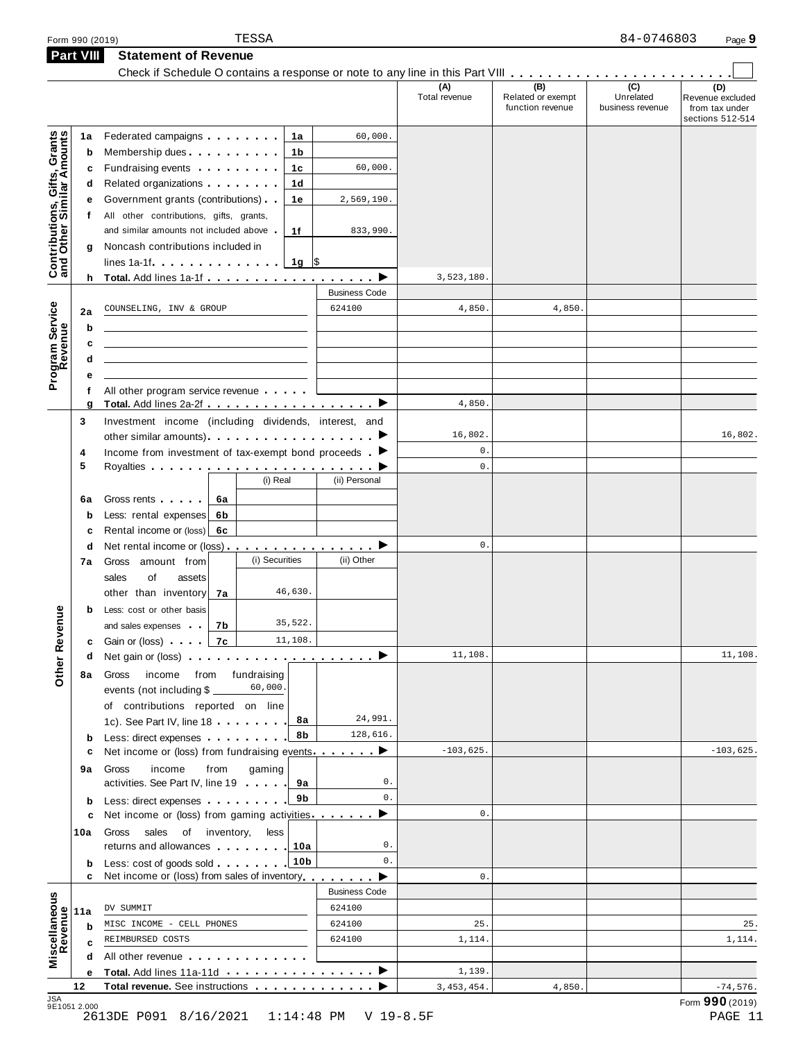| <b>Part VIII</b>                                          |             | <b>Statement of Revenue</b><br>Check if Schedule O contains a response or note to any line in this Part VIII                                                                                                                                                             |                      |                      |                      |                                              |                                                 |                                                               |
|-----------------------------------------------------------|-------------|--------------------------------------------------------------------------------------------------------------------------------------------------------------------------------------------------------------------------------------------------------------------------|----------------------|----------------------|----------------------|----------------------------------------------|-------------------------------------------------|---------------------------------------------------------------|
|                                                           |             |                                                                                                                                                                                                                                                                          |                      |                      | (A)<br>Total revenue | (B)<br>Related or exempt<br>function revenue | $\overline{C}$<br>Unrelated<br>business revenue | (D)<br>Revenue excluded<br>from tax under<br>sections 512-514 |
| Contributions, Gifts, Grants<br>and Other Similar Amounts | 1a          | Federated campaigns <b>Federated</b>                                                                                                                                                                                                                                     | 1a                   | 60,000.              |                      |                                              |                                                 |                                                               |
|                                                           | b           | Membership dues <b>All Accords</b> Membership dues                                                                                                                                                                                                                       | 1 <sub>b</sub>       |                      |                      |                                              |                                                 |                                                               |
|                                                           | с           | Fundraising events <b>Exercises</b>                                                                                                                                                                                                                                      | 1c<br>1 <sub>d</sub> | 60,000.              |                      |                                              |                                                 |                                                               |
|                                                           | d           | Related organizations <b>contains</b> and the Related organizations and all the Relations of the Relations of the Relations of the Relations of the Relations of the Relations of the Relations of the Relations of the Relations o<br>Government grants (contributions) | 1e                   | 2,569,190.           |                      |                                              |                                                 |                                                               |
|                                                           | е<br>f      | All other contributions, gifts, grants,                                                                                                                                                                                                                                  |                      |                      |                      |                                              |                                                 |                                                               |
|                                                           |             | and similar amounts not included above                                                                                                                                                                                                                                   | 1f                   | 833,990.             |                      |                                              |                                                 |                                                               |
|                                                           | g           | Noncash contributions included in                                                                                                                                                                                                                                        |                      |                      |                      |                                              |                                                 |                                                               |
|                                                           |             | $lines 1a-1f$ $\cdots$ $\cdots$ $\cdots$                                                                                                                                                                                                                                 | 1g ∣\$               |                      |                      |                                              |                                                 |                                                               |
|                                                           | h           |                                                                                                                                                                                                                                                                          |                      |                      | 3,523,180.           |                                              |                                                 |                                                               |
|                                                           |             |                                                                                                                                                                                                                                                                          |                      | <b>Business Code</b> |                      |                                              |                                                 |                                                               |
|                                                           | 2a          | COUNSELING, INV & GROUP                                                                                                                                                                                                                                                  |                      | 624100               | 4,850.               | 4,850                                        |                                                 |                                                               |
|                                                           | b           |                                                                                                                                                                                                                                                                          |                      |                      |                      |                                              |                                                 |                                                               |
|                                                           | с           |                                                                                                                                                                                                                                                                          |                      |                      |                      |                                              |                                                 |                                                               |
|                                                           | d           |                                                                                                                                                                                                                                                                          |                      |                      |                      |                                              |                                                 |                                                               |
| Program Service<br>Revenue                                | е           |                                                                                                                                                                                                                                                                          |                      |                      |                      |                                              |                                                 |                                                               |
|                                                           | f           | All other program service revenue                                                                                                                                                                                                                                        |                      |                      |                      |                                              |                                                 |                                                               |
|                                                           | g           |                                                                                                                                                                                                                                                                          |                      |                      | 4,850                |                                              |                                                 |                                                               |
|                                                           | 3           | Investment income (including dividends, interest, and                                                                                                                                                                                                                    |                      |                      |                      |                                              |                                                 |                                                               |
|                                                           |             | other similar amounts) ▶                                                                                                                                                                                                                                                 |                      |                      | 16,802.              |                                              |                                                 | 16,802.                                                       |
|                                                           | 4           | Income from investment of tax-exempt bond proceeds $\blacktriangleright$                                                                                                                                                                                                 |                      |                      | $0$ .                |                                              |                                                 |                                                               |
|                                                           | 5           |                                                                                                                                                                                                                                                                          |                      |                      | $\mathbf{0}$ .       |                                              |                                                 |                                                               |
|                                                           |             | (i) Real                                                                                                                                                                                                                                                                 |                      | (ii) Personal        |                      |                                              |                                                 |                                                               |
|                                                           | 6a          | Gross rents<br>6a                                                                                                                                                                                                                                                        |                      |                      |                      |                                              |                                                 |                                                               |
|                                                           | $\mathbf b$ | Less: rental expenses<br>6b                                                                                                                                                                                                                                              |                      |                      |                      |                                              |                                                 |                                                               |
|                                                           | c           | Rental income or (loss)<br>6с                                                                                                                                                                                                                                            |                      |                      |                      |                                              |                                                 |                                                               |
|                                                           | d           | Net rental income or (loss) $\cdots$ $\cdots$ $\cdots$ $\cdots$ $\cdots$                                                                                                                                                                                                 |                      |                      | 0.                   |                                              |                                                 |                                                               |
|                                                           | 7а          | (i) Securities<br>Gross amount from                                                                                                                                                                                                                                      |                      | (ii) Other           |                      |                                              |                                                 |                                                               |
|                                                           |             | of<br>sales<br>assets                                                                                                                                                                                                                                                    |                      |                      |                      |                                              |                                                 |                                                               |
|                                                           |             | other than inventory<br>7a                                                                                                                                                                                                                                               | 46,630.              |                      |                      |                                              |                                                 |                                                               |
|                                                           | b           | Less: cost or other basis                                                                                                                                                                                                                                                |                      |                      |                      |                                              |                                                 |                                                               |
| enueve                                                    |             | 7b<br>and sales expenses                                                                                                                                                                                                                                                 | 35,522.              |                      |                      |                                              |                                                 |                                                               |
|                                                           |             | Gain or (loss) 7c                                                                                                                                                                                                                                                        | $11\,, 108$ .        |                      |                      |                                              |                                                 |                                                               |
| Other <sub>R</sub>                                        | d           | Net gain or (loss) $\cdots$ $\cdots$ $\cdots$ $\cdots$ $\cdots$ $\cdots$ $\cdots$                                                                                                                                                                                        |                      |                      | 11,108.              |                                              |                                                 | 11,108.                                                       |
|                                                           | 8а          | from fundraising<br>Gross<br>income                                                                                                                                                                                                                                      |                      |                      |                      |                                              |                                                 |                                                               |
|                                                           |             | 60,000.<br>events (not including \$                                                                                                                                                                                                                                      |                      |                      |                      |                                              |                                                 |                                                               |
|                                                           |             | of contributions reported on line                                                                                                                                                                                                                                        |                      |                      |                      |                                              |                                                 |                                                               |
|                                                           |             | 1c). See Part IV, line 18                                                                                                                                                                                                                                                | 8а                   | 24,991.              |                      |                                              |                                                 |                                                               |
|                                                           | $\mathbf b$ | Less: direct expenses extending the state of the state of the state of the state of the state of the state of the state of the state of the state of the state of the state of the state of the state of the state of the stat                                           | 8b                   | 128,616.             |                      |                                              |                                                 |                                                               |
|                                                           | c           | Net income or (loss) from fundraising events ▶                                                                                                                                                                                                                           |                      |                      | $-103,625.$          |                                              |                                                 | $-103,625.$                                                   |
|                                                           | 9а          | income<br>from<br>gaming<br>Gross                                                                                                                                                                                                                                        |                      |                      |                      |                                              |                                                 |                                                               |
|                                                           |             | activities. See Part IV, line 19                                                                                                                                                                                                                                         | 9а                   | 0.                   |                      |                                              |                                                 |                                                               |
|                                                           | b           | Less: direct expenses                                                                                                                                                                                                                                                    | 9b                   | $0$ .                |                      |                                              |                                                 |                                                               |
|                                                           | c           | Net income or (loss) from gaming activities.                                                                                                                                                                                                                             |                      |                      | 0.                   |                                              |                                                 |                                                               |
|                                                           | 10a         | Gross<br>sales of inventory,<br>less                                                                                                                                                                                                                                     |                      |                      |                      |                                              |                                                 |                                                               |
|                                                           |             | returns and allowances                                                                                                                                                                                                                                                   | 10a                  | 0.                   |                      |                                              |                                                 |                                                               |
|                                                           | b           | Less: cost of goods sold                                                                                                                                                                                                                                                 | 10 <sub>b</sub>      | $\mathbf 0$ .        |                      |                                              |                                                 |                                                               |
|                                                           | c           | Net income or (loss) from sales of inventory                                                                                                                                                                                                                             |                      |                      | $0$ .                |                                              |                                                 |                                                               |
|                                                           |             |                                                                                                                                                                                                                                                                          |                      | <b>Business Code</b> |                      |                                              |                                                 |                                                               |
| Miscellaneous<br>Revenue                                  | 11a         | DV SUMMIT                                                                                                                                                                                                                                                                |                      | 624100               |                      |                                              |                                                 |                                                               |
|                                                           | b           | MISC INCOME - CELL PHONES                                                                                                                                                                                                                                                |                      | 624100               | 25.                  |                                              |                                                 | 25.                                                           |
|                                                           | C           | REIMBURSED COSTS                                                                                                                                                                                                                                                         |                      | 624100               | 1,114.               |                                              |                                                 | 1,114.                                                        |
|                                                           | d           | All other revenue entitled and the state of the state of the state of the state of the state of the state of the state of the state of the state of the state of the state of the state of the state of the state of the state                                           |                      |                      |                      |                                              |                                                 |                                                               |
|                                                           | е           | Total. Add lines 11a-11d (a) a matter of December 11a + 10a matter of December 11a + 10a matter of December 11                                                                                                                                                           |                      |                      | 1,139.               |                                              |                                                 |                                                               |
| <b>JSA</b>                                                | 12          | Total revenue. See instructions                                                                                                                                                                                                                                          |                      |                      | 3, 453, 454.         | 4,850.                                       |                                                 | $-74,576.$<br>Form 990 (2019)                                 |

Form <sup>990</sup> (2019) Page **9**

TESSA 84-0746803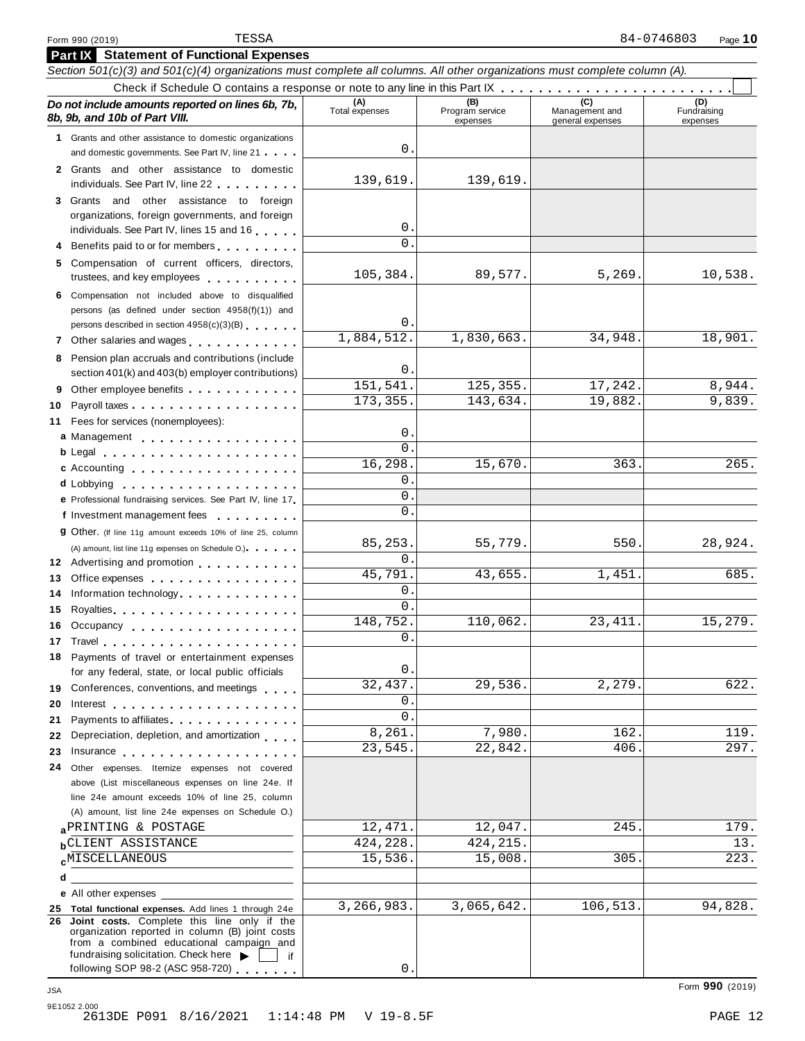**Part IX Statement of Functional Expenses** Section 501(c)(3) and 501(c)(4) organizations must complete all columns. All other organizations must complete column (A). Check if Schedule <sup>O</sup> contains <sup>a</sup> response or note to any line in this Part IX m m m m m m m m m m m m m m m m m m m m m m m m m *Do no* **(A) (B) (C) (D)** *t include amounts reported on lines 6b, 7b,* **8b, 9b, and 10b of Part VIII.** The construction of *B***, 9b, and 10b of Part VIII.** expenses Management and general expenses Fundraising expenses **1** Grants and other assistance to domestic organizations and domestic governments. See Part IV, line 21 m m m **2** Grants and other assistance to domestic individuals. See Part IV, line 22 **3** Grants and other assistance to foreign organizations, foreign governments, and foreign individuals. See Part IV, lines <sup>15</sup> and <sup>16</sup> <sup>m</sup> <sup>m</sup> <sup>m</sup> <sup>m</sup> <sup>m</sup> **<sup>4</sup>** Benefits paid to or for members <sup>m</sup> <sup>m</sup> <sup>m</sup> <sup>m</sup> <sup>m</sup> <sup>m</sup> <sup>m</sup> <sup>m</sup> <sup>m</sup> **5** Compensation of current officers, directors, trustees, and key employees m m m m m m m m m m **6** Compensation not included above to disqualified persons (as defined under section 4958(f)(1)) and persons described in section 4958(c)(3)(B) <sup>m</sup> <sup>m</sup> <sup>m</sup> <sup>m</sup> <sup>m</sup> <sup>m</sup> **<sup>7</sup>** Other salaries and wages <sup>m</sup> <sup>m</sup> <sup>m</sup> <sup>m</sup> <sup>m</sup> <sup>m</sup> <sup>m</sup> <sup>m</sup> <sup>m</sup> <sup>m</sup> <sup>m</sup> <sup>m</sup> **8** Pension plan accruals and contributions (include section 401(k) and 403(b) employer contributions) **9** Section 401(k) and 403(b) employer contributions<br>9 Other employee benefits 9 Other employee benefits **10** Payroll taxes **10** Fees for services (nonemployees): **11** A) amount, list line 11g expenses on Schedule O.)<br>**12** Advertising and promotion **manual 13** Office expenses **13** Office expenses<br>**14** Information technology............. **15 16** Occupancy m m m m m m m m m m m m m m m m m m **16** Occupancy ...................<br>17 Travel..................... **18** Payments of travel or entertainment expenses **19 19** Conferences, conventions, and meetings **endorship.**<br>20 Interest **manual meeting 21** Payments to affiliates **22 22** Depreciation, depletion, and amortization **manufation**<br>23 Insurance 24 Other expenses. Itemize expenses not covered | Fees for services (nonemployees):<br>**a** Management ..................<br>**b** Legal ......................... **cd** Lobbying m m m m m m m m m m m m m m m m m m m **e** Professional fundraising services. See Part IV, line <sup>17</sup> m **P** Professional fundraising services. See Part IV, line 17<br>**f** Investment management fees **g** Other. (If line 11g amount exceeds 10% of line 25, column Legal m m m m m m m m m m m m m m m m m m m m m Accounting m m m m m m m m m m m m m m m m m m (A) amount, list line 11g expenses on Schedule O.) means m m m m m m m m m m m m m m m m Royalties m m m m m m m m m m m m m m m m m m m m for any federal, state, or local public officials for any federal, state, or local public officials<br>Conferences, conventions, and meetings Payments to affiliates<br>Depreciation, depletion, and amortization<br>
<sub>starr</sub> and amortization m m m m m m m m m m m m m m above (List miscellaneous expenses on line 24e. If line 24e amount exceeds 10% of line 25, column (A) amount, list line 24e expenses on Schedule O.) **a** <u>PRINTING & POSTAGE</u> 12,471. 12,047. 245. 179.<br> **b**CLIENT ASSISTANCE 424,228. 424,215. 13. **c**<sup>MISCELLANEOUS 15,536. 15,008. 305. 223.</sup> **e** All other expenses **25 Total functional expenses.** Add lines 1 through 24e **26 Joint costs.** Complete this line only if the organization reported in column (B) joint costs from a combined educational campaign and from a combined educational campaign and<br>fundraising solicitation. Check here  $\blacktriangleright$  if<br>following SOP 98-2 (ASC 958-720)  $\Omega$ 139,619. 139,619 0.  $\mathbf{0}$ .  $105,384.$  89,577. 5,269. 10,538. 0. 1,884,512. 1,830,663. 34,948. 18,901.  $\Omega$ 151,541. 125,355. 17,242. 8,944. 173,355. 143,634. 19,882. 9,839.  $\Omega$  $\overline{0}$ 16,298. 15,670. 363. 265. 0. 0.  $\overline{0}$ 85,253. 55,779. 550. 550. 550.  $\Omega$ 45,791. 43,655. 1,451. 685. 0. 0. 148,752. 110,062. 23,411. 15,279. 0. 0. 32,437. 29,536. 2,279. 622. 0.  $\overline{0}$ .  $8,261.$  7,980. 162. 162. 119. 23,545. 22,842. 406. 297. **PRINTING & POSTAGE 12,471. 12,047. 245.** 179. 3,266,983. 3,065,642. 106,513. 94,828.

0.

Form **990** (2019) JSA 9E1052 2.000 2613DE P091 8/16/2021 1:14:48 PM V 19-8.5F PAGE 12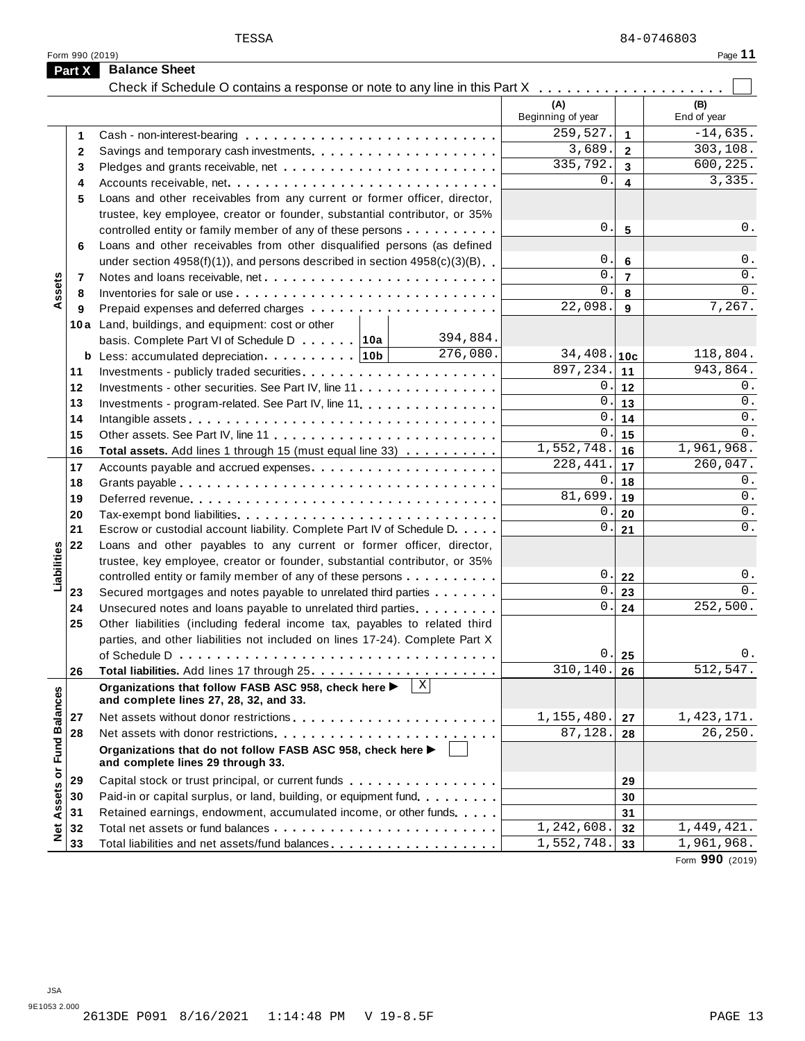|                              | Form 990 (2019) |                                                                                                                |                          |                | Page 11            |
|------------------------------|-----------------|----------------------------------------------------------------------------------------------------------------|--------------------------|----------------|--------------------|
|                              | Part X          | <b>Balance Sheet</b>                                                                                           |                          |                |                    |
|                              |                 |                                                                                                                |                          |                |                    |
|                              |                 |                                                                                                                | (A)<br>Beginning of year |                | (B)<br>End of year |
|                              | 1               |                                                                                                                | 259,527.                 | $\mathbf{1}$   | $-14,635.$         |
|                              | $\mathbf{2}$    |                                                                                                                | 3,689.                   | $\overline{2}$ | 303, 108.          |
|                              | 3               |                                                                                                                | 335,792.                 | 3              | 600, 225.          |
|                              | 4               | Accounts receivable, net                                                                                       | 0.                       | 4              | 3,335.             |
|                              | 5               | Loans and other receivables from any current or former officer, director,                                      |                          |                |                    |
|                              |                 | trustee, key employee, creator or founder, substantial contributor, or 35%                                     |                          |                |                    |
|                              |                 | controlled entity or family member of any of these persons                                                     | 0.                       | 5              | 0.                 |
|                              | 6               | Loans and other receivables from other disqualified persons (as defined                                        |                          |                |                    |
|                              |                 | under section $4958(f)(1)$ , and persons described in section $4958(c)(3)(B)$                                  | 0.                       | 6              | $0$ .              |
|                              | 7               |                                                                                                                | $\mathbf{0}$ .           | $\overline{7}$ | 0.                 |
| Assets                       | 8               |                                                                                                                | $\mathbf{0}$ .           | 8              | 0.                 |
|                              | 9               |                                                                                                                | 22,098.                  | 9              | 7,267.             |
|                              |                 | 10a Land, buildings, and equipment: cost or other                                                              |                          |                |                    |
|                              |                 | 394,884.<br>basis. Complete Part VI of Schedule D 10a                                                          |                          |                |                    |
|                              |                 | 276,080.<br><b>b</b> Less: accumulated depreciation   10b                                                      | $34,408.$ 10c            |                | 118,804.           |
|                              | 11              |                                                                                                                | $\overline{897,234}$ .   | 11             | 943,864.           |
|                              | 12              | Investments - other securities. See Part IV, line 11                                                           | 0.                       | 12             | 0.                 |
|                              | 13              | Investments - program-related. See Part IV, line 11.                                                           | $\mathbf{0}$ .           | 13             | $0$ .              |
|                              | 14              |                                                                                                                | $0$ .                    | 14             | $0$ .              |
|                              | 15              |                                                                                                                | 0.                       | 15             | $0$ .              |
|                              | 16              | Total assets. Add lines 1 through 15 (must equal line 33)                                                      | 1,552,748.               | 16             | 1,961,968.         |
|                              | 17              |                                                                                                                | 228,441.                 | 17             | 260,047.           |
|                              | 18              |                                                                                                                | 0.                       | 18             | 0.                 |
|                              | 19              |                                                                                                                | 81,699.                  | 19             | 0.                 |
|                              | 20              | Tax-exempt bond liabilities                                                                                    | 0.                       | 20             | 0.                 |
|                              | 21              | Escrow or custodial account liability. Complete Part IV of Schedule D.                                         | 0.                       | 21             | 0.                 |
|                              | 22              | Loans and other payables to any current or former officer, director,                                           |                          |                |                    |
| Liabilities                  |                 | trustee, key employee, creator or founder, substantial contributor, or 35%                                     |                          |                |                    |
|                              |                 | controlled entity or family member of any of these persons                                                     | 0.                       | 22             | 0.                 |
|                              | 23              | Secured mortgages and notes payable to unrelated third parties                                                 | 0.                       | 23             | 0.                 |
|                              | 24              | Unsecured notes and loans payable to unrelated third parties.                                                  | 0.                       | 24             | 252,500.           |
|                              | 25              | Other liabilities (including federal income tax, payables to related third                                     |                          |                |                    |
|                              |                 | parties, and other liabilities not included on lines 17-24). Complete Part X                                   |                          |                |                    |
|                              |                 | of Schedule D $\ldots \ldots \ldots \ldots \ldots \ldots \ldots \ldots \ldots \ldots \ldots$                   | 0.                       | 25             | $0$ .              |
|                              | 26              |                                                                                                                | 310, 140.                | 26             | 512, 547.          |
|                              |                 | $\mathbf{X}$<br>Organizations that follow FASB ASC 958, check here ▶<br>and complete lines 27, 28, 32, and 33. |                          |                |                    |
|                              | 27              | Net assets without donor restrictions                                                                          | 1,155,480.               | 27             | 1, 423, 171.       |
|                              | 28              |                                                                                                                | 87,128.                  | 28             | 26, 250.           |
| <b>Fund Balances</b>         |                 | Organizations that do not follow FASB ASC 958, check here ▶<br>and complete lines 29 through 33.               |                          |                |                    |
| $\overleftarrow{\mathbf{o}}$ |                 |                                                                                                                |                          |                |                    |
|                              | 29              | Capital stock or trust principal, or current funds                                                             |                          | 29             |                    |
| Assets                       | 30              | Paid-in or capital surplus, or land, building, or equipment fund.                                              |                          | 30             |                    |
|                              | 31              | Retained earnings, endowment, accumulated income, or other funds                                               | 1,242,608.               | 31             | 1,449,421.         |
| <b>Net</b>                   | 32              |                                                                                                                |                          | 32             | 1,961,968.         |
|                              | 33              | Total liabilities and net assets/fund balances                                                                 | 1,552,748.               | 33             |                    |

Form **990** (2019)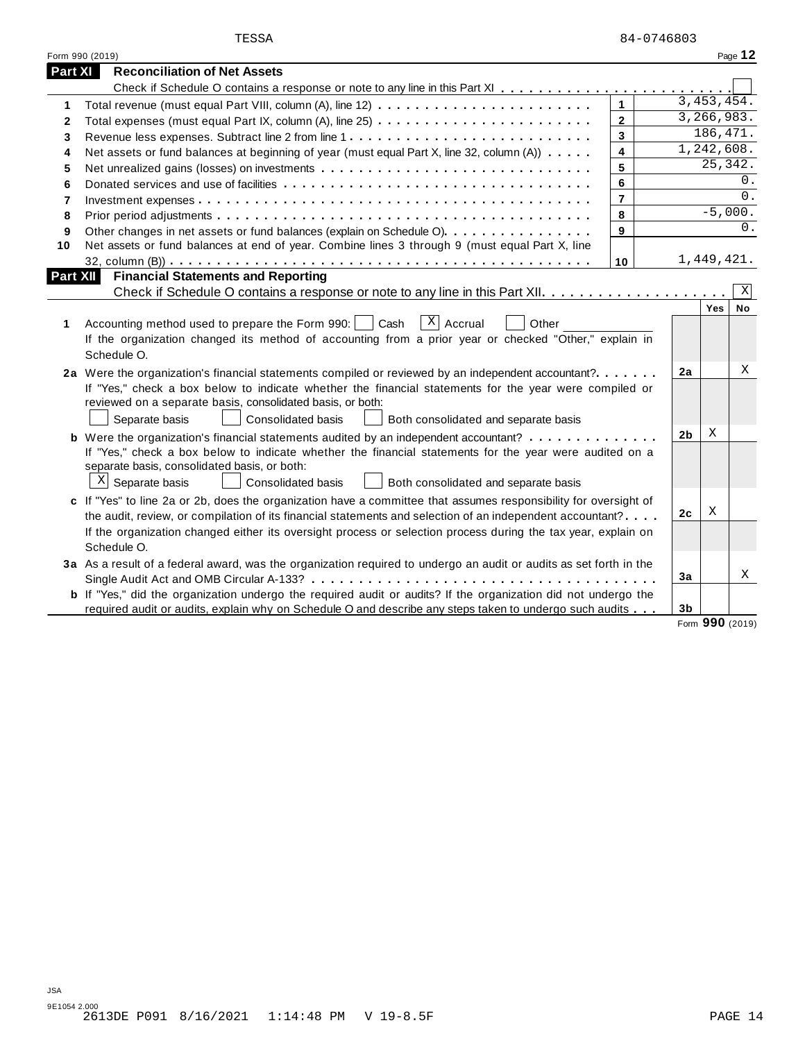|          | Form 990 (2019)                                                                                                                                                                                                                                                                                                                                            |                         |                |              | Page 12     |
|----------|------------------------------------------------------------------------------------------------------------------------------------------------------------------------------------------------------------------------------------------------------------------------------------------------------------------------------------------------------------|-------------------------|----------------|--------------|-------------|
| Part XI  | <b>Reconciliation of Net Assets</b>                                                                                                                                                                                                                                                                                                                        |                         |                |              |             |
|          |                                                                                                                                                                                                                                                                                                                                                            |                         |                |              |             |
| 1        |                                                                                                                                                                                                                                                                                                                                                            | $\mathbf{1}$            |                | 3, 453, 454. |             |
| 2        |                                                                                                                                                                                                                                                                                                                                                            | $\mathbf{2}$            |                | 3,266,983.   |             |
| 3        |                                                                                                                                                                                                                                                                                                                                                            | $\mathbf{3}$            |                | 186,471.     |             |
| 4        | Net assets or fund balances at beginning of year (must equal Part X, line 32, column (A))                                                                                                                                                                                                                                                                  | $\overline{\mathbf{4}}$ |                | 1,242,608.   |             |
| 5        |                                                                                                                                                                                                                                                                                                                                                            | 5                       |                | 25,342.      |             |
| 6        |                                                                                                                                                                                                                                                                                                                                                            | 6                       |                |              | 0.          |
| 7        |                                                                                                                                                                                                                                                                                                                                                            | $\overline{7}$          |                |              | 0.          |
| 8        |                                                                                                                                                                                                                                                                                                                                                            | 8                       |                | $-5,000.$    |             |
| 9        | Other changes in net assets or fund balances (explain on Schedule O).                                                                                                                                                                                                                                                                                      | 9                       |                |              | 0.          |
| 10       | Net assets or fund balances at end of year. Combine lines 3 through 9 (must equal Part X, line                                                                                                                                                                                                                                                             |                         |                |              |             |
|          |                                                                                                                                                                                                                                                                                                                                                            | 10                      |                | 1,449,421.   |             |
| Part XII | <b>Financial Statements and Reporting</b>                                                                                                                                                                                                                                                                                                                  |                         |                |              |             |
|          |                                                                                                                                                                                                                                                                                                                                                            |                         |                |              | $\mathbf X$ |
| 1        | $X$ Accrual<br>Cash<br>Accounting method used to prepare the Form 990:<br>Other<br>If the organization changed its method of accounting from a prior year or checked "Other," explain in<br>Schedule O.                                                                                                                                                    |                         |                | Yes          | No          |
|          | 2a Were the organization's financial statements compiled or reviewed by an independent accountant?<br>If "Yes," check a box below to indicate whether the financial statements for the year were compiled or<br>reviewed on a separate basis, consolidated basis, or both:<br>Separate basis<br>Consolidated basis<br>Both consolidated and separate basis |                         | 2a             |              | X           |
|          | <b>b</b> Were the organization's financial statements audited by an independent accountant?                                                                                                                                                                                                                                                                |                         | 2b             | X            |             |
|          | If "Yes," check a box below to indicate whether the financial statements for the year were audited on a<br>separate basis, consolidated basis, or both:<br>$\mathbb{X}$ Separate basis<br>Consolidated basis<br>Both consolidated and separate basis                                                                                                       |                         |                |              |             |
|          | c If "Yes" to line 2a or 2b, does the organization have a committee that assumes responsibility for oversight of                                                                                                                                                                                                                                           |                         |                |              |             |
|          | the audit, review, or compilation of its financial statements and selection of an independent accountant?                                                                                                                                                                                                                                                  |                         | 2c             | Χ            |             |
|          | If the organization changed either its oversight process or selection process during the tax year, explain on<br>Schedule O.                                                                                                                                                                                                                               |                         |                |              |             |
|          | 3a As a result of a federal award, was the organization required to undergo an audit or audits as set forth in the                                                                                                                                                                                                                                         |                         |                |              |             |
|          | Single Audit Act and OMB Circular A-133?                                                                                                                                                                                                                                                                                                                   |                         | 3a             |              | Χ           |
|          | <b>b</b> If "Yes," did the organization undergo the required audit or audits? If the organization did not undergo the<br>required audit or audits, explain why on Schedule O and describe any steps taken to undergo such audits                                                                                                                           |                         | 3 <sub>b</sub> |              |             |

TESSA 84-0746803

Form **990** (2019)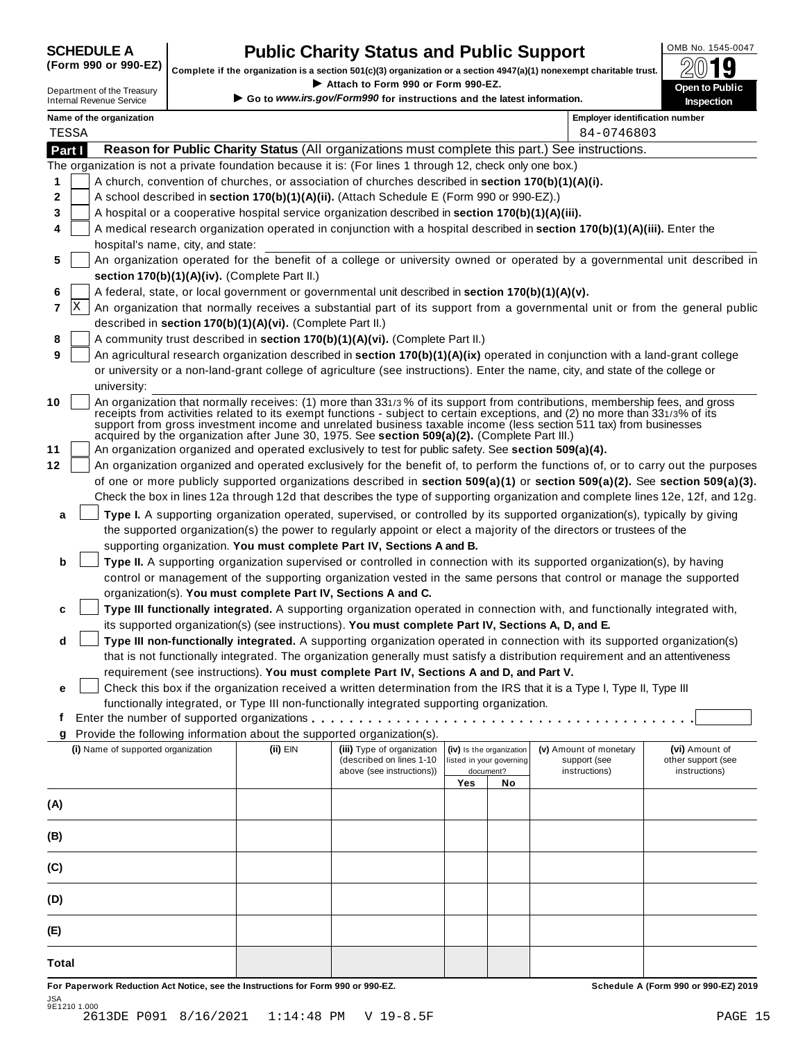| <b>SCHEDULE A</b>                              |  |  |
|------------------------------------------------|--|--|
| $\Gamma$ $\sim$ $\sim$ 000 $\sim$ 000 $\Gamma$ |  |  |

# **CHEDULE A Public Charity Status and Public Support**  $\frac{100\text{dB No. }1545-0047}{000\text{dB}}$

(Form 990 or 990-EZ) complete if the organization is a section 501(c)(3) organization or a section 4947(a)(1) nonexempt charitable trust.  $2019$ 

|        |   |                                                               |                                                            | Complete if the organization is a section 501(c)(3) organization or a section $4947(a)(1)$ nonexempt charitable trust.<br>Attach to Form 990 or Form 990-EZ.                                                                                                                                                                                                                                                                                                                     |     |                          |                                       | ZW IJ                                                                                                                            |
|--------|---|---------------------------------------------------------------|------------------------------------------------------------|----------------------------------------------------------------------------------------------------------------------------------------------------------------------------------------------------------------------------------------------------------------------------------------------------------------------------------------------------------------------------------------------------------------------------------------------------------------------------------|-----|--------------------------|---------------------------------------|----------------------------------------------------------------------------------------------------------------------------------|
|        |   | Department of the Treasury<br><b>Internal Revenue Service</b> |                                                            | Go to www.irs.gov/Form990 for instructions and the latest information.                                                                                                                                                                                                                                                                                                                                                                                                           |     |                          |                                       | Open to Public<br>Inspection                                                                                                     |
|        |   | Name of the organization                                      |                                                            |                                                                                                                                                                                                                                                                                                                                                                                                                                                                                  |     |                          | <b>Employer identification number</b> |                                                                                                                                  |
| TESSA  |   |                                                               |                                                            |                                                                                                                                                                                                                                                                                                                                                                                                                                                                                  |     |                          | 84-0746803                            |                                                                                                                                  |
| Part I |   |                                                               |                                                            | Reason for Public Charity Status (All organizations must complete this part.) See instructions.                                                                                                                                                                                                                                                                                                                                                                                  |     |                          |                                       |                                                                                                                                  |
|        |   |                                                               |                                                            | The organization is not a private foundation because it is: (For lines 1 through 12, check only one box.)                                                                                                                                                                                                                                                                                                                                                                        |     |                          |                                       |                                                                                                                                  |
| 1      |   |                                                               |                                                            | A church, convention of churches, or association of churches described in section 170(b)(1)(A)(i).                                                                                                                                                                                                                                                                                                                                                                               |     |                          |                                       |                                                                                                                                  |
| 2      |   |                                                               |                                                            | A school described in section 170(b)(1)(A)(ii). (Attach Schedule E (Form 990 or 990-EZ).)                                                                                                                                                                                                                                                                                                                                                                                        |     |                          |                                       |                                                                                                                                  |
| 3      |   |                                                               |                                                            | A hospital or a cooperative hospital service organization described in section 170(b)(1)(A)(iii).                                                                                                                                                                                                                                                                                                                                                                                |     |                          |                                       |                                                                                                                                  |
| 4      |   | hospital's name, city, and state:                             |                                                            | A medical research organization operated in conjunction with a hospital described in section 170(b)(1)(A)(iii). Enter the                                                                                                                                                                                                                                                                                                                                                        |     |                          |                                       |                                                                                                                                  |
| 5      |   |                                                               |                                                            |                                                                                                                                                                                                                                                                                                                                                                                                                                                                                  |     |                          |                                       | An organization operated for the benefit of a college or university owned or operated by a governmental unit described in        |
|        |   |                                                               | section 170(b)(1)(A)(iv). (Complete Part II.)              |                                                                                                                                                                                                                                                                                                                                                                                                                                                                                  |     |                          |                                       |                                                                                                                                  |
| 6      |   |                                                               |                                                            | A federal, state, or local government or governmental unit described in section 170(b)(1)(A)(v).                                                                                                                                                                                                                                                                                                                                                                                 |     |                          |                                       |                                                                                                                                  |
| 7      | X |                                                               |                                                            |                                                                                                                                                                                                                                                                                                                                                                                                                                                                                  |     |                          |                                       | An organization that normally receives a substantial part of its support from a governmental unit or from the general public     |
|        |   |                                                               | described in section 170(b)(1)(A)(vi). (Complete Part II.) |                                                                                                                                                                                                                                                                                                                                                                                                                                                                                  |     |                          |                                       |                                                                                                                                  |
| 8      |   |                                                               |                                                            | A community trust described in section 170(b)(1)(A)(vi). (Complete Part II.)                                                                                                                                                                                                                                                                                                                                                                                                     |     |                          |                                       |                                                                                                                                  |
| 9      |   |                                                               |                                                            | An agricultural research organization described in section 170(b)(1)(A)(ix) operated in conjunction with a land-grant college                                                                                                                                                                                                                                                                                                                                                    |     |                          |                                       |                                                                                                                                  |
|        |   |                                                               |                                                            | or university or a non-land-grant college of agriculture (see instructions). Enter the name, city, and state of the college or                                                                                                                                                                                                                                                                                                                                                   |     |                          |                                       |                                                                                                                                  |
|        |   | university:                                                   |                                                            |                                                                                                                                                                                                                                                                                                                                                                                                                                                                                  |     |                          |                                       |                                                                                                                                  |
| 10     |   |                                                               |                                                            | An organization that normally receives: (1) more than 331/3% of its support from contributions, membership fees, and gross<br>receipts from activities related to its exempt functions - subject to certain exceptions, and (2) no more than 331/3% of its<br>support from gross investment income and unrelated business taxable income (less section 511 tax) from businesses<br>acquired by the organization after June 30, 1975. See section 509(a)(2). (Complete Part III.) |     |                          |                                       |                                                                                                                                  |
| 11     |   |                                                               |                                                            | An organization organized and operated exclusively to test for public safety. See section 509(a)(4).                                                                                                                                                                                                                                                                                                                                                                             |     |                          |                                       |                                                                                                                                  |
| 12     |   |                                                               |                                                            |                                                                                                                                                                                                                                                                                                                                                                                                                                                                                  |     |                          |                                       | An organization organized and operated exclusively for the benefit of, to perform the functions of, or to carry out the purposes |
|        |   |                                                               |                                                            |                                                                                                                                                                                                                                                                                                                                                                                                                                                                                  |     |                          |                                       | of one or more publicly supported organizations described in section 509(a)(1) or section 509(a)(2). See section 509(a)(3).      |
| a      |   |                                                               |                                                            | Type I. A supporting organization operated, supervised, or controlled by its supported organization(s), typically by giving                                                                                                                                                                                                                                                                                                                                                      |     |                          |                                       | Check the box in lines 12a through 12d that describes the type of supporting organization and complete lines 12e, 12f, and 12g.  |
| b      |   |                                                               |                                                            | the supported organization(s) the power to regularly appoint or elect a majority of the directors or trustees of the<br>supporting organization. You must complete Part IV, Sections A and B.<br>Type II. A supporting organization supervised or controlled in connection with its supported organization(s), by having<br>control or management of the supporting organization vested in the same persons that control or manage the supported                                 |     |                          |                                       |                                                                                                                                  |
|        |   |                                                               |                                                            | organization(s). You must complete Part IV, Sections A and C.                                                                                                                                                                                                                                                                                                                                                                                                                    |     |                          |                                       |                                                                                                                                  |
| c      |   |                                                               |                                                            | Type III functionally integrated. A supporting organization operated in connection with, and functionally integrated with,<br>its supported organization(s) (see instructions). You must complete Part IV, Sections A, D, and E.                                                                                                                                                                                                                                                 |     |                          |                                       |                                                                                                                                  |
| d      |   |                                                               |                                                            | Type III non-functionally integrated. A supporting organization operated in connection with its supported organization(s)                                                                                                                                                                                                                                                                                                                                                        |     |                          |                                       |                                                                                                                                  |
|        |   |                                                               |                                                            | that is not functionally integrated. The organization generally must satisfy a distribution requirement and an attentiveness                                                                                                                                                                                                                                                                                                                                                     |     |                          |                                       |                                                                                                                                  |
|        |   |                                                               |                                                            | requirement (see instructions). You must complete Part IV, Sections A and D, and Part V.                                                                                                                                                                                                                                                                                                                                                                                         |     |                          |                                       |                                                                                                                                  |
| е      |   |                                                               |                                                            | Check this box if the organization received a written determination from the IRS that it is a Type I, Type II, Type III                                                                                                                                                                                                                                                                                                                                                          |     |                          |                                       |                                                                                                                                  |
|        |   |                                                               |                                                            | functionally integrated, or Type III non-functionally integrated supporting organization.                                                                                                                                                                                                                                                                                                                                                                                        |     |                          |                                       |                                                                                                                                  |
| t      |   |                                                               |                                                            | Provide the following information about the supported organization(s).                                                                                                                                                                                                                                                                                                                                                                                                           |     |                          |                                       |                                                                                                                                  |
| g      |   | (i) Name of supported organization                            | (ii) EIN                                                   | (iii) Type of organization                                                                                                                                                                                                                                                                                                                                                                                                                                                       |     | (iv) Is the organization | (v) Amount of monetary                | (vi) Amount of                                                                                                                   |
|        |   |                                                               |                                                            | (described on lines 1-10                                                                                                                                                                                                                                                                                                                                                                                                                                                         |     | listed in your governing | support (see                          | other support (see                                                                                                               |
|        |   |                                                               |                                                            | above (see instructions))                                                                                                                                                                                                                                                                                                                                                                                                                                                        | Yes | document?                | instructions)                         | instructions)                                                                                                                    |
|        |   |                                                               |                                                            |                                                                                                                                                                                                                                                                                                                                                                                                                                                                                  |     | No                       |                                       |                                                                                                                                  |
| (A)    |   |                                                               |                                                            |                                                                                                                                                                                                                                                                                                                                                                                                                                                                                  |     |                          |                                       |                                                                                                                                  |
| (B)    |   |                                                               |                                                            |                                                                                                                                                                                                                                                                                                                                                                                                                                                                                  |     |                          |                                       |                                                                                                                                  |
| (C)    |   |                                                               |                                                            |                                                                                                                                                                                                                                                                                                                                                                                                                                                                                  |     |                          |                                       |                                                                                                                                  |
| (D)    |   |                                                               |                                                            |                                                                                                                                                                                                                                                                                                                                                                                                                                                                                  |     |                          |                                       |                                                                                                                                  |
| (E)    |   |                                                               |                                                            |                                                                                                                                                                                                                                                                                                                                                                                                                                                                                  |     |                          |                                       |                                                                                                                                  |
|        |   |                                                               |                                                            |                                                                                                                                                                                                                                                                                                                                                                                                                                                                                  |     |                          |                                       |                                                                                                                                  |
| Total  |   |                                                               |                                                            |                                                                                                                                                                                                                                                                                                                                                                                                                                                                                  |     |                          |                                       |                                                                                                                                  |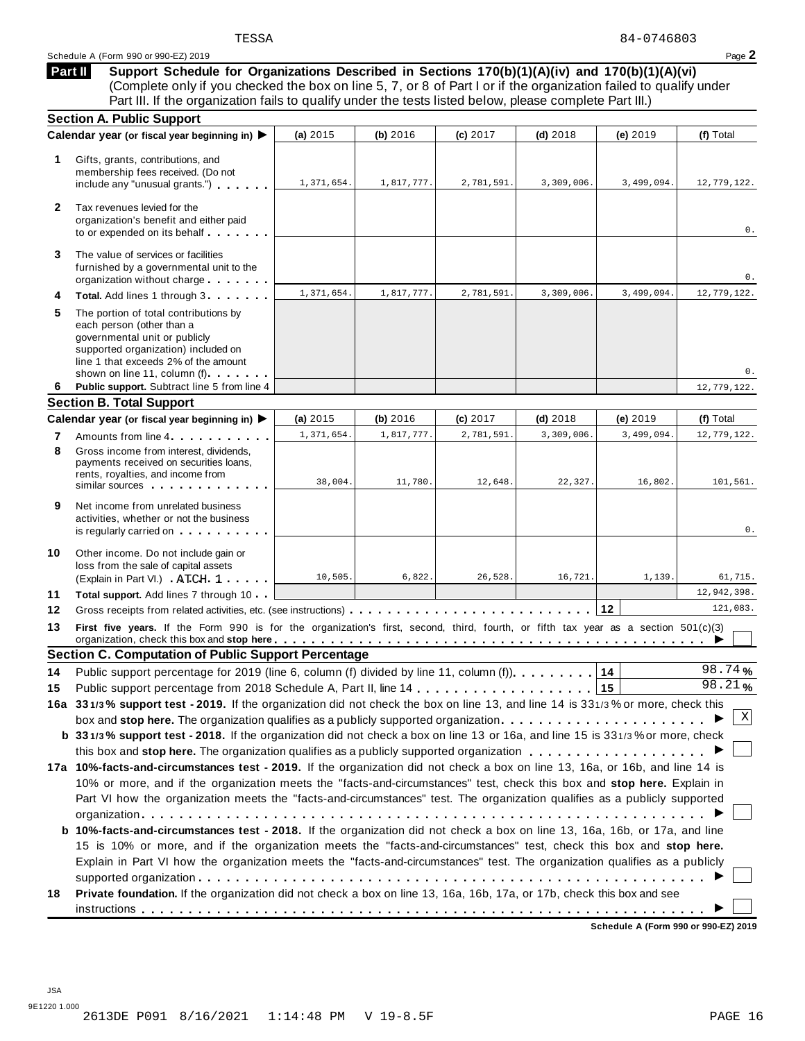**Support Schedule for Organizations Described in Sections 170(b)(1)(A)(iv) and 170(b)(1)(A)(vi)** (Complete only if you checked the box on line 5, 7, or 8 of Part I or if the organization failed to qualify under Part III. If the organization fails to qualify under the tests listed below, please complete Part III.) **Part II**

|              | <b>Section A. Public Support</b>                                                                                                                                                                                                                                                                                |            |            |            |            |            |             |
|--------------|-----------------------------------------------------------------------------------------------------------------------------------------------------------------------------------------------------------------------------------------------------------------------------------------------------------------|------------|------------|------------|------------|------------|-------------|
|              | Calendar year (or fiscal year beginning in) ▶                                                                                                                                                                                                                                                                   | (a) 2015   | (b) 2016   | (c) 2017   | $(d)$ 2018 | (e) 2019   | (f) Total   |
| 1.           | Gifts, grants, contributions, and<br>membership fees received. (Do not<br>include any "unusual grants.")                                                                                                                                                                                                        | 1,371,654. | 1,817,777. | 2,781,591. | 3,309,006. | 3,499,094. | 12,779,122. |
| $\mathbf{2}$ | Tax revenues levied for the<br>organization's benefit and either paid<br>to or expended on its behalf                                                                                                                                                                                                           |            |            |            |            |            | 0.          |
| 3            | The value of services or facilities<br>furnished by a governmental unit to the<br>organization without charge                                                                                                                                                                                                   |            |            |            |            |            | 0.          |
| 4            | Total. Add lines 1 through 3                                                                                                                                                                                                                                                                                    | 1,371,654. | 1,817,777. | 2,781,591. | 3,309,006. | 3,499,094. | 12,779,122. |
| 5            | The portion of total contributions by<br>each person (other than a<br>governmental unit or publicly<br>supported organization) included on<br>line 1 that exceeds 2% of the amount<br>shown on line 11, column (f)                                                                                              |            |            |            |            |            | 0.          |
| 6            | Public support. Subtract line 5 from line 4                                                                                                                                                                                                                                                                     |            |            |            |            |            | 12,779,122. |
|              | <b>Section B. Total Support</b>                                                                                                                                                                                                                                                                                 |            |            |            |            |            |             |
|              | Calendar year (or fiscal year beginning in) ▶                                                                                                                                                                                                                                                                   | (a) $2015$ | (b) 2016   | (c) 2017   | $(d)$ 2018 | (e) $2019$ | (f) Total   |
| 7            | Amounts from line 4                                                                                                                                                                                                                                                                                             | 1,371,654. | 1,817,777. | 2,781,591  | 3,309,006  | 3,499,094. | 12,779,122. |
| 8            | Gross income from interest, dividends.<br>payments received on securities loans,<br>rents, royalties, and income from<br>similar sources experiences                                                                                                                                                            | 38,004.    | 11,780.    | 12,648.    | 22,327.    | 16,802.    | 101,561.    |
| 9            | Net income from unrelated business<br>activities, whether or not the business<br>is regularly carried on the control of the set of the control of the control of the control of the control of the control of the control of the control of the control of the control of the control of the control of the con |            |            |            |            |            | 0.          |
| 10           | Other income. Do not include gain or<br>loss from the sale of capital assets<br>(Explain in Part VI.) ATCH 1                                                                                                                                                                                                    | 10,505.    | 6,822.     | 26,528.    | 16,721     | 1,139.     | 61,715.     |
| 11           | Total support. Add lines 7 through 10                                                                                                                                                                                                                                                                           |            |            |            |            |            | 12,942,398. |
| 12           |                                                                                                                                                                                                                                                                                                                 |            |            |            |            |            | 121,083.    |
| 13           | First five years. If the Form 990 is for the organization's first, second, third, fourth, or fifth tax year as a section 501(c)(3)                                                                                                                                                                              |            |            |            |            |            |             |
|              | <b>Section C. Computation of Public Support Percentage</b>                                                                                                                                                                                                                                                      |            |            |            |            |            |             |
| 14           | Public support percentage for 2019 (line 6, column (f) divided by line 11, column (f)).                                                                                                                                                                                                                         |            |            |            |            | 14         | 98.74%      |
| 15           |                                                                                                                                                                                                                                                                                                                 |            |            |            |            |            | 98.21%      |
|              | 16a 331/3% support test - 2019. If the organization did not check the box on line 13, and line 14 is 331/3% or more, check this                                                                                                                                                                                 |            |            |            |            |            |             |
|              | box and stop here. The organization qualifies as a publicly supported organization                                                                                                                                                                                                                              |            |            |            |            |            | Χ           |
|              | b 331/3% support test - 2018. If the organization did not check a box on line 13 or 16a, and line 15 is 331/3% or more, check                                                                                                                                                                                   |            |            |            |            |            |             |
|              |                                                                                                                                                                                                                                                                                                                 |            |            |            |            |            |             |
|              | 17a 10%-facts-and-circumstances test - 2019. If the organization did not check a box on line 13, 16a, or 16b, and line 14 is                                                                                                                                                                                    |            |            |            |            |            |             |
|              | 10% or more, and if the organization meets the "facts-and-circumstances" test, check this box and stop here. Explain in                                                                                                                                                                                         |            |            |            |            |            |             |
|              | Part VI how the organization meets the "facts-and-circumstances" test. The organization qualifies as a publicly supported                                                                                                                                                                                       |            |            |            |            |            |             |
|              |                                                                                                                                                                                                                                                                                                                 |            |            |            |            |            |             |
|              | <b>b 10%-facts-and-circumstances test - 2018.</b> If the organization did not check a box on line 13, 16a, 16b, or 17a, and line                                                                                                                                                                                |            |            |            |            |            |             |
|              | 15 is 10% or more, and if the organization meets the "facts-and-circumstances" test, check this box and stop here.                                                                                                                                                                                              |            |            |            |            |            |             |
|              |                                                                                                                                                                                                                                                                                                                 |            |            |            |            |            |             |
|              | Explain in Part VI how the organization meets the "facts-and-circumstances" test. The organization qualifies as a publicly                                                                                                                                                                                      |            |            |            |            |            |             |
| 18           | Private foundation. If the organization did not check a box on line 13, 16a, 16b, 17a, or 17b, check this box and see                                                                                                                                                                                           |            |            |            |            |            |             |

**Schedule A (Form 990 or 990-EZ) 2019**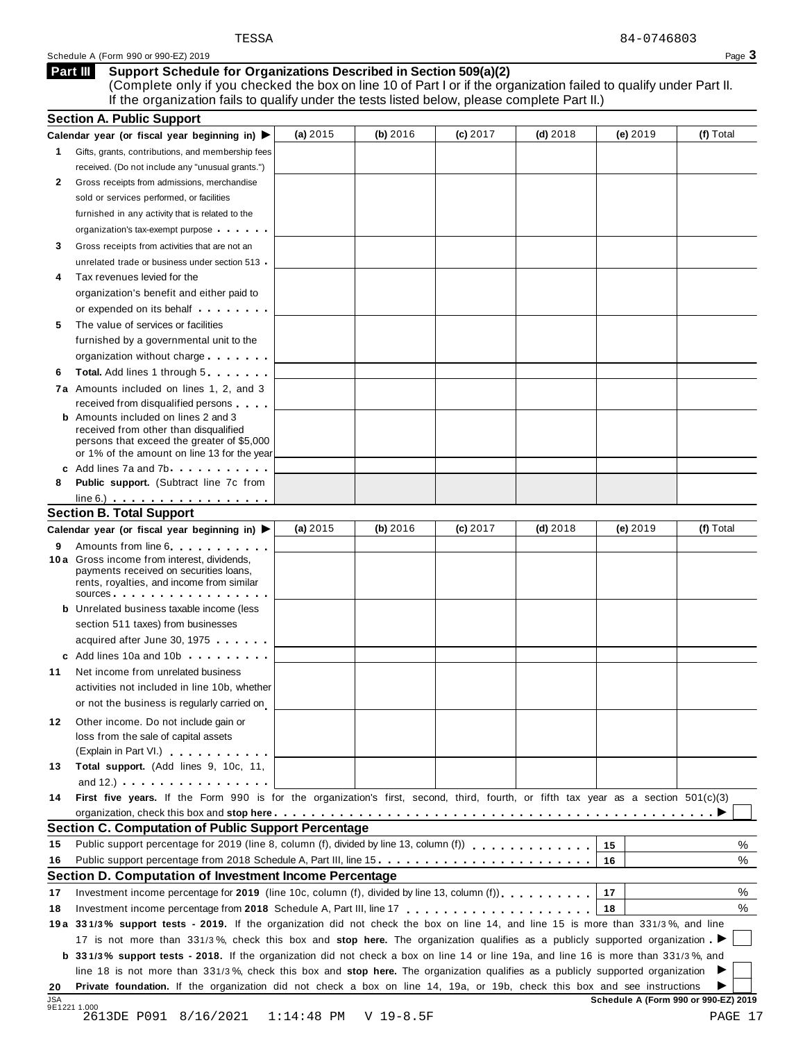### Schedule A (Form 990 or 990-EZ) 2019 Page  $3$

### **Support Schedule for Organizations Described in Section 509(a)(2) Part III**

(Complete only if you checked the box on line 10 of Part I or if the organization failed to qualify under Part II. If the organization fails to qualify under the tests listed below, please complete Part II.)

|                            | <b>Section A. Public Support</b>                                                                                                                                                                                                     |            |          |            |            |            |           |
|----------------------------|--------------------------------------------------------------------------------------------------------------------------------------------------------------------------------------------------------------------------------------|------------|----------|------------|------------|------------|-----------|
|                            | Calendar year (or fiscal year beginning in)                                                                                                                                                                                          | (a) $2015$ | (b) 2016 | $(c)$ 2017 | (d) $2018$ | (e) $2019$ | (f) Total |
| 1.                         | Gifts, grants, contributions, and membership fees                                                                                                                                                                                    |            |          |            |            |            |           |
|                            | received. (Do not include any "unusual grants.")                                                                                                                                                                                     |            |          |            |            |            |           |
| 2                          | Gross receipts from admissions, merchandise                                                                                                                                                                                          |            |          |            |            |            |           |
|                            | sold or services performed, or facilities                                                                                                                                                                                            |            |          |            |            |            |           |
|                            | furnished in any activity that is related to the                                                                                                                                                                                     |            |          |            |            |            |           |
|                            | organization's tax-exempt purpose                                                                                                                                                                                                    |            |          |            |            |            |           |
| 3                          | Gross receipts from activities that are not an                                                                                                                                                                                       |            |          |            |            |            |           |
|                            | unrelated trade or business under section 513 .                                                                                                                                                                                      |            |          |            |            |            |           |
|                            | Tax revenues levied for the                                                                                                                                                                                                          |            |          |            |            |            |           |
|                            | organization's benefit and either paid to                                                                                                                                                                                            |            |          |            |            |            |           |
|                            | or expended on its behalf <b>contains the set of the set of the set of the set of the set of the set of the set of the set of the set of the set of the set of the set of the set of the set of the set of the set of the set of</b> |            |          |            |            |            |           |
| 5                          | The value of services or facilities                                                                                                                                                                                                  |            |          |            |            |            |           |
|                            | furnished by a governmental unit to the                                                                                                                                                                                              |            |          |            |            |            |           |
|                            | organization without charge                                                                                                                                                                                                          |            |          |            |            |            |           |
| 6                          | <b>Total.</b> Add lines 1 through 5                                                                                                                                                                                                  |            |          |            |            |            |           |
|                            | 7a Amounts included on lines 1, 2, and 3                                                                                                                                                                                             |            |          |            |            |            |           |
|                            | received from disqualified persons                                                                                                                                                                                                   |            |          |            |            |            |           |
|                            | <b>b</b> Amounts included on lines 2 and 3                                                                                                                                                                                           |            |          |            |            |            |           |
|                            | received from other than disqualified                                                                                                                                                                                                |            |          |            |            |            |           |
|                            | persons that exceed the greater of \$5,000                                                                                                                                                                                           |            |          |            |            |            |           |
|                            | or 1% of the amount on line 13 for the year<br>c Add lines 7a and 7b                                                                                                                                                                 |            |          |            |            |            |           |
| 8                          | Public support. (Subtract line 7c from                                                                                                                                                                                               |            |          |            |            |            |           |
|                            | $line 6.)$                                                                                                                                                                                                                           |            |          |            |            |            |           |
|                            | <b>Section B. Total Support</b>                                                                                                                                                                                                      |            |          |            |            |            |           |
|                            | Calendar year (or fiscal year beginning in)                                                                                                                                                                                          | (a) $2015$ | (b) 2016 | $(c)$ 2017 | (d) $2018$ | (e) 2019   | (f) Total |
| 9                          | Amounts from line 6                                                                                                                                                                                                                  |            |          |            |            |            |           |
|                            | 10 a Gross income from interest, dividends,<br>payments received on securities loans,<br>rents, royalties, and income from similar                                                                                                   |            |          |            |            |            |           |
|                            | SOUICES                                                                                                                                                                                                                              |            |          |            |            |            |           |
|                            | <b>b</b> Unrelated business taxable income (less                                                                                                                                                                                     |            |          |            |            |            |           |
|                            | section 511 taxes) from businesses                                                                                                                                                                                                   |            |          |            |            |            |           |
|                            | acquired after June 30, 1975                                                                                                                                                                                                         |            |          |            |            |            |           |
|                            | c Add lines 10a and 10b                                                                                                                                                                                                              |            |          |            |            |            |           |
| 11                         | Net income from unrelated business                                                                                                                                                                                                   |            |          |            |            |            |           |
|                            | activities not included in line 10b, whether                                                                                                                                                                                         |            |          |            |            |            |           |
|                            | or not the business is regularly carried on                                                                                                                                                                                          |            |          |            |            |            |           |
| 12                         | Other income. Do not include gain or<br>loss from the sale of capital assets                                                                                                                                                         |            |          |            |            |            |           |
|                            | (Explain in Part VI.) Canada and The Contract of the Contract of The Contract of The Contract of The Contract of The Contract of The Contract of The Contract of The Contract of The Contract of The Contract of The Contract        |            |          |            |            |            |           |
| 13                         | Total support. (Add lines 9, 10c, 11,                                                                                                                                                                                                |            |          |            |            |            |           |
|                            | and 12.) $\cdots$ $\cdots$ $\cdots$ $\cdots$ $\cdots$                                                                                                                                                                                |            |          |            |            |            |           |
| 14                         | First five years. If the Form 990 is for the organization's first, second, third, fourth, or fifth tax year as a section 501(c)(3)                                                                                                   |            |          |            |            |            |           |
|                            |                                                                                                                                                                                                                                      |            |          |            |            |            |           |
|                            | <b>Section C. Computation of Public Support Percentage</b>                                                                                                                                                                           |            |          |            |            |            |           |
|                            |                                                                                                                                                                                                                                      |            |          |            |            | 15         | ℅         |
|                            |                                                                                                                                                                                                                                      |            |          |            |            |            |           |
|                            | Public support percentage from 2018 Schedule A, Part III, line 15.                                                                                                                                                                   |            |          |            |            | 16         | %         |
|                            | Section D. Computation of Investment Income Percentage                                                                                                                                                                               |            |          |            |            |            |           |
|                            | Investment income percentage for 2019 (line 10c, column (f), divided by line 13, column (f)).                                                                                                                                        |            |          |            |            | 17         |           |
|                            |                                                                                                                                                                                                                                      |            |          |            |            | 18         | %<br>%    |
|                            | 19a 331/3% support tests - 2019. If the organization did not check the box on line 14, and line 15 is more than 331/3%, and line                                                                                                     |            |          |            |            |            |           |
|                            | 17 is not more than 331/3%, check this box and stop here. The organization qualifies as a publicly supported organization                                                                                                            |            |          |            |            |            |           |
|                            | <b>b</b> 331/3% support tests - 2018. If the organization did not check a box on line 14 or line 19a, and line 16 is more than 331/3%, and                                                                                           |            |          |            |            |            |           |
|                            | line 18 is not more than 331/3%, check this box and stop here. The organization qualifies as a publicly supported organization                                                                                                       |            |          |            |            |            |           |
| 15<br>16<br>17<br>18<br>20 | Private foundation. If the organization did not check a box on line 14, 19a, or 19b, check this box and see instructions                                                                                                             |            |          |            |            |            |           |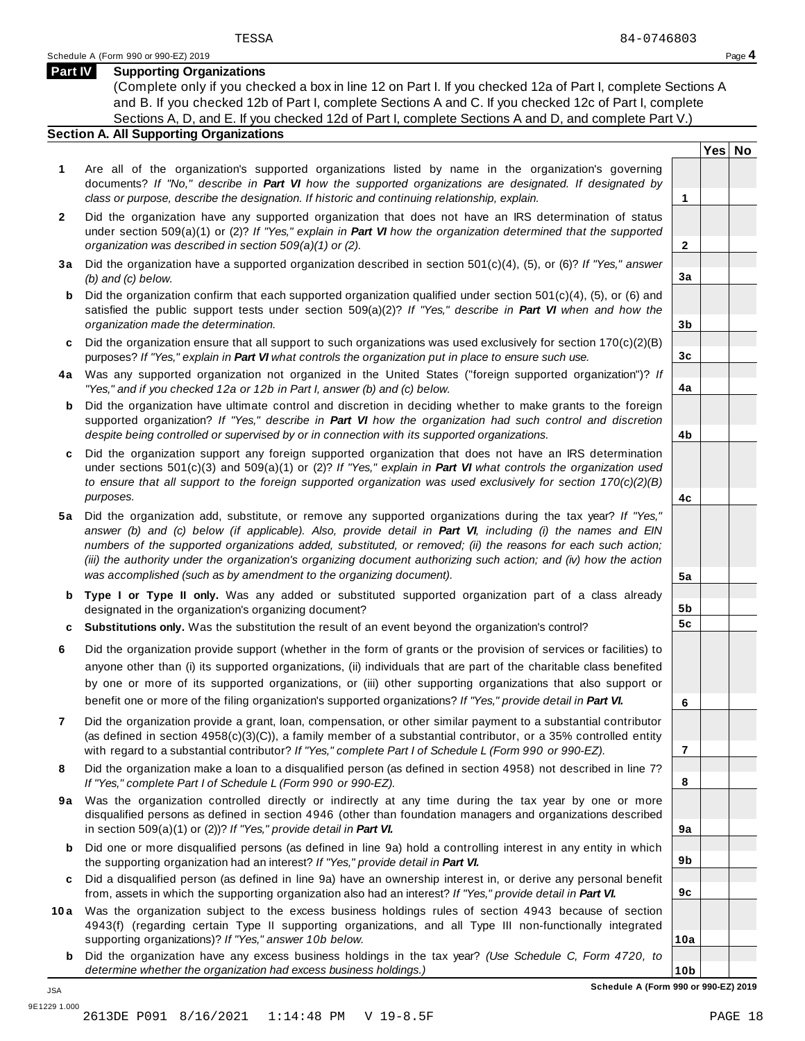**2**

**3a**

**3b**

**3c**

**4a**

**4b**

**4c**

**5a**

**5b 5c**

**6**

**7**

**8**

**9a**

**9b**

**9c**

**10a**

**Yes No**

### **Part IV Supporting Organizations**

(Complete only if you checked a box in line 12 on Part I. If you checked 12a of Part I, complete Sections A and B. If you checked 12b of Part I, complete Sections A and C. If you checked 12c of Part I, complete Sections A, D, and E. If you checked 12d of Part I, complete Sections A and D, and complete Part V.)

### **Section A. All Supporting Organizations**

- **1** Are all of the organization's supported organizations listed by name in the organization's governing documents? *If "No," describe in Part VI how the supported organizations are designated. If designated by class or purpose, describe the designation. If historic and continuing relationship, explain.* **1**
- **2** Did the organization have any supported organization that does not have an IRS determination of status under section 509(a)(1) or (2)? *If"Yes," explain in Part VI how the organization determined that the supported organization was described in section 509(a)(1) or (2).*
- **3 a** Did the organization have a supported organization described in section 501(c)(4), (5), or (6)? *If "Yes," answer (b) and (c) below.*
- **b** Did the organization confirm that each supported organization qualified under section 501(c)(4), (5), or (6) and | satisfied the public support tests under section 509(a)(2)? *If "Yes," describe in Part VI when and how the organization made the determination.*
- **c** Did the organization ensure that all support to such organizations was used exclusively for section 170(c)(2)(B) purposes? *If"Yes," explain in Part VI what controls the organization put in place to ensure such use.*
- **4 a** Was any supported organization not organized in the United States ("foreign supported organization")? *If "Yes," and if you checked 12a or 12b in Part I, answer (b) and (c) below.*
- **b** Did the organization have ultimate control and discretion in deciding whether to make grants to the foreign | supported organization? *If "Yes," describe in Part VI how the organization had such control and discretion despite being controlled or supervised by or in connection with its supported organizations.*
- **c** Did the organization support any foreign supported organization that does not have an IRS determination | under sections 501(c)(3) and 509(a)(1) or (2)? *If "Yes," explain in Part VI what controls the organization used to ensure that all support to the foreign supported organization was used exclusively for section 170(c)(2)(B) purposes.*
- **5 a** Did the organization add, substitute, or remove any supported organizations during the tax year? *If "Yes,"* answer (b) and (c) below (if applicable). Also, provide detail in Part VI, including (i) the names and EIN *numbers of the supported organizations added, substituted, or removed; (ii) the reasons for each such action;* (iii) the authority under the organization's organizing document authorizing such action; and (iv) how the action *was accomplished (such as by amendment to the organizing document).*
- **b Type I or Type II only.** Was any added or substituted supported organization part of a class already designated in the organization's organizing document?
- **c Substitutions only.** Was the substitution the result of an event beyond the organization's control?
- **6** Did the organization provide support (whether in the form of grants or the provision of services or facilities) to anyone other than (i) its supported organizations, (ii) individuals that are part of the charitable class benefited by one or more of its supported organizations, or (iii) other supporting organizations that also support or benefit one or more of the filing organization's supported organizations? *If"Yes," provide detail in Part VI.*
- **7** Did the organization provide a grant, loan, compensation, or other similar payment to a substantial contributor (as defined in section 4958(c)(3)(C)), a family member of a substantial contributor, or a 35% controlled entity with regard to a substantial contributor? *If"Yes," complete Part I of Schedule L (Form 990 or 990-EZ).*
- **8** Did the organization make a loan to a disqualified person (as defined in section 4958) not described in line 7? *If "Yes," complete Part I of Schedule L (Form 990 or 990-EZ).*
- **9a** Was the organization controlled directly or indirectly at any time during the tax year by one or more | disqualified persons as defined in section 4946 (other than foundation managers and organizations described in section 509(a)(1) or (2))? *If"Yes," provide detail in Part VI.*
- **b** Did one or more disqualified persons (as defined in line 9a) hold a controlling interest in any entity in which | the supporting organization had an interest? *If"Yes," provide detail in Part VI.*
- **c** Did a disqualified person (as defined in line 9a) have an ownership interest in, or derive any personal benefit from, assets in which the supporting organization also had an interest? *If"Yes," provide detail in Part VI.*
- **10a** Was the organization subject to the excess business holdings rules of section 4943 because of section | 4943(f) (regarding certain Type II supporting organizations, and all Type III non-functionally integrated supporting organizations)? *If"Yes," answer 10b below.*
	- **b** Did the organization have any excess business holdings in the tax year? *(Use Schedule C, Form 4720, to determine whether the organization had excess business holdings.)*

**10b Schedule A (Form 990 or 990-EZ) 2019**

JSA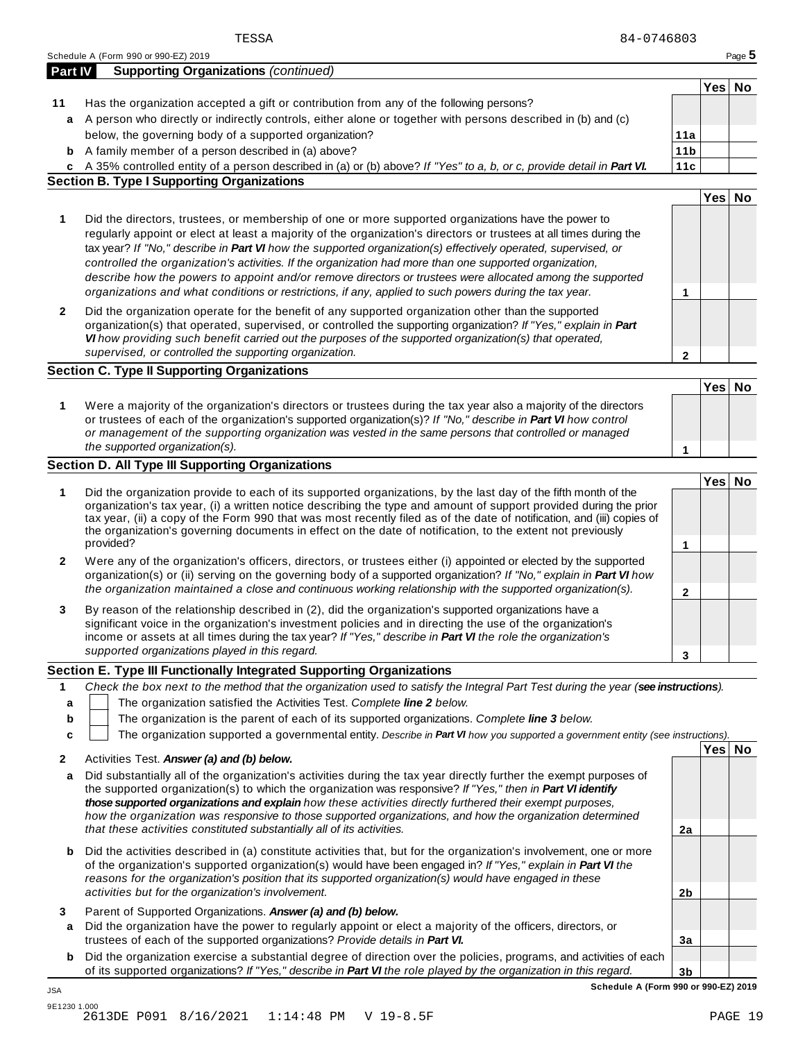|                | TESSA                                                                                                                                                                                                                                                                                                                                                                                                                                                                                                                                                                                                                                                                        | 84-0746803      |            |        |
|----------------|------------------------------------------------------------------------------------------------------------------------------------------------------------------------------------------------------------------------------------------------------------------------------------------------------------------------------------------------------------------------------------------------------------------------------------------------------------------------------------------------------------------------------------------------------------------------------------------------------------------------------------------------------------------------------|-----------------|------------|--------|
|                | Schedule A (Form 990 or 990-EZ) 2019                                                                                                                                                                                                                                                                                                                                                                                                                                                                                                                                                                                                                                         |                 |            | Page 5 |
| <b>Part IV</b> | <b>Supporting Organizations (continued)</b>                                                                                                                                                                                                                                                                                                                                                                                                                                                                                                                                                                                                                                  |                 |            |        |
|                |                                                                                                                                                                                                                                                                                                                                                                                                                                                                                                                                                                                                                                                                              |                 | <b>Yes</b> | No     |
| 11             | Has the organization accepted a gift or contribution from any of the following persons?                                                                                                                                                                                                                                                                                                                                                                                                                                                                                                                                                                                      |                 |            |        |
| a              | A person who directly or indirectly controls, either alone or together with persons described in (b) and (c)                                                                                                                                                                                                                                                                                                                                                                                                                                                                                                                                                                 |                 |            |        |
|                | below, the governing body of a supported organization?                                                                                                                                                                                                                                                                                                                                                                                                                                                                                                                                                                                                                       | 11a             |            |        |
| b              | A family member of a person described in (a) above?                                                                                                                                                                                                                                                                                                                                                                                                                                                                                                                                                                                                                          | 11 <sub>b</sub> |            |        |
| c              | A 35% controlled entity of a person described in (a) or (b) above? If "Yes" to a, b, or c, provide detail in Part VI.                                                                                                                                                                                                                                                                                                                                                                                                                                                                                                                                                        | 11c             |            |        |
|                | <b>Section B. Type I Supporting Organizations</b>                                                                                                                                                                                                                                                                                                                                                                                                                                                                                                                                                                                                                            |                 |            |        |
|                |                                                                                                                                                                                                                                                                                                                                                                                                                                                                                                                                                                                                                                                                              |                 | Yes No     |        |
| 1              | Did the directors, trustees, or membership of one or more supported organizations have the power to<br>regularly appoint or elect at least a majority of the organization's directors or trustees at all times during the<br>tax year? If "No," describe in Part VI how the supported organization(s) effectively operated, supervised, or<br>controlled the organization's activities. If the organization had more than one supported organization,<br>describe how the powers to appoint and/or remove directors or trustees were allocated among the supported<br>organizations and what conditions or restrictions, if any, applied to such powers during the tax year. | 1               |            |        |
| $\mathbf{2}$   | Did the organization operate for the benefit of any supported organization other than the supported<br>organization(s) that operated, supervised, or controlled the supporting organization? If "Yes," explain in Part<br>VI how providing such benefit carried out the purposes of the supported organization(s) that operated,<br>supervised, or controlled the supporting organization.                                                                                                                                                                                                                                                                                   | $\mathbf{2}$    |            |        |
|                | <b>Section C. Type II Supporting Organizations</b>                                                                                                                                                                                                                                                                                                                                                                                                                                                                                                                                                                                                                           |                 |            |        |
|                |                                                                                                                                                                                                                                                                                                                                                                                                                                                                                                                                                                                                                                                                              |                 | Yes No     |        |
| 1              | Were a majority of the organization's directors or trustees during the tax year also a majority of the directors<br>or trustees of each of the organization's supported organization(s)? If "No," describe in Part VI how control<br>or management of the supporting organization was vested in the same persons that controlled or managed<br>the supported organization(s).                                                                                                                                                                                                                                                                                                | 1               |            |        |
|                | <b>Section D. All Type III Supporting Organizations</b>                                                                                                                                                                                                                                                                                                                                                                                                                                                                                                                                                                                                                      |                 |            |        |
|                |                                                                                                                                                                                                                                                                                                                                                                                                                                                                                                                                                                                                                                                                              |                 | Yes No     |        |
| 1              | Did the organization provide to each of its supported organizations, by the last day of the fifth month of the<br>organization's tax year, (i) a written notice describing the type and amount of support provided during the prior<br>tax year, (ii) a copy of the Form 990 that was most recently filed as of the date of notification, and (iii) copies of<br>the organization's governing documents in effect on the date of notification, to the extent not previously                                                                                                                                                                                                  |                 |            |        |
|                | provided?                                                                                                                                                                                                                                                                                                                                                                                                                                                                                                                                                                                                                                                                    | $\mathbf{1}$    |            |        |
| $\mathbf{2}$   | Were any of the organization's officers, directors, or trustees either (i) appointed or elected by the supported<br>organization(s) or (ii) serving on the governing body of a supported organization? If "No," explain in Part VI how<br>the organization maintained a close and continuous working relationship with the supported organization(s).                                                                                                                                                                                                                                                                                                                        | $\mathbf{2}$    |            |        |
| 3              | By reason of the relationship described in (2), did the organization's supported organizations have a<br>significant voice in the organization's investment policies and in directing the use of the organization's<br>income or assets at all times during the tax year? If "Yes," describe in Part VI the role the organization's<br>supported organizations played in this regard.                                                                                                                                                                                                                                                                                        | 3               |            |        |

### **Section E. Type III Functionally Integrated Supporting Organizations**

| Check the box next to the method that the organization used to satisfy the Integral Part Test during the year (see instructions). |                                                                                               |  |  |  |  |  |  |
|-----------------------------------------------------------------------------------------------------------------------------------|-----------------------------------------------------------------------------------------------|--|--|--|--|--|--|
|                                                                                                                                   | The organization satisfied the Activities Test. Complete line 2 below.                        |  |  |  |  |  |  |
|                                                                                                                                   | The organization is the parent of each of its supported organizations. Complete line 3 below. |  |  |  |  |  |  |

- **c** The organization supported a governmental entity. *Describe in Part VI how you supported a government entity (see instructions).*
- **Yes No 2** Activities Test. *Answer (a) and (b) below.* **a** Did substantially all of the organization's activities during the tax year directly further the exempt purposes of the supported organization(s) to which the organization was responsive? *If "Yes," then in Part VI identify those supported organizations and explain how these activities directly furthered their exempt purposes, how the organization was responsive to those supported organizations, and how the organization determined that these activities constituted substantially all of its activities.* **2a 2b 3a 3b b** Did the activities described in (a) constitute activities that, but for the organization's involvement, one or more of the organization's supported organization(s) would have been engaged in? *If"Yes," explain in Part VI the reasons for the organization's position that its supported organization(s) would have engaged in these activities but for the organization's involvement.* **3** Parent of Supported Organizations. *Answer (a) and (b) below.* **a** Did the organization have the power to regularly appoint or elect a majority of the officers, directors, or trustees of each of the supported organizations? *Provide details in Part VI.* **b** Did the organization exercise a substantial degree of direction over the policies, programs, and activities of each of its supported organizations? *If"Yes," describe in Part VI the role played by the organization in this regard.*

JSA

**Schedule A (Form 990 or 990-EZ) 2019**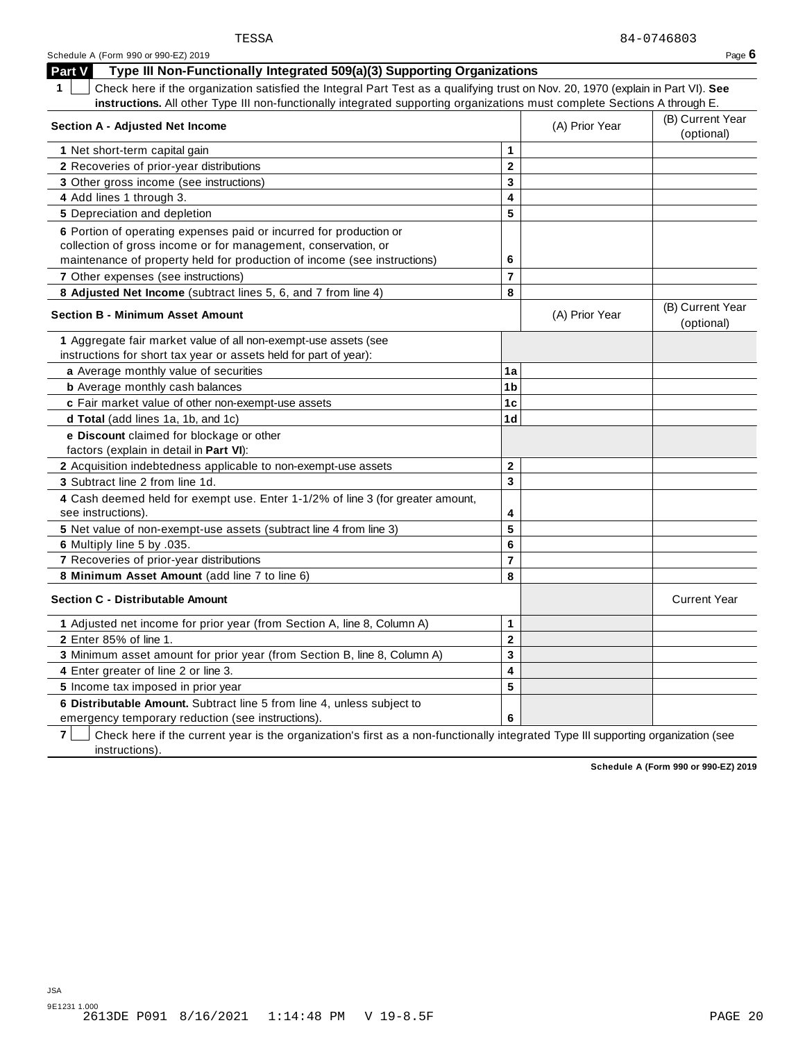| Type III Non-Functionally Integrated 509(a)(3) Supporting Organizations<br><b>Part V</b>                                                                                                                         |                |                                |                                |
|------------------------------------------------------------------------------------------------------------------------------------------------------------------------------------------------------------------|----------------|--------------------------------|--------------------------------|
| Check here if the organization satisfied the Integral Part Test as a qualifying trust on Nov. 20, 1970 (explain in Part VI). See                                                                                 |                |                                |                                |
| instructions. All other Type III non-functionally integrated supporting organizations must complete Sections A through E.                                                                                        |                |                                |                                |
| <b>Section A - Adjusted Net Income</b>                                                                                                                                                                           | (A) Prior Year | (B) Current Year<br>(optional) |                                |
| 1 Net short-term capital gain                                                                                                                                                                                    | 1              |                                |                                |
| 2 Recoveries of prior-year distributions                                                                                                                                                                         | $\mathbf{2}$   |                                |                                |
| 3 Other gross income (see instructions)                                                                                                                                                                          | 3              |                                |                                |
| 4 Add lines 1 through 3.                                                                                                                                                                                         | 4              |                                |                                |
| 5 Depreciation and depletion                                                                                                                                                                                     | 5              |                                |                                |
| 6 Portion of operating expenses paid or incurred for production or<br>collection of gross income or for management, conservation, or<br>maintenance of property held for production of income (see instructions) | 6              |                                |                                |
| 7 Other expenses (see instructions)                                                                                                                                                                              | $\overline{7}$ |                                |                                |
| 8 Adjusted Net Income (subtract lines 5, 6, and 7 from line 4)                                                                                                                                                   | 8              |                                |                                |
| <b>Section B - Minimum Asset Amount</b>                                                                                                                                                                          |                | (A) Prior Year                 | (B) Current Year<br>(optional) |
| 1 Aggregate fair market value of all non-exempt-use assets (see                                                                                                                                                  |                |                                |                                |
| instructions for short tax year or assets held for part of year):                                                                                                                                                |                |                                |                                |
| a Average monthly value of securities                                                                                                                                                                            | 1a             |                                |                                |
| <b>b</b> Average monthly cash balances                                                                                                                                                                           | 1 <sub>b</sub> |                                |                                |
| c Fair market value of other non-exempt-use assets                                                                                                                                                               | 1 <sub>c</sub> |                                |                                |
| d Total (add lines 1a, 1b, and 1c)                                                                                                                                                                               | 1 <sub>d</sub> |                                |                                |
| e Discount claimed for blockage or other                                                                                                                                                                         |                |                                |                                |
| factors (explain in detail in Part VI):                                                                                                                                                                          |                |                                |                                |
| 2 Acquisition indebtedness applicable to non-exempt-use assets                                                                                                                                                   | $\mathbf 2$    |                                |                                |
| 3 Subtract line 2 from line 1d.                                                                                                                                                                                  | 3              |                                |                                |
| 4 Cash deemed held for exempt use. Enter 1-1/2% of line 3 (for greater amount,<br>see instructions).                                                                                                             | 4              |                                |                                |
| 5 Net value of non-exempt-use assets (subtract line 4 from line 3)                                                                                                                                               | 5              |                                |                                |
| 6 Multiply line 5 by .035.                                                                                                                                                                                       | 6              |                                |                                |
| 7 Recoveries of prior-year distributions                                                                                                                                                                         | $\overline{7}$ |                                |                                |
| 8 Minimum Asset Amount (add line 7 to line 6)                                                                                                                                                                    | 8              |                                |                                |
| <b>Section C - Distributable Amount</b>                                                                                                                                                                          |                |                                | <b>Current Year</b>            |
| 1 Adjusted net income for prior year (from Section A, line 8, Column A)                                                                                                                                          | 1              |                                |                                |
| 2 Enter 85% of line 1.                                                                                                                                                                                           | $\mathbf 2$    |                                |                                |
| 3 Minimum asset amount for prior year (from Section B, line 8, Column A)                                                                                                                                         | 3              |                                |                                |
| 4 Enter greater of line 2 or line 3.                                                                                                                                                                             | 4              |                                |                                |
| 5 Income tax imposed in prior year                                                                                                                                                                               | 5              |                                |                                |
| 6 Distributable Amount. Subtract line 5 from line 4, unless subject to                                                                                                                                           |                |                                |                                |

emergency temporary reduction (see instructions).

JSA

**7** | Check here if the current year is the organization's first as a non-functionally integrated Type III supporting organization (see instructions).

**6**

**Schedule A (Form 990 or 990-EZ) 2019**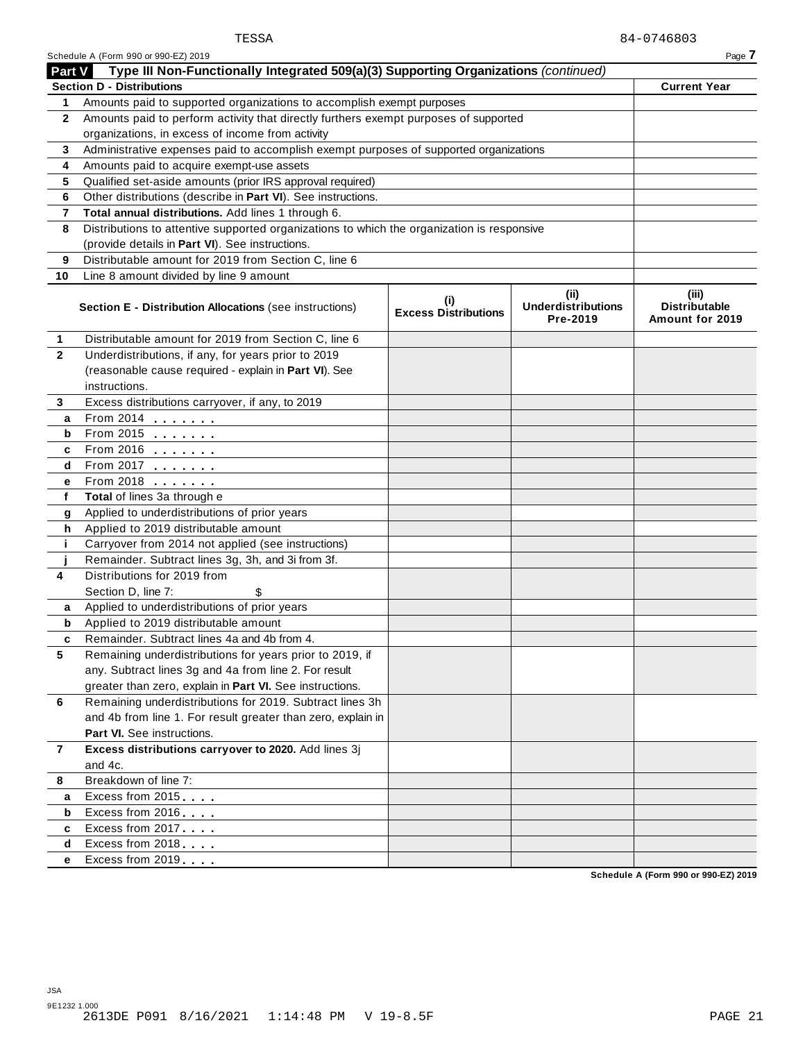|                | Schedule A (Form 990 or 990-EZ) 2019                                                       |                                    |                                               | Page 7                                           |
|----------------|--------------------------------------------------------------------------------------------|------------------------------------|-----------------------------------------------|--------------------------------------------------|
| Part V         | Type III Non-Functionally Integrated 509(a)(3) Supporting Organizations (continued)        |                                    |                                               |                                                  |
|                | <b>Section D - Distributions</b>                                                           |                                    |                                               | <b>Current Year</b>                              |
| 1.             | Amounts paid to supported organizations to accomplish exempt purposes                      |                                    |                                               |                                                  |
| $\mathbf{2}$   | Amounts paid to perform activity that directly furthers exempt purposes of supported       |                                    |                                               |                                                  |
|                | organizations, in excess of income from activity                                           |                                    |                                               |                                                  |
| 3              | Administrative expenses paid to accomplish exempt purposes of supported organizations      |                                    |                                               |                                                  |
| 4              | Amounts paid to acquire exempt-use assets                                                  |                                    |                                               |                                                  |
| 5              | Qualified set-aside amounts (prior IRS approval required)                                  |                                    |                                               |                                                  |
| 6              | Other distributions (describe in Part VI). See instructions.                               |                                    |                                               |                                                  |
| 7              | Total annual distributions. Add lines 1 through 6.                                         |                                    |                                               |                                                  |
| 8              | Distributions to attentive supported organizations to which the organization is responsive |                                    |                                               |                                                  |
|                | (provide details in Part VI). See instructions.                                            |                                    |                                               |                                                  |
| 9              | Distributable amount for 2019 from Section C, line 6                                       |                                    |                                               |                                                  |
| 10             | Line 8 amount divided by line 9 amount                                                     |                                    |                                               |                                                  |
|                | <b>Section E - Distribution Allocations (see instructions)</b>                             | (i)<br><b>Excess Distributions</b> | (ii)<br><b>Underdistributions</b><br>Pre-2019 | (iii)<br><b>Distributable</b><br>Amount for 2019 |
| 1              | Distributable amount for 2019 from Section C, line 6                                       |                                    |                                               |                                                  |
| $\mathbf{2}$   | Underdistributions, if any, for years prior to 2019                                        |                                    |                                               |                                                  |
|                | (reasonable cause required - explain in Part VI). See                                      |                                    |                                               |                                                  |
|                | instructions.                                                                              |                                    |                                               |                                                  |
| 3              | Excess distributions carryover, if any, to 2019                                            |                                    |                                               |                                                  |
| a              | From 2014 $\frac{1}{2}$                                                                    |                                    |                                               |                                                  |
| b              | From 2015 $\frac{1}{2}$                                                                    |                                    |                                               |                                                  |
| c              | From 2016 $\frac{1}{2}$                                                                    |                                    |                                               |                                                  |
| d              | From 2017 $\frac{1}{2}$                                                                    |                                    |                                               |                                                  |
| е              | From 2018                                                                                  |                                    |                                               |                                                  |
| f              | Total of lines 3a through e                                                                |                                    |                                               |                                                  |
| g              | Applied to underdistributions of prior years                                               |                                    |                                               |                                                  |
| h              | Applied to 2019 distributable amount                                                       |                                    |                                               |                                                  |
| j.             | Carryover from 2014 not applied (see instructions)                                         |                                    |                                               |                                                  |
|                | Remainder. Subtract lines 3g, 3h, and 3i from 3f.                                          |                                    |                                               |                                                  |
| 4              | Distributions for 2019 from                                                                |                                    |                                               |                                                  |
|                | Section D, line 7:<br>\$                                                                   |                                    |                                               |                                                  |
| a              | Applied to underdistributions of prior years                                               |                                    |                                               |                                                  |
| b              | Applied to 2019 distributable amount                                                       |                                    |                                               |                                                  |
|                | Remainder. Subtract lines 4a and 4b from 4.                                                |                                    |                                               |                                                  |
| 5              | Remaining underdistributions for years prior to 2019, if                                   |                                    |                                               |                                                  |
|                | any. Subtract lines 3g and 4a from line 2. For result                                      |                                    |                                               |                                                  |
|                | greater than zero, explain in Part VI. See instructions.                                   |                                    |                                               |                                                  |
| 6              | Remaining underdistributions for 2019. Subtract lines 3h                                   |                                    |                                               |                                                  |
|                | and 4b from line 1. For result greater than zero, explain in                               |                                    |                                               |                                                  |
|                | Part VI. See instructions.                                                                 |                                    |                                               |                                                  |
| $\overline{7}$ | Excess distributions carryover to 2020. Add lines 3j                                       |                                    |                                               |                                                  |
|                | and 4c.                                                                                    |                                    |                                               |                                                  |
| 8              | Breakdown of line 7:                                                                       |                                    |                                               |                                                  |
| a              | Excess from 2015                                                                           |                                    |                                               |                                                  |
| b              | Excess from 2016                                                                           |                                    |                                               |                                                  |
| c              | Excess from 2017                                                                           |                                    |                                               |                                                  |
| d              | Excess from 2018                                                                           |                                    |                                               |                                                  |
| е              | Excess from 2019                                                                           |                                    |                                               |                                                  |

**Schedule A (Form 990 or 990-EZ) 2019**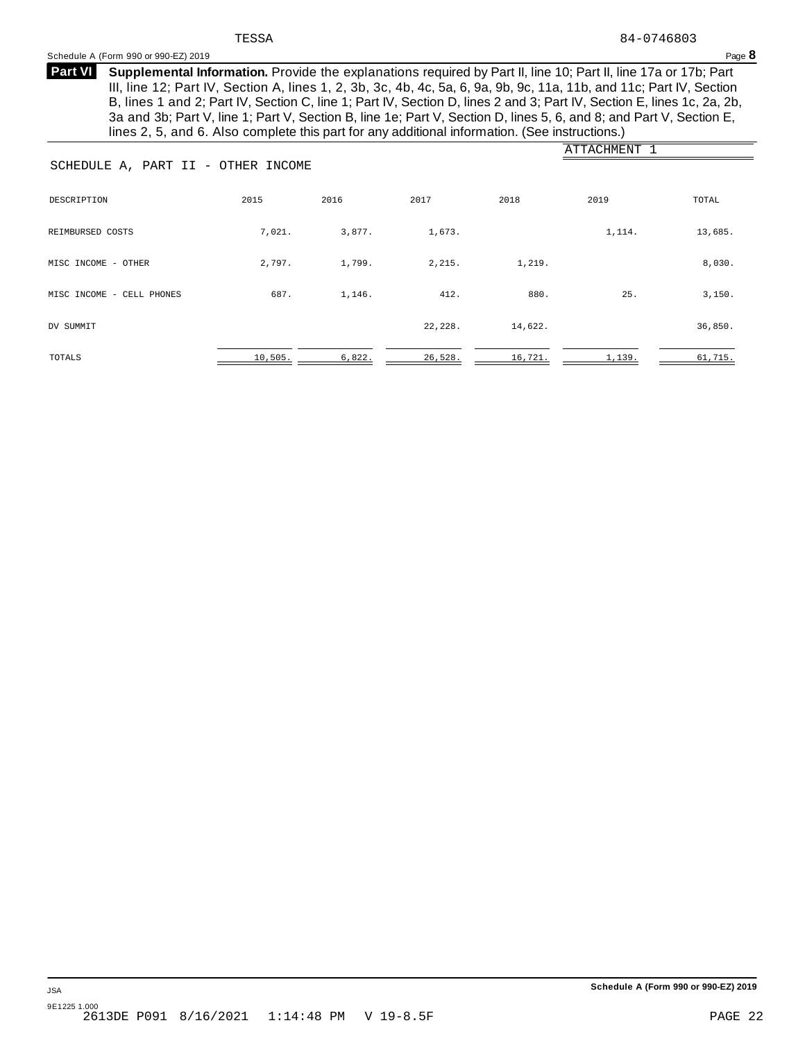<span id="page-19-0"></span>**Supplemental Information.** Provide the explanations required by Part II, line 10; Part II, line 17a or 17b; Part **Part VI** III, line 12; Part IV, Section A, lines 1, 2, 3b, 3c, 4b, 4c, 5a, 6, 9a, 9b, 9c, 11a, 11b, and 11c; Part IV, Section B, lines 1 and 2; Part IV, Section C, line 1; Part IV, Section D, lines 2 and 3; Part IV, Section E, lines 1c, 2a, 2b, 3a and 3b; Part V, line 1; Part V, Section B, line 1e; Part V, Section D, lines 5, 6, and 8; and Part V, Section E, lines 2, 5, and 6. Also complete this part for any additional information. (See instructions.)

|                                    |         |        |         |         | ATTACHMENT 1 |         |
|------------------------------------|---------|--------|---------|---------|--------------|---------|
| SCHEDULE A, PART II - OTHER INCOME |         |        |         |         |              |         |
| DESCRIPTION                        | 2015    | 2016   | 2017    | 2018    | 2019         | TOTAL   |
| REIMBURSED COSTS                   | 7,021.  | 3,877. | 1,673.  |         | 1,114.       | 13,685. |
| MISC INCOME - OTHER                | 2,797.  | 1,799. | 2,215.  | 1,219.  |              | 8,030.  |
| MISC INCOME - CELL PHONES          | 687.    | 1,146. | 412.    | 880.    | 25.          | 3,150.  |
| DV SUMMIT                          |         |        | 22,228. | 14,622. |              | 36,850. |
| TOTALS                             | 10,505. | 6,822. | 26,528. | 16,721. | 1,139.       | 61,715. |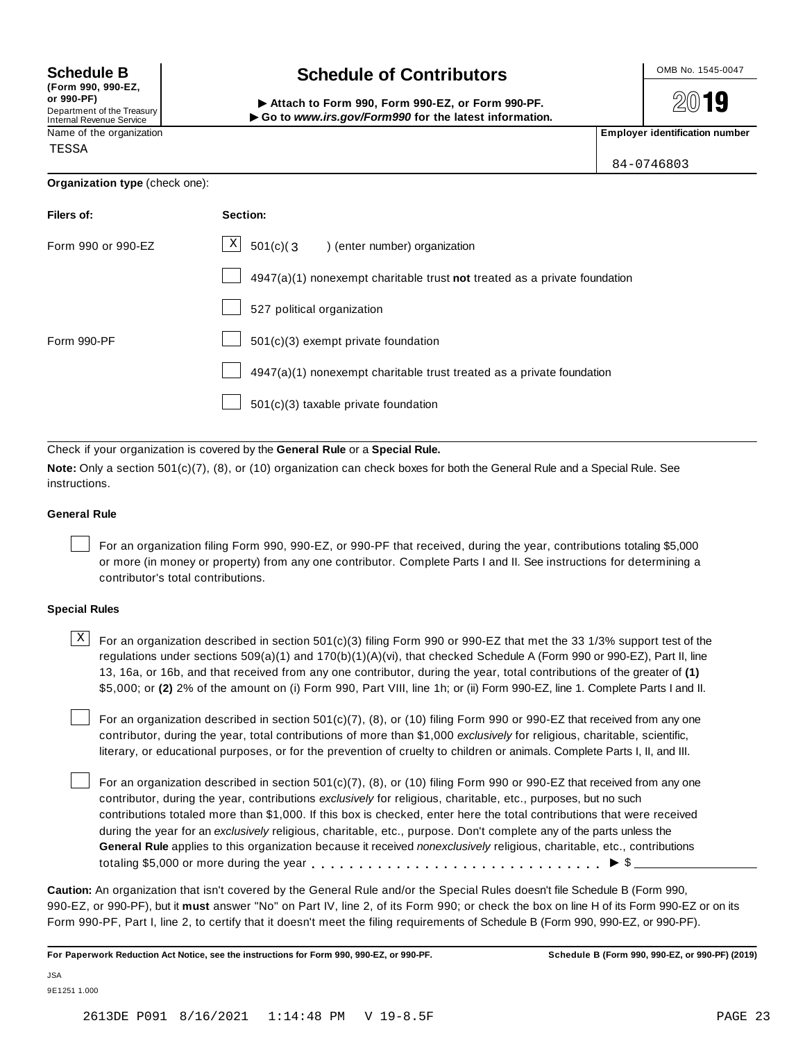| (Form 990, 990-EZ,              |  |
|---------------------------------|--|
| or 990-PF)                      |  |
| Department of the Treasury      |  |
| <b>Internal Revenue Service</b> |  |

TESSA

## **Schedule B chedule of Contributors**

(Point issue, sub-EZ,<br>Department of the Treasury internal Revenue Service<br>Department of the Treasury internal Revenue Service internal Revenue Service internal Revenue Service internal<br>Name of the organization internal Re

2019

84-0746803

| Filers of:         | Section:                                                                    |
|--------------------|-----------------------------------------------------------------------------|
| Form 990 or 990-EZ | $\mathbf{X}$<br>$501(c)$ (3<br>) (enter number) organization                |
|                    | $4947(a)(1)$ nonexempt charitable trust not treated as a private foundation |
|                    | 527 political organization                                                  |
| Form 990-PF        | $501(c)(3)$ exempt private foundation                                       |
|                    | 4947(a)(1) nonexempt charitable trust treated as a private foundation       |
|                    | $501(c)(3)$ taxable private foundation                                      |

Check if your organization is covered by the **General Rule** or a **Special Rule.**

**Note:** Only a section 501(c)(7), (8), or (10) organization can check boxes for both the General Rule and a Special Rule. See instructions.

### **General Rule**

For an organization filing Form 990, 990-EZ, or 990-PF that received, during the year, contributions totaling \$5,000 or more (in money or property) from any one contributor. Complete Parts I and II. See instructions for determining a contributor's total contributions.

### **Special Rules**

 $\text{X}$  For an organization described in section 501(c)(3) filing Form 990 or 990-EZ that met the 33 1/3% support test of the regulations under sections 509(a)(1) and 170(b)(1)(A)(vi), that checked Schedule A (Form 990 or 990-EZ), Part II, line 13, 16a, or 16b, and that received from any one contributor, during the year, total contributions of the greater of **(1)** \$5,000; or **(2)** 2% of the amount on (i) Form 990, Part VIII, line 1h; or (ii) Form 990-EZ, line 1. Complete Parts I and II.

For an organization described in section 501(c)(7), (8), or (10) filing Form 990 or 990-EZ that received from any one contributor, during the year, total contributions of more than \$1,000 *exclusively* for religious, charitable, scientific, literary, or educational purposes, or for the prevention of cruelty to children or animals. Complete Parts I, II, and III.

For an organization described in section 501(c)(7), (8), or (10) filing Form 990 or 990-EZ that received from any one contributor, during the year, contributions *exclusively* for religious, charitable, etc., purposes, but no such contributions totaled more than \$1,000. If this box is checked, enter here the total contributions that were received during the year for an *exclusively* religious, charitable, etc., purpose. Don't complete any of the parts unless the **General Rule** applies to this organization because it received *nonexclusively* religious, charitable, etc., contributions totaling \$5,000 or more during the year  $\ldots \ldots \ldots \ldots \ldots \ldots \ldots \ldots \ldots \vdots \bullet$   $\mathcal{S}$ 

**Caution:** An organization that isn't covered by the General Rule and/or the Special Rules doesn't file Schedule B (Form 990, 990-EZ, or 990-PF), but it **must** answer "No" on Part IV, line 2, of its Form 990; or check the box on line H of its Form 990-EZ or on its Form 990-PF, Part I, line 2, to certify that it doesn't meet the filing requirements of Schedule B (Form 990, 990-EZ, or 990-PF).

For Paperwork Reduction Act Notice, see the instructions for Form 990, 990-EZ, or 990-PF. Schedule B (Form 990, 990-EZ, or 990-PF) (2019)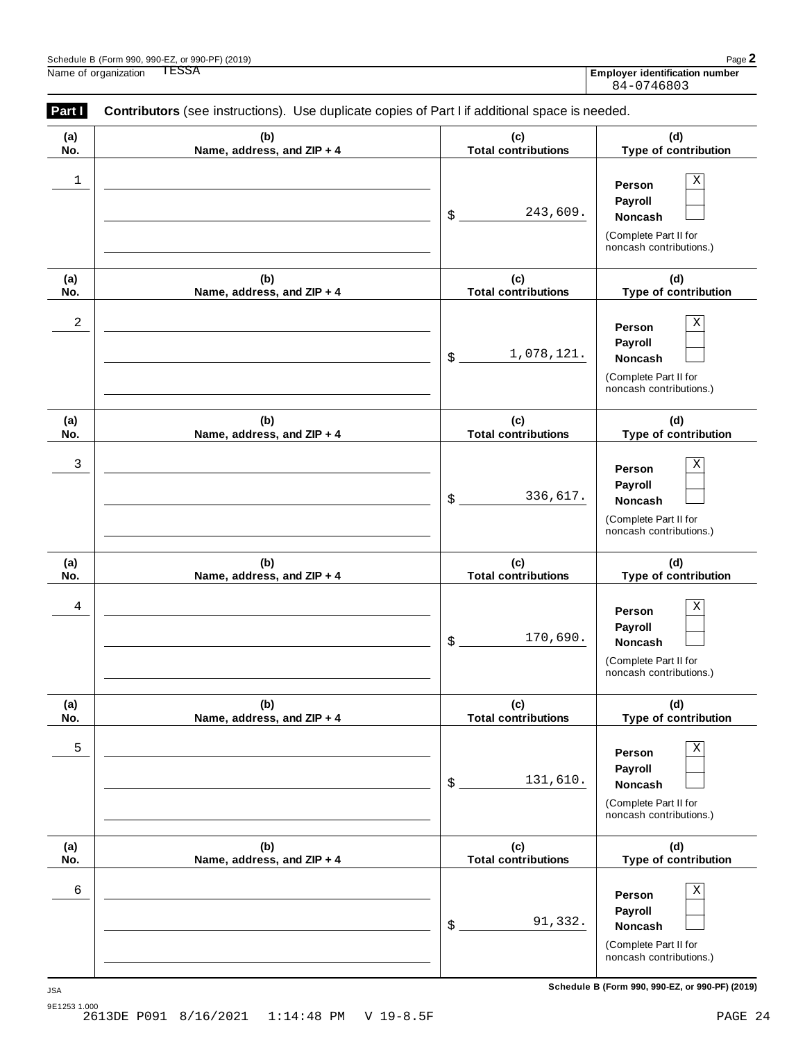|                |                                   | 1,078,121.<br>\$                  | <b>Noncash</b><br>(Complete Part II for<br>noncash contributions.)                                  |
|----------------|-----------------------------------|-----------------------------------|-----------------------------------------------------------------------------------------------------|
| (a)<br>No.     | (b)<br>Name, address, and ZIP + 4 | (c)<br><b>Total contributions</b> | (d)<br>Type of contribution                                                                         |
| $\mathbf{3}$   |                                   | 336,617.<br>\$                    | Χ<br>Person<br><b>Payroll</b><br><b>Noncash</b><br>(Complete Part II for<br>noncash contributions.) |
| (a)<br>No.     | (b)<br>Name, address, and ZIP + 4 | (c)<br><b>Total contributions</b> | (d)<br>Type of contribution                                                                         |
| $\overline{4}$ |                                   | 170,690.<br>$\frac{1}{2}$         | Χ<br>Person<br>Payroll<br>Noncash<br>(Complete Part II for<br>noncash contributions.)               |
| (a)<br>No.     | (b)<br>Name, address, and ZIP + 4 | (c)<br><b>Total contributions</b> | (d)<br>Type of contribution                                                                         |
| 5              |                                   | 131,610.<br>$\frac{1}{2}$         | Χ<br>Person<br>Payroll<br>Noncash<br>(Complete Part II for<br>noncash contributions.)               |
| (a)<br>No.     | (b)<br>Name, address, and ZIP + 4 | (c)<br><b>Total contributions</b> | (d)<br>Type of contribution                                                                         |
| 6              |                                   | 91,332.<br>\$                     | Χ<br>Person<br>Payroll<br>Noncash                                                                   |

**Part <b>I** Contributors (see instructions). Use duplicate copies of Part I if additional space is needed.

 $1$  **person**  $X$ 

 $2 \left| \begin{array}{ccc} 2 \end{array} \right|$  **Person**  $\left| \begin{array}{ccc} X \end{array} \right|$ 

**(b) Name, address, and ZIP + 4**

**(b) Name, address, and ZIP + 4**

> (Complete Part II for noncash contributions.)

**Schedule B (Form 990, 990-EZ, or 990-PF) (2019)** JSA

**(a) No.**

**(a) No.** **Person Payroll**

**Person Payroll**

(Complete Part II for noncash contributions.)

**(d) Type of contribution**

**(d) Type of contribution**

**(c) Total contributions**

**(c) Total contributions**

 $\frac{243,609}{\sqrt{100}}$  Noncash

243,609.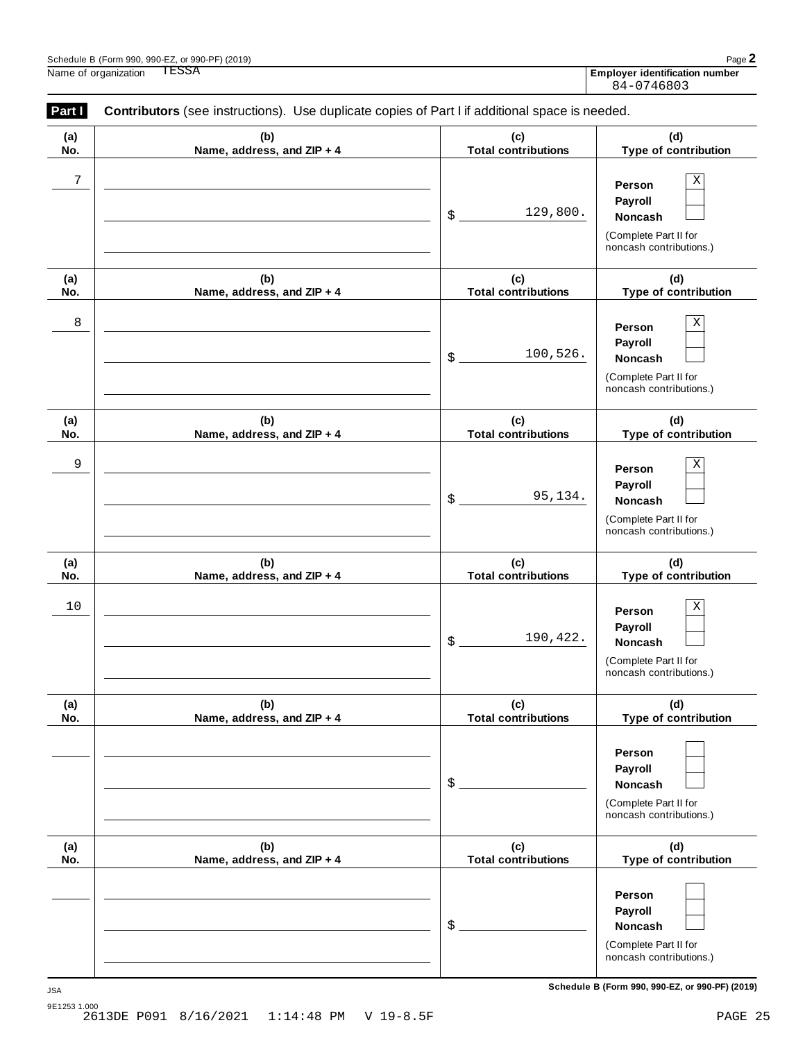|            |                                   |                                   | noncash contributions.)                                                               |
|------------|-----------------------------------|-----------------------------------|---------------------------------------------------------------------------------------|
| (a)<br>No. | (b)<br>Name, address, and ZIP + 4 | (c)<br><b>Total contributions</b> | (d)<br>Type of contribution                                                           |
| 8          |                                   | 100,526.<br>\$                    | Χ<br>Person<br>Payroll<br>Noncash<br>(Complete Part II for<br>noncash contributions.) |
| (a)<br>No. | (b)<br>Name, address, and ZIP + 4 | (c)<br><b>Total contributions</b> | (d)<br>Type of contribution                                                           |
| 9          |                                   | 95,134.<br>\$                     | Х<br>Person<br>Payroll<br>Noncash<br>(Complete Part II for<br>noncash contributions.) |
| (a)<br>No. | (b)<br>Name, address, and ZIP + 4 | (c)<br><b>Total contributions</b> | (d)<br>Type of contribution                                                           |
| $10$       |                                   | 190,422.<br>\$                    | х<br>Person<br>Payroll<br>Noncash<br>(Complete Part II for<br>noncash contributions.) |
| (a)<br>No. | (b)<br>Name, address, and ZIP + 4 | (c)<br><b>Total contributions</b> | (d)<br>Type of contribution                                                           |
|            |                                   | \$                                | Person<br>Payroll<br>Noncash<br>(Complete Part II for<br>noncash contributions.)      |
| (a)<br>No. | (b)<br>Name, address, and ZIP + 4 | (c)<br><b>Total contributions</b> | (d)<br>Type of contribution                                                           |
|            |                                   | \$                                | Person<br>Payroll<br>Noncash<br>(Complete Part II for<br>noncash contributions.)      |

**Part <b>I** Contributors (see instructions). Use duplicate copies of Part I if additional space is needed.

 $7$   $\overline{\phantom{a}}$   $\overline{\phantom{a}}$   $\overline{\phantom{a}}$   $\overline{\phantom{a}}$   $\overline{\phantom{a}}$   $\overline{\phantom{a}}$   $\overline{\phantom{a}}$   $\overline{\phantom{a}}$   $\overline{\phantom{a}}$   $\overline{\phantom{a}}$   $\overline{\phantom{a}}$   $\overline{\phantom{a}}$   $\overline{\phantom{a}}$   $\overline{\phantom{a}}$   $\overline{\phantom{a}}$   $\overline{\phantom{a}}$   $\overline{\phantom{a}}$   $\overline{\phantom{a}}$ 

**(c) Total contributions**

 $\frac{129,800}{\sqrt{129,800}}$  Noncash

129,800.

**(b) Name, address, and ZIP + 4**

**(a) No.**

**(d) Type of contribution**

**Person Payroll**

(Complete Part II for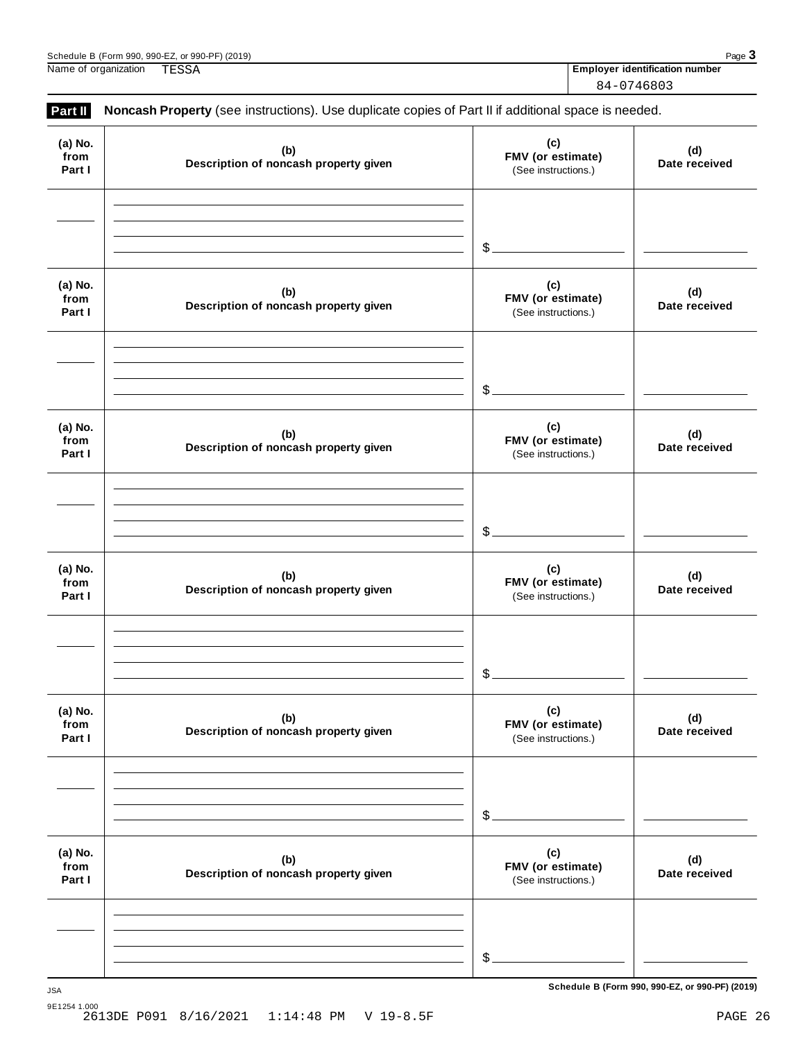| <b>Part I</b> | Description of nong |
|---------------|---------------------|
|---------------|---------------------|

| (a) No.<br>from<br>Part I | (b)<br>Description of noncash property given | (c)<br>FMV (or estimate)<br>(See instructions.) | (d)<br>Date received |
|---------------------------|----------------------------------------------|-------------------------------------------------|----------------------|
|                           |                                              | $\frac{1}{2}$                                   |                      |
| (a) No.<br>from<br>Part I | (b)<br>Description of noncash property given | (c)<br>FMV (or estimate)<br>(See instructions.) | (d)<br>Date received |
|                           |                                              | $\mathfrak{S}$                                  |                      |
| (a) No.<br>from<br>Part I | (b)<br>Description of noncash property given | (c)<br>FMV (or estimate)<br>(See instructions.) | (d)<br>Date received |
|                           |                                              | $\mathcal{S}_{-}$                               |                      |
| (a) No.<br>from<br>Part I | (b)<br>Description of noncash property given | (c)<br>FMV (or estimate)<br>(See instructions.) | (d)<br>Date received |
|                           |                                              | $\delta$                                        |                      |

**Part II** Noncash Property (see instructions). Use duplicate copies of Part II if additional space is needed.

**(b) Description of noncash property given**

**(b) Description of noncash property given**

**(a) No. from Part I**

**(a) No. from Part I**

ived

84-0746803

**(d) Date received**

**(d) Date received**

**(c) FMV (or estimate)** (See instructions.)

**(c) FMV (or estimate)** (See instructions.)

\$

\$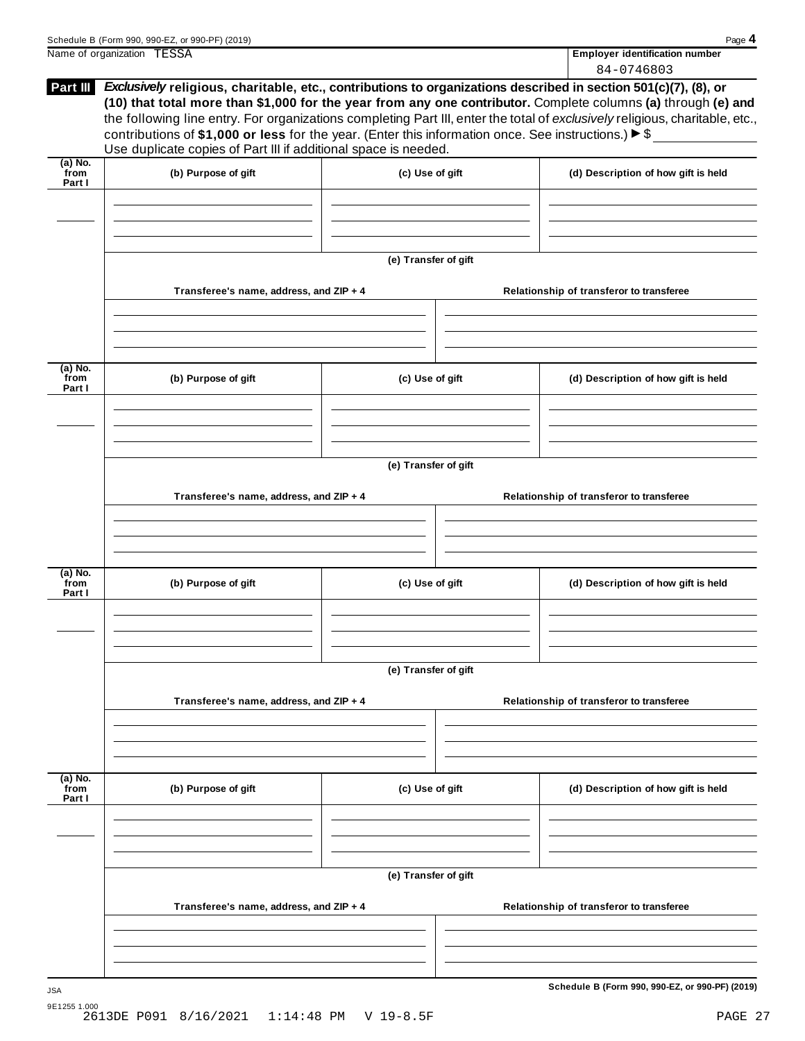|                             | Name of organization TESSA                                                                                                                                                                                                                                                                                                                                                                                                                                                                                                                                 |                      | <b>Employer identification number</b><br>84-0746803 |
|-----------------------------|------------------------------------------------------------------------------------------------------------------------------------------------------------------------------------------------------------------------------------------------------------------------------------------------------------------------------------------------------------------------------------------------------------------------------------------------------------------------------------------------------------------------------------------------------------|----------------------|-----------------------------------------------------|
| Part III                    | Exclusively religious, charitable, etc., contributions to organizations described in section 501(c)(7), (8), or<br>(10) that total more than \$1,000 for the year from any one contributor. Complete columns (a) through (e) and<br>the following line entry. For organizations completing Part III, enter the total of exclusively religious, charitable, etc.,<br>contributions of \$1,000 or less for the year. (Enter this information once. See instructions.) $\triangleright$ \$<br>Use duplicate copies of Part III if additional space is needed. |                      |                                                     |
| (a) No.<br>from<br>Part I   | (b) Purpose of gift                                                                                                                                                                                                                                                                                                                                                                                                                                                                                                                                        | (c) Use of gift      | (d) Description of how gift is held                 |
|                             |                                                                                                                                                                                                                                                                                                                                                                                                                                                                                                                                                            |                      |                                                     |
|                             | Transferee's name, address, and ZIP + 4                                                                                                                                                                                                                                                                                                                                                                                                                                                                                                                    | (e) Transfer of gift | Relationship of transferor to transferee            |
|                             |                                                                                                                                                                                                                                                                                                                                                                                                                                                                                                                                                            |                      |                                                     |
| $(a)$ No.<br>from<br>Part I | (b) Purpose of gift                                                                                                                                                                                                                                                                                                                                                                                                                                                                                                                                        | (c) Use of gift      | (d) Description of how gift is held                 |
|                             | Transferee's name, address, and ZIP + 4                                                                                                                                                                                                                                                                                                                                                                                                                                                                                                                    | (e) Transfer of gift | Relationship of transferor to transferee            |
| (a) No.<br>from<br>Part I   | (b) Purpose of gift                                                                                                                                                                                                                                                                                                                                                                                                                                                                                                                                        | (c) Use of gift      | (d) Description of how gift is held                 |
|                             |                                                                                                                                                                                                                                                                                                                                                                                                                                                                                                                                                            |                      |                                                     |
|                             | Transferee's name, address, and ZIP + 4                                                                                                                                                                                                                                                                                                                                                                                                                                                                                                                    | (e) Transfer of gift | Relationship of transferor to transferee            |
| (a) No.<br>from<br>Part I   | (b) Purpose of gift                                                                                                                                                                                                                                                                                                                                                                                                                                                                                                                                        | (c) Use of gift      | (d) Description of how gift is held                 |
|                             |                                                                                                                                                                                                                                                                                                                                                                                                                                                                                                                                                            |                      |                                                     |
|                             |                                                                                                                                                                                                                                                                                                                                                                                                                                                                                                                                                            | (e) Transfer of gift |                                                     |
|                             | Transferee's name, address, and ZIP + 4                                                                                                                                                                                                                                                                                                                                                                                                                                                                                                                    |                      | Relationship of transferor to transferee            |
|                             |                                                                                                                                                                                                                                                                                                                                                                                                                                                                                                                                                            |                      | Schedule B (Form 990, 990-EZ, or 990-PF) (2019)     |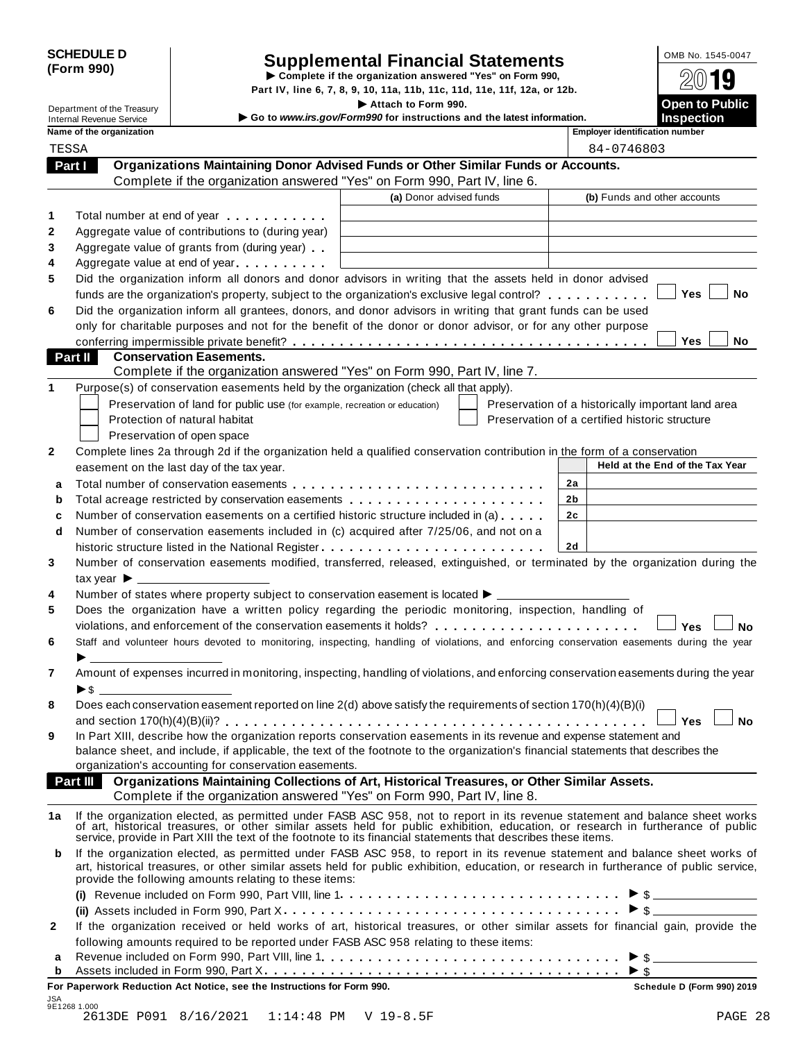|                     | <b>SCHEDULE D</b> |
|---------------------|-------------------|
| $(F_{\alpha r}$ agn |                   |

# SCHEDULE D<br>
Supplemental Financial Statements<br>
Form 990)<br>
Part IV, line 6, 7, 8, 9, 10, 11a, 11b, 11c, 11d, 11e, 11f, 12a, or 12b.<br>
Part IV, line 6, 7, 8, 9, 10, 11a, 11b, 11c, 11d, 11e, 11f, 12a, or 12b.

Department of the Treasury **I Attach 1990.** The S. 7, 8, 9, 10, 11a, 11b, 11c, 11d, 11e, 11f, 12a, or 12b.<br> **Department of the Treasury Inches Containery Containery Containery Containery Containery Containery Internal Revenue Service** I **Consumer Consumer Service Internal Revenue Service Inspection<br>■ Inspection ■ Inspection ■ Inspection** 

|        | וווופווומו ולפיפווטפ טפו אוטפ<br>Name of the organization                                                                                                                                                                                                              |                         | <b>Employer identification number</b>              |
|--------|------------------------------------------------------------------------------------------------------------------------------------------------------------------------------------------------------------------------------------------------------------------------|-------------------------|----------------------------------------------------|
| TESSA  |                                                                                                                                                                                                                                                                        |                         | 84-0746803                                         |
| Part I | Organizations Maintaining Donor Advised Funds or Other Similar Funds or Accounts.                                                                                                                                                                                      |                         |                                                    |
|        | Complete if the organization answered "Yes" on Form 990, Part IV, line 6.                                                                                                                                                                                              |                         |                                                    |
|        |                                                                                                                                                                                                                                                                        | (a) Donor advised funds | (b) Funds and other accounts                       |
| 1      | Total number at end of year <b>that the state of the state of the state of the state of the state of the state of the state of the state of the state of the state of the state of the state of the state of the state of the st</b>                                   |                         |                                                    |
| 2      | Aggregate value of contributions to (during year)                                                                                                                                                                                                                      |                         |                                                    |
| 3      | Aggregate value of grants from (during year)                                                                                                                                                                                                                           |                         |                                                    |
| 4      | Aggregate value at end of year                                                                                                                                                                                                                                         |                         |                                                    |
| 5      | Did the organization inform all donors and donor advisors in writing that the assets held in donor advised                                                                                                                                                             |                         |                                                    |
|        | funds are the organization's property, subject to the organization's exclusive legal control? $\ldots \ldots \ldots$                                                                                                                                                   |                         | Yes<br>No                                          |
| 6      | Did the organization inform all grantees, donors, and donor advisors in writing that grant funds can be used                                                                                                                                                           |                         |                                                    |
|        | only for charitable purposes and not for the benefit of the donor or donor advisor, or for any other purpose                                                                                                                                                           |                         |                                                    |
|        |                                                                                                                                                                                                                                                                        |                         | Yes<br>No                                          |
|        | <b>Part II</b><br><b>Conservation Easements.</b>                                                                                                                                                                                                                       |                         |                                                    |
|        | Complete if the organization answered "Yes" on Form 990, Part IV, line 7.                                                                                                                                                                                              |                         |                                                    |
| 1      | Purpose(s) of conservation easements held by the organization (check all that apply).                                                                                                                                                                                  |                         |                                                    |
|        | Preservation of land for public use (for example, recreation or education)                                                                                                                                                                                             |                         | Preservation of a historically important land area |
|        | Protection of natural habitat                                                                                                                                                                                                                                          |                         | Preservation of a certified historic structure     |
|        | Preservation of open space                                                                                                                                                                                                                                             |                         |                                                    |
| 2      | Complete lines 2a through 2d if the organization held a qualified conservation contribution in the form of a conservation                                                                                                                                              |                         |                                                    |
|        | easement on the last day of the tax year.                                                                                                                                                                                                                              |                         | Held at the End of the Tax Year                    |
| a      |                                                                                                                                                                                                                                                                        |                         | 2a                                                 |
| b      | Total acreage restricted by conservation easements                                                                                                                                                                                                                     |                         | 2b                                                 |
| c      | Number of conservation easements on a certified historic structure included in (a)                                                                                                                                                                                     |                         | 2c                                                 |
| d      | Number of conservation easements included in (c) acquired after 7/25/06, and not on a                                                                                                                                                                                  |                         |                                                    |
|        |                                                                                                                                                                                                                                                                        |                         | 2d                                                 |
| 3      | Number of conservation easements modified, transferred, released, extinguished, or terminated by the organization during the                                                                                                                                           |                         |                                                    |
|        | tax year $\blacktriangleright$                                                                                                                                                                                                                                         |                         |                                                    |
| 4      | Number of states where property subject to conservation easement is located > _____________________                                                                                                                                                                    |                         |                                                    |
| 5      | Does the organization have a written policy regarding the periodic monitoring, inspection, handling of                                                                                                                                                                 |                         |                                                    |
|        | violations, and enforcement of the conservation easements it holds?                                                                                                                                                                                                    |                         | Yes<br><b>No</b>                                   |
| 6      | Staff and volunteer hours devoted to monitoring, inspecting, handling of violations, and enforcing conservation easements during the year                                                                                                                              |                         |                                                    |
|        |                                                                                                                                                                                                                                                                        |                         |                                                    |
| 7      | Amount of expenses incurred in monitoring, inspecting, handling of violations, and enforcing conservation easements during the year                                                                                                                                    |                         |                                                    |
|        | $\blacktriangleright$ S<br>Does each conservation easement reported on line 2(d) above satisfy the requirements of section 170(h)(4)(B)(i)                                                                                                                             |                         |                                                    |
| 8      |                                                                                                                                                                                                                                                                        |                         |                                                    |
| 9      | In Part XIII, describe how the organization reports conservation easements in its revenue and expense statement and                                                                                                                                                    |                         | Yes<br><b>No</b>                                   |
|        | balance sheet, and include, if applicable, the text of the footnote to the organization's financial statements that describes the                                                                                                                                      |                         |                                                    |
|        | organization's accounting for conservation easements.                                                                                                                                                                                                                  |                         |                                                    |
|        | Part III<br>Organizations Maintaining Collections of Art, Historical Treasures, or Other Similar Assets.                                                                                                                                                               |                         |                                                    |
|        | Complete if the organization answered "Yes" on Form 990, Part IV, line 8.                                                                                                                                                                                              |                         |                                                    |
| 1a     |                                                                                                                                                                                                                                                                        |                         |                                                    |
|        | If the organization elected, as permitted under FASB ASC 958, not to report in its revenue statement and balance sheet works of art, historical treasures, or other similar assets held for public exhibition, education, or r                                         |                         |                                                    |
|        | service, provide in Part XIII the text of the footnote to its financial statements that describes these items.                                                                                                                                                         |                         |                                                    |
| b      | If the organization elected, as permitted under FASB ASC 958, to report in its revenue statement and balance sheet works of<br>art, historical treasures, or other similar assets held for public exhibition, education, or research in furtherance of public service, |                         |                                                    |
|        | provide the following amounts relating to these items:                                                                                                                                                                                                                 |                         |                                                    |
|        |                                                                                                                                                                                                                                                                        |                         |                                                    |
|        |                                                                                                                                                                                                                                                                        |                         |                                                    |
| 2      | If the organization received or held works of art, historical treasures, or other similar assets for financial gain, provide the                                                                                                                                       |                         |                                                    |
|        | following amounts required to be reported under FASB ASC 958 relating to these items:                                                                                                                                                                                  |                         |                                                    |
| a      |                                                                                                                                                                                                                                                                        |                         | $\triangleright$ \$                                |
| b      |                                                                                                                                                                                                                                                                        |                         | $\blacktriangleright$ \$                           |
|        | For Paperwork Reduction Act Notice, see the Instructions for Form 990.                                                                                                                                                                                                 |                         | Schedule D (Form 990) 2019                         |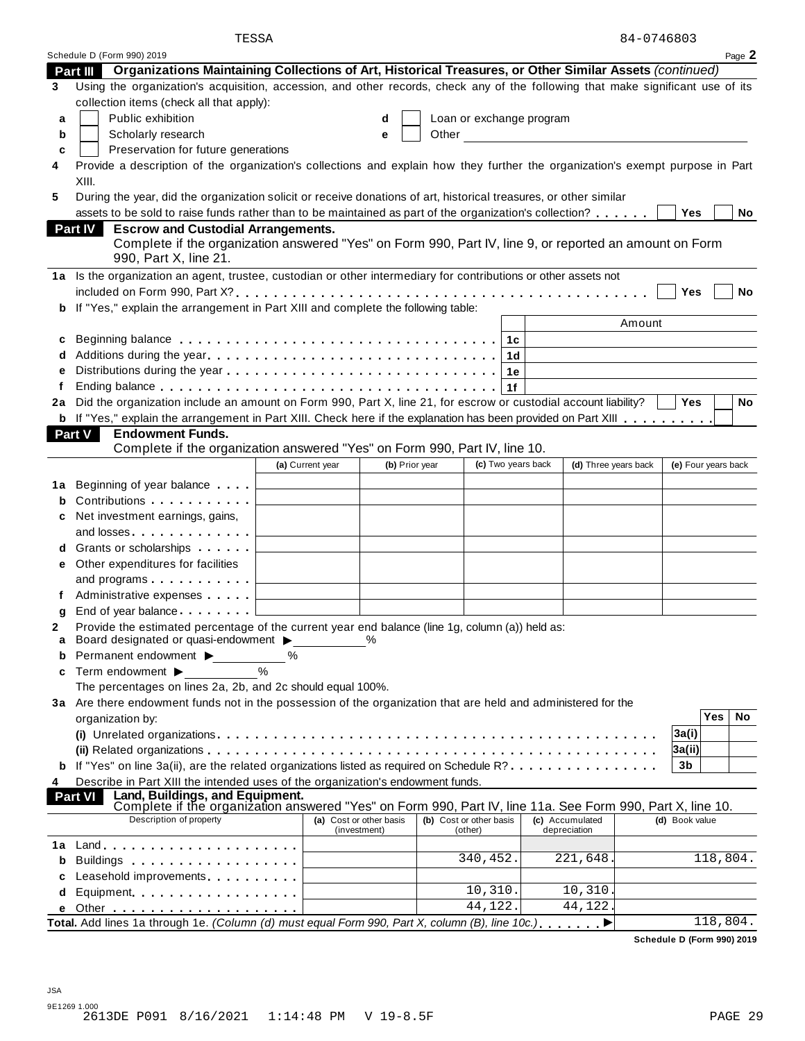| Schedule D (Form 990) 2019<br>Organizations Maintaining Collections of Art, Historical Treasures, or Other Similar Assets (continued)<br>Part III<br>Using the organization's acquisition, accession, and other records, check any of the following that make significant use of its<br>3<br>collection items (check all that apply):<br>Public exhibition<br>Loan or exchange program<br>a<br>d<br>Scholarly research<br>Other<br><u>and the state of the state of the state of the state of the state of the state of the state of the state of the state of the state of the state of the state of the state of the state of the state of the state of the state</u><br>b<br>e<br>Preservation for future generations<br>c<br>Provide a description of the organization's collections and explain how they further the organization's exempt purpose in Part<br>4<br>XIII.<br>During the year, did the organization solicit or receive donations of art, historical treasures, or other similar<br>5<br>assets to be sold to raise funds rather than to be maintained as part of the organization's collection?<br><b>Escrow and Custodial Arrangements.</b><br>Part IV<br>Complete if the organization answered "Yes" on Form 990, Part IV, line 9, or reported an amount on Form<br>990, Part X, line 21.<br>1a Is the organization an agent, trustee, custodian or other intermediary for contributions or other assets not<br>If "Yes," explain the arrangement in Part XIII and complete the following table:<br>b<br>Beginning balance enterpreteration of the contract of the contract of the contract of the contract of the contr<br>1c<br>c<br>1 <sub>d</sub><br>d<br>1e<br>е<br>1f<br>f<br>Did the organization include an amount on Form 990, Part X, line 21, for escrow or custodial account liability?<br>2a<br><b>b</b> If "Yes," explain the arrangement in Part XIII. Check here if the explanation has been provided on Part XIII<br>Part V<br><b>Endowment Funds.</b><br>Complete if the organization answered "Yes" on Form 990, Part IV, line 10.<br>(c) Two years back<br>(a) Current year<br>(b) Prior year<br>(d) Three years back<br>Beginning of year balance [15]<br>1a<br>Contributions <b>Contributions</b><br>b<br>Net investment earnings, gains,<br>c<br>and losses | Page 2<br>Yes<br>No<br>No<br>Yes<br>Amount<br><b>Yes</b><br>No<br>(e) Four years back |
|---------------------------------------------------------------------------------------------------------------------------------------------------------------------------------------------------------------------------------------------------------------------------------------------------------------------------------------------------------------------------------------------------------------------------------------------------------------------------------------------------------------------------------------------------------------------------------------------------------------------------------------------------------------------------------------------------------------------------------------------------------------------------------------------------------------------------------------------------------------------------------------------------------------------------------------------------------------------------------------------------------------------------------------------------------------------------------------------------------------------------------------------------------------------------------------------------------------------------------------------------------------------------------------------------------------------------------------------------------------------------------------------------------------------------------------------------------------------------------------------------------------------------------------------------------------------------------------------------------------------------------------------------------------------------------------------------------------------------------------------------------------------------------------------------------------------------------------------------------------------------------------------------------------------------------------------------------------------------------------------------------------------------------------------------------------------------------------------------------------------------------------------------------------------------------------------------------------------------------------------------------------------------------------------------------|---------------------------------------------------------------------------------------|
|                                                                                                                                                                                                                                                                                                                                                                                                                                                                                                                                                                                                                                                                                                                                                                                                                                                                                                                                                                                                                                                                                                                                                                                                                                                                                                                                                                                                                                                                                                                                                                                                                                                                                                                                                                                                                                                                                                                                                                                                                                                                                                                                                                                                                                                                                                         |                                                                                       |
|                                                                                                                                                                                                                                                                                                                                                                                                                                                                                                                                                                                                                                                                                                                                                                                                                                                                                                                                                                                                                                                                                                                                                                                                                                                                                                                                                                                                                                                                                                                                                                                                                                                                                                                                                                                                                                                                                                                                                                                                                                                                                                                                                                                                                                                                                                         |                                                                                       |
|                                                                                                                                                                                                                                                                                                                                                                                                                                                                                                                                                                                                                                                                                                                                                                                                                                                                                                                                                                                                                                                                                                                                                                                                                                                                                                                                                                                                                                                                                                                                                                                                                                                                                                                                                                                                                                                                                                                                                                                                                                                                                                                                                                                                                                                                                                         |                                                                                       |
|                                                                                                                                                                                                                                                                                                                                                                                                                                                                                                                                                                                                                                                                                                                                                                                                                                                                                                                                                                                                                                                                                                                                                                                                                                                                                                                                                                                                                                                                                                                                                                                                                                                                                                                                                                                                                                                                                                                                                                                                                                                                                                                                                                                                                                                                                                         |                                                                                       |
|                                                                                                                                                                                                                                                                                                                                                                                                                                                                                                                                                                                                                                                                                                                                                                                                                                                                                                                                                                                                                                                                                                                                                                                                                                                                                                                                                                                                                                                                                                                                                                                                                                                                                                                                                                                                                                                                                                                                                                                                                                                                                                                                                                                                                                                                                                         |                                                                                       |
|                                                                                                                                                                                                                                                                                                                                                                                                                                                                                                                                                                                                                                                                                                                                                                                                                                                                                                                                                                                                                                                                                                                                                                                                                                                                                                                                                                                                                                                                                                                                                                                                                                                                                                                                                                                                                                                                                                                                                                                                                                                                                                                                                                                                                                                                                                         |                                                                                       |
|                                                                                                                                                                                                                                                                                                                                                                                                                                                                                                                                                                                                                                                                                                                                                                                                                                                                                                                                                                                                                                                                                                                                                                                                                                                                                                                                                                                                                                                                                                                                                                                                                                                                                                                                                                                                                                                                                                                                                                                                                                                                                                                                                                                                                                                                                                         |                                                                                       |
|                                                                                                                                                                                                                                                                                                                                                                                                                                                                                                                                                                                                                                                                                                                                                                                                                                                                                                                                                                                                                                                                                                                                                                                                                                                                                                                                                                                                                                                                                                                                                                                                                                                                                                                                                                                                                                                                                                                                                                                                                                                                                                                                                                                                                                                                                                         |                                                                                       |
|                                                                                                                                                                                                                                                                                                                                                                                                                                                                                                                                                                                                                                                                                                                                                                                                                                                                                                                                                                                                                                                                                                                                                                                                                                                                                                                                                                                                                                                                                                                                                                                                                                                                                                                                                                                                                                                                                                                                                                                                                                                                                                                                                                                                                                                                                                         |                                                                                       |
|                                                                                                                                                                                                                                                                                                                                                                                                                                                                                                                                                                                                                                                                                                                                                                                                                                                                                                                                                                                                                                                                                                                                                                                                                                                                                                                                                                                                                                                                                                                                                                                                                                                                                                                                                                                                                                                                                                                                                                                                                                                                                                                                                                                                                                                                                                         |                                                                                       |
|                                                                                                                                                                                                                                                                                                                                                                                                                                                                                                                                                                                                                                                                                                                                                                                                                                                                                                                                                                                                                                                                                                                                                                                                                                                                                                                                                                                                                                                                                                                                                                                                                                                                                                                                                                                                                                                                                                                                                                                                                                                                                                                                                                                                                                                                                                         |                                                                                       |
|                                                                                                                                                                                                                                                                                                                                                                                                                                                                                                                                                                                                                                                                                                                                                                                                                                                                                                                                                                                                                                                                                                                                                                                                                                                                                                                                                                                                                                                                                                                                                                                                                                                                                                                                                                                                                                                                                                                                                                                                                                                                                                                                                                                                                                                                                                         |                                                                                       |
|                                                                                                                                                                                                                                                                                                                                                                                                                                                                                                                                                                                                                                                                                                                                                                                                                                                                                                                                                                                                                                                                                                                                                                                                                                                                                                                                                                                                                                                                                                                                                                                                                                                                                                                                                                                                                                                                                                                                                                                                                                                                                                                                                                                                                                                                                                         |                                                                                       |
|                                                                                                                                                                                                                                                                                                                                                                                                                                                                                                                                                                                                                                                                                                                                                                                                                                                                                                                                                                                                                                                                                                                                                                                                                                                                                                                                                                                                                                                                                                                                                                                                                                                                                                                                                                                                                                                                                                                                                                                                                                                                                                                                                                                                                                                                                                         |                                                                                       |
|                                                                                                                                                                                                                                                                                                                                                                                                                                                                                                                                                                                                                                                                                                                                                                                                                                                                                                                                                                                                                                                                                                                                                                                                                                                                                                                                                                                                                                                                                                                                                                                                                                                                                                                                                                                                                                                                                                                                                                                                                                                                                                                                                                                                                                                                                                         |                                                                                       |
|                                                                                                                                                                                                                                                                                                                                                                                                                                                                                                                                                                                                                                                                                                                                                                                                                                                                                                                                                                                                                                                                                                                                                                                                                                                                                                                                                                                                                                                                                                                                                                                                                                                                                                                                                                                                                                                                                                                                                                                                                                                                                                                                                                                                                                                                                                         |                                                                                       |
|                                                                                                                                                                                                                                                                                                                                                                                                                                                                                                                                                                                                                                                                                                                                                                                                                                                                                                                                                                                                                                                                                                                                                                                                                                                                                                                                                                                                                                                                                                                                                                                                                                                                                                                                                                                                                                                                                                                                                                                                                                                                                                                                                                                                                                                                                                         |                                                                                       |
|                                                                                                                                                                                                                                                                                                                                                                                                                                                                                                                                                                                                                                                                                                                                                                                                                                                                                                                                                                                                                                                                                                                                                                                                                                                                                                                                                                                                                                                                                                                                                                                                                                                                                                                                                                                                                                                                                                                                                                                                                                                                                                                                                                                                                                                                                                         |                                                                                       |
|                                                                                                                                                                                                                                                                                                                                                                                                                                                                                                                                                                                                                                                                                                                                                                                                                                                                                                                                                                                                                                                                                                                                                                                                                                                                                                                                                                                                                                                                                                                                                                                                                                                                                                                                                                                                                                                                                                                                                                                                                                                                                                                                                                                                                                                                                                         |                                                                                       |
|                                                                                                                                                                                                                                                                                                                                                                                                                                                                                                                                                                                                                                                                                                                                                                                                                                                                                                                                                                                                                                                                                                                                                                                                                                                                                                                                                                                                                                                                                                                                                                                                                                                                                                                                                                                                                                                                                                                                                                                                                                                                                                                                                                                                                                                                                                         |                                                                                       |
|                                                                                                                                                                                                                                                                                                                                                                                                                                                                                                                                                                                                                                                                                                                                                                                                                                                                                                                                                                                                                                                                                                                                                                                                                                                                                                                                                                                                                                                                                                                                                                                                                                                                                                                                                                                                                                                                                                                                                                                                                                                                                                                                                                                                                                                                                                         |                                                                                       |
|                                                                                                                                                                                                                                                                                                                                                                                                                                                                                                                                                                                                                                                                                                                                                                                                                                                                                                                                                                                                                                                                                                                                                                                                                                                                                                                                                                                                                                                                                                                                                                                                                                                                                                                                                                                                                                                                                                                                                                                                                                                                                                                                                                                                                                                                                                         |                                                                                       |
|                                                                                                                                                                                                                                                                                                                                                                                                                                                                                                                                                                                                                                                                                                                                                                                                                                                                                                                                                                                                                                                                                                                                                                                                                                                                                                                                                                                                                                                                                                                                                                                                                                                                                                                                                                                                                                                                                                                                                                                                                                                                                                                                                                                                                                                                                                         |                                                                                       |
|                                                                                                                                                                                                                                                                                                                                                                                                                                                                                                                                                                                                                                                                                                                                                                                                                                                                                                                                                                                                                                                                                                                                                                                                                                                                                                                                                                                                                                                                                                                                                                                                                                                                                                                                                                                                                                                                                                                                                                                                                                                                                                                                                                                                                                                                                                         |                                                                                       |
|                                                                                                                                                                                                                                                                                                                                                                                                                                                                                                                                                                                                                                                                                                                                                                                                                                                                                                                                                                                                                                                                                                                                                                                                                                                                                                                                                                                                                                                                                                                                                                                                                                                                                                                                                                                                                                                                                                                                                                                                                                                                                                                                                                                                                                                                                                         |                                                                                       |
|                                                                                                                                                                                                                                                                                                                                                                                                                                                                                                                                                                                                                                                                                                                                                                                                                                                                                                                                                                                                                                                                                                                                                                                                                                                                                                                                                                                                                                                                                                                                                                                                                                                                                                                                                                                                                                                                                                                                                                                                                                                                                                                                                                                                                                                                                                         |                                                                                       |
|                                                                                                                                                                                                                                                                                                                                                                                                                                                                                                                                                                                                                                                                                                                                                                                                                                                                                                                                                                                                                                                                                                                                                                                                                                                                                                                                                                                                                                                                                                                                                                                                                                                                                                                                                                                                                                                                                                                                                                                                                                                                                                                                                                                                                                                                                                         |                                                                                       |
|                                                                                                                                                                                                                                                                                                                                                                                                                                                                                                                                                                                                                                                                                                                                                                                                                                                                                                                                                                                                                                                                                                                                                                                                                                                                                                                                                                                                                                                                                                                                                                                                                                                                                                                                                                                                                                                                                                                                                                                                                                                                                                                                                                                                                                                                                                         |                                                                                       |
|                                                                                                                                                                                                                                                                                                                                                                                                                                                                                                                                                                                                                                                                                                                                                                                                                                                                                                                                                                                                                                                                                                                                                                                                                                                                                                                                                                                                                                                                                                                                                                                                                                                                                                                                                                                                                                                                                                                                                                                                                                                                                                                                                                                                                                                                                                         |                                                                                       |
|                                                                                                                                                                                                                                                                                                                                                                                                                                                                                                                                                                                                                                                                                                                                                                                                                                                                                                                                                                                                                                                                                                                                                                                                                                                                                                                                                                                                                                                                                                                                                                                                                                                                                                                                                                                                                                                                                                                                                                                                                                                                                                                                                                                                                                                                                                         |                                                                                       |
|                                                                                                                                                                                                                                                                                                                                                                                                                                                                                                                                                                                                                                                                                                                                                                                                                                                                                                                                                                                                                                                                                                                                                                                                                                                                                                                                                                                                                                                                                                                                                                                                                                                                                                                                                                                                                                                                                                                                                                                                                                                                                                                                                                                                                                                                                                         |                                                                                       |
|                                                                                                                                                                                                                                                                                                                                                                                                                                                                                                                                                                                                                                                                                                                                                                                                                                                                                                                                                                                                                                                                                                                                                                                                                                                                                                                                                                                                                                                                                                                                                                                                                                                                                                                                                                                                                                                                                                                                                                                                                                                                                                                                                                                                                                                                                                         |                                                                                       |
|                                                                                                                                                                                                                                                                                                                                                                                                                                                                                                                                                                                                                                                                                                                                                                                                                                                                                                                                                                                                                                                                                                                                                                                                                                                                                                                                                                                                                                                                                                                                                                                                                                                                                                                                                                                                                                                                                                                                                                                                                                                                                                                                                                                                                                                                                                         |                                                                                       |
|                                                                                                                                                                                                                                                                                                                                                                                                                                                                                                                                                                                                                                                                                                                                                                                                                                                                                                                                                                                                                                                                                                                                                                                                                                                                                                                                                                                                                                                                                                                                                                                                                                                                                                                                                                                                                                                                                                                                                                                                                                                                                                                                                                                                                                                                                                         |                                                                                       |
|                                                                                                                                                                                                                                                                                                                                                                                                                                                                                                                                                                                                                                                                                                                                                                                                                                                                                                                                                                                                                                                                                                                                                                                                                                                                                                                                                                                                                                                                                                                                                                                                                                                                                                                                                                                                                                                                                                                                                                                                                                                                                                                                                                                                                                                                                                         |                                                                                       |
|                                                                                                                                                                                                                                                                                                                                                                                                                                                                                                                                                                                                                                                                                                                                                                                                                                                                                                                                                                                                                                                                                                                                                                                                                                                                                                                                                                                                                                                                                                                                                                                                                                                                                                                                                                                                                                                                                                                                                                                                                                                                                                                                                                                                                                                                                                         |                                                                                       |
| Other expenditures for facilities<br>е                                                                                                                                                                                                                                                                                                                                                                                                                                                                                                                                                                                                                                                                                                                                                                                                                                                                                                                                                                                                                                                                                                                                                                                                                                                                                                                                                                                                                                                                                                                                                                                                                                                                                                                                                                                                                                                                                                                                                                                                                                                                                                                                                                                                                                                                  |                                                                                       |
|                                                                                                                                                                                                                                                                                                                                                                                                                                                                                                                                                                                                                                                                                                                                                                                                                                                                                                                                                                                                                                                                                                                                                                                                                                                                                                                                                                                                                                                                                                                                                                                                                                                                                                                                                                                                                                                                                                                                                                                                                                                                                                                                                                                                                                                                                                         |                                                                                       |
|                                                                                                                                                                                                                                                                                                                                                                                                                                                                                                                                                                                                                                                                                                                                                                                                                                                                                                                                                                                                                                                                                                                                                                                                                                                                                                                                                                                                                                                                                                                                                                                                                                                                                                                                                                                                                                                                                                                                                                                                                                                                                                                                                                                                                                                                                                         |                                                                                       |
| q                                                                                                                                                                                                                                                                                                                                                                                                                                                                                                                                                                                                                                                                                                                                                                                                                                                                                                                                                                                                                                                                                                                                                                                                                                                                                                                                                                                                                                                                                                                                                                                                                                                                                                                                                                                                                                                                                                                                                                                                                                                                                                                                                                                                                                                                                                       |                                                                                       |
| Provide the estimated percentage of the current year end balance (line 1g, column (a)) held as:<br>$\mathbf{2}$                                                                                                                                                                                                                                                                                                                                                                                                                                                                                                                                                                                                                                                                                                                                                                                                                                                                                                                                                                                                                                                                                                                                                                                                                                                                                                                                                                                                                                                                                                                                                                                                                                                                                                                                                                                                                                                                                                                                                                                                                                                                                                                                                                                         |                                                                                       |
| Board designated or quasi-endowment ><br>a                                                                                                                                                                                                                                                                                                                                                                                                                                                                                                                                                                                                                                                                                                                                                                                                                                                                                                                                                                                                                                                                                                                                                                                                                                                                                                                                                                                                                                                                                                                                                                                                                                                                                                                                                                                                                                                                                                                                                                                                                                                                                                                                                                                                                                                              |                                                                                       |
| Permanent endowment ▶<br>℅<br>b                                                                                                                                                                                                                                                                                                                                                                                                                                                                                                                                                                                                                                                                                                                                                                                                                                                                                                                                                                                                                                                                                                                                                                                                                                                                                                                                                                                                                                                                                                                                                                                                                                                                                                                                                                                                                                                                                                                                                                                                                                                                                                                                                                                                                                                                         |                                                                                       |
| $\%$<br>Term endowment ▶<br>c                                                                                                                                                                                                                                                                                                                                                                                                                                                                                                                                                                                                                                                                                                                                                                                                                                                                                                                                                                                                                                                                                                                                                                                                                                                                                                                                                                                                                                                                                                                                                                                                                                                                                                                                                                                                                                                                                                                                                                                                                                                                                                                                                                                                                                                                           |                                                                                       |
| The percentages on lines 2a, 2b, and 2c should equal 100%.                                                                                                                                                                                                                                                                                                                                                                                                                                                                                                                                                                                                                                                                                                                                                                                                                                                                                                                                                                                                                                                                                                                                                                                                                                                                                                                                                                                                                                                                                                                                                                                                                                                                                                                                                                                                                                                                                                                                                                                                                                                                                                                                                                                                                                              |                                                                                       |
| 3a Are there endowment funds not in the possession of the organization that are held and administered for the                                                                                                                                                                                                                                                                                                                                                                                                                                                                                                                                                                                                                                                                                                                                                                                                                                                                                                                                                                                                                                                                                                                                                                                                                                                                                                                                                                                                                                                                                                                                                                                                                                                                                                                                                                                                                                                                                                                                                                                                                                                                                                                                                                                           |                                                                                       |
| organization by:                                                                                                                                                                                                                                                                                                                                                                                                                                                                                                                                                                                                                                                                                                                                                                                                                                                                                                                                                                                                                                                                                                                                                                                                                                                                                                                                                                                                                                                                                                                                                                                                                                                                                                                                                                                                                                                                                                                                                                                                                                                                                                                                                                                                                                                                                        | <b>Yes</b><br><b>No</b>                                                               |
|                                                                                                                                                                                                                                                                                                                                                                                                                                                                                                                                                                                                                                                                                                                                                                                                                                                                                                                                                                                                                                                                                                                                                                                                                                                                                                                                                                                                                                                                                                                                                                                                                                                                                                                                                                                                                                                                                                                                                                                                                                                                                                                                                                                                                                                                                                         | 3a(i)                                                                                 |
|                                                                                                                                                                                                                                                                                                                                                                                                                                                                                                                                                                                                                                                                                                                                                                                                                                                                                                                                                                                                                                                                                                                                                                                                                                                                                                                                                                                                                                                                                                                                                                                                                                                                                                                                                                                                                                                                                                                                                                                                                                                                                                                                                                                                                                                                                                         |                                                                                       |
|                                                                                                                                                                                                                                                                                                                                                                                                                                                                                                                                                                                                                                                                                                                                                                                                                                                                                                                                                                                                                                                                                                                                                                                                                                                                                                                                                                                                                                                                                                                                                                                                                                                                                                                                                                                                                                                                                                                                                                                                                                                                                                                                                                                                                                                                                                         | 3a(ii)                                                                                |
| <b>b</b> If "Yes" on line 3a(ii), are the related organizations listed as required on Schedule R?                                                                                                                                                                                                                                                                                                                                                                                                                                                                                                                                                                                                                                                                                                                                                                                                                                                                                                                                                                                                                                                                                                                                                                                                                                                                                                                                                                                                                                                                                                                                                                                                                                                                                                                                                                                                                                                                                                                                                                                                                                                                                                                                                                                                       | 3b                                                                                    |
| Describe in Part XIII the intended uses of the organization's endowment funds.<br>4                                                                                                                                                                                                                                                                                                                                                                                                                                                                                                                                                                                                                                                                                                                                                                                                                                                                                                                                                                                                                                                                                                                                                                                                                                                                                                                                                                                                                                                                                                                                                                                                                                                                                                                                                                                                                                                                                                                                                                                                                                                                                                                                                                                                                     |                                                                                       |
| Land, Buildings, and Equipment.<br><b>Part VI</b>                                                                                                                                                                                                                                                                                                                                                                                                                                                                                                                                                                                                                                                                                                                                                                                                                                                                                                                                                                                                                                                                                                                                                                                                                                                                                                                                                                                                                                                                                                                                                                                                                                                                                                                                                                                                                                                                                                                                                                                                                                                                                                                                                                                                                                                       |                                                                                       |
| Complete if the organization answered "Yes" on Form 990, Part IV, line 11a. See Form 990, Part X, line 10.<br>Description of property                                                                                                                                                                                                                                                                                                                                                                                                                                                                                                                                                                                                                                                                                                                                                                                                                                                                                                                                                                                                                                                                                                                                                                                                                                                                                                                                                                                                                                                                                                                                                                                                                                                                                                                                                                                                                                                                                                                                                                                                                                                                                                                                                                   |                                                                                       |
| (a) Cost or other basis<br>(b) Cost or other basis<br>(c) Accumulated<br>(investment)<br>(other)<br>depreciation                                                                                                                                                                                                                                                                                                                                                                                                                                                                                                                                                                                                                                                                                                                                                                                                                                                                                                                                                                                                                                                                                                                                                                                                                                                                                                                                                                                                                                                                                                                                                                                                                                                                                                                                                                                                                                                                                                                                                                                                                                                                                                                                                                                        | (d) Book value                                                                        |
| 1а                                                                                                                                                                                                                                                                                                                                                                                                                                                                                                                                                                                                                                                                                                                                                                                                                                                                                                                                                                                                                                                                                                                                                                                                                                                                                                                                                                                                                                                                                                                                                                                                                                                                                                                                                                                                                                                                                                                                                                                                                                                                                                                                                                                                                                                                                                      |                                                                                       |
| 340,452.<br>221,648<br>Buildings and the service of the service of the service of the service of the service of the service of the service of the service of the service of the service of the service of the service of the service of the service o<br>b                                                                                                                                                                                                                                                                                                                                                                                                                                                                                                                                                                                                                                                                                                                                                                                                                                                                                                                                                                                                                                                                                                                                                                                                                                                                                                                                                                                                                                                                                                                                                                                                                                                                                                                                                                                                                                                                                                                                                                                                                                              | 118,804.                                                                              |
|                                                                                                                                                                                                                                                                                                                                                                                                                                                                                                                                                                                                                                                                                                                                                                                                                                                                                                                                                                                                                                                                                                                                                                                                                                                                                                                                                                                                                                                                                                                                                                                                                                                                                                                                                                                                                                                                                                                                                                                                                                                                                                                                                                                                                                                                                                         |                                                                                       |
| Leasehold improvements expressions and the set of the set of the set of the set of the set of the set of the s<br>10,310.<br>10,310                                                                                                                                                                                                                                                                                                                                                                                                                                                                                                                                                                                                                                                                                                                                                                                                                                                                                                                                                                                                                                                                                                                                                                                                                                                                                                                                                                                                                                                                                                                                                                                                                                                                                                                                                                                                                                                                                                                                                                                                                                                                                                                                                                     |                                                                                       |
| d<br>Equipment                                                                                                                                                                                                                                                                                                                                                                                                                                                                                                                                                                                                                                                                                                                                                                                                                                                                                                                                                                                                                                                                                                                                                                                                                                                                                                                                                                                                                                                                                                                                                                                                                                                                                                                                                                                                                                                                                                                                                                                                                                                                                                                                                                                                                                                                                          |                                                                                       |
| 44,122.<br>44,122                                                                                                                                                                                                                                                                                                                                                                                                                                                                                                                                                                                                                                                                                                                                                                                                                                                                                                                                                                                                                                                                                                                                                                                                                                                                                                                                                                                                                                                                                                                                                                                                                                                                                                                                                                                                                                                                                                                                                                                                                                                                                                                                                                                                                                                                                       |                                                                                       |
| Total. Add lines 1a through 1e. (Column (d) must equal Form 990, Part X, column (B), line 10c.)                                                                                                                                                                                                                                                                                                                                                                                                                                                                                                                                                                                                                                                                                                                                                                                                                                                                                                                                                                                                                                                                                                                                                                                                                                                                                                                                                                                                                                                                                                                                                                                                                                                                                                                                                                                                                                                                                                                                                                                                                                                                                                                                                                                                         | 118,804.                                                                              |

**Schedule D (Form 990) 2019**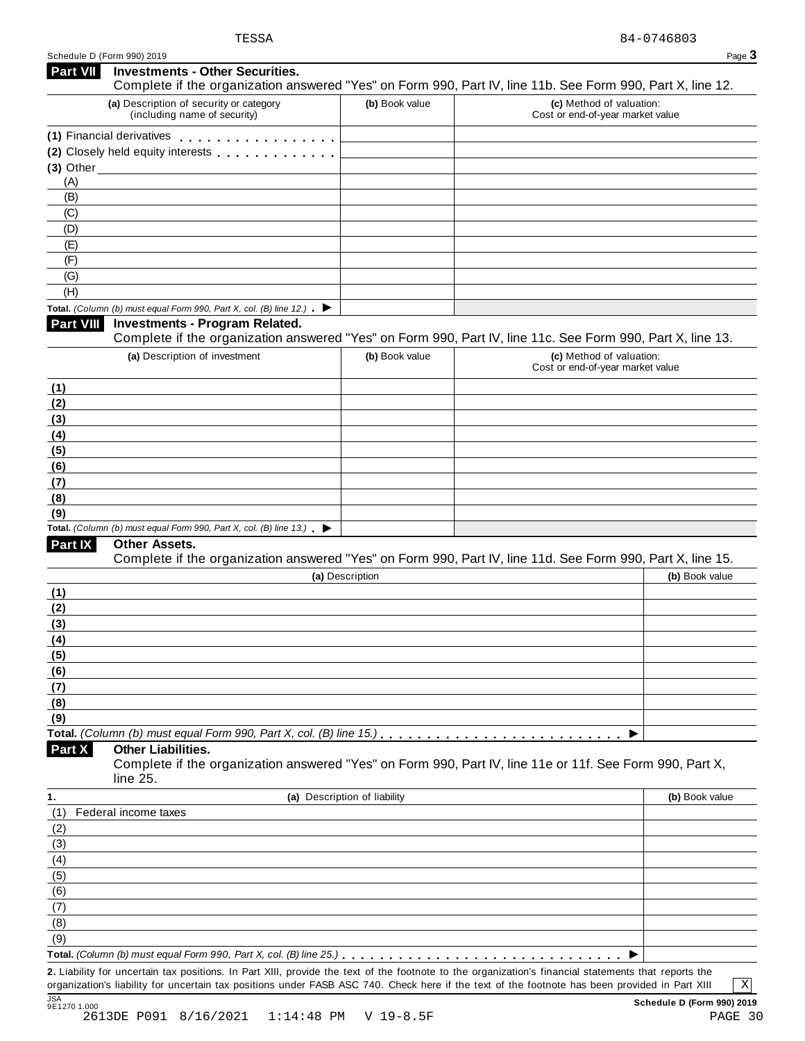|                  | Complete if the organization answered "Yes" on Form 990, Part IV, line 11b. See Form 990, Part X, line 12.                                        |                              |                                                              |                |
|------------------|---------------------------------------------------------------------------------------------------------------------------------------------------|------------------------------|--------------------------------------------------------------|----------------|
|                  | (a) Description of security or category<br>(including name of security)                                                                           | (b) Book value               | (c) Method of valuation:<br>Cost or end-of-year market value |                |
|                  | (1) Financial derivatives                                                                                                                         |                              |                                                              |                |
|                  | (2) Closely held equity interests [1] [1] Closely held equity interests                                                                           |                              |                                                              |                |
|                  | $(3)$ Other                                                                                                                                       |                              |                                                              |                |
| (A)              |                                                                                                                                                   |                              |                                                              |                |
| (B)              |                                                                                                                                                   |                              |                                                              |                |
| (C)              |                                                                                                                                                   |                              |                                                              |                |
| (D)              |                                                                                                                                                   |                              |                                                              |                |
| (E)              |                                                                                                                                                   |                              |                                                              |                |
| (F)              |                                                                                                                                                   |                              |                                                              |                |
| (G)              |                                                                                                                                                   |                              |                                                              |                |
| (H)              |                                                                                                                                                   |                              |                                                              |                |
|                  | Total. (Column (b) must equal Form 990, Part X, col. (B) line 12.) $\blacktriangleright$                                                          |                              |                                                              |                |
| <b>Part VIII</b> | <b>Investments - Program Related.</b>                                                                                                             |                              |                                                              |                |
|                  | Complete if the organization answered "Yes" on Form 990, Part IV, line 11c. See Form 990, Part X, line 13.                                        |                              |                                                              |                |
|                  | (a) Description of investment                                                                                                                     | (b) Book value               | (c) Method of valuation:<br>Cost or end-of-year market value |                |
| (1)              |                                                                                                                                                   |                              |                                                              |                |
| (2)              |                                                                                                                                                   |                              |                                                              |                |
| (3)              |                                                                                                                                                   |                              |                                                              |                |
| (4)              |                                                                                                                                                   |                              |                                                              |                |
| (5)              |                                                                                                                                                   |                              |                                                              |                |
| (6)              |                                                                                                                                                   |                              |                                                              |                |
| (7)              |                                                                                                                                                   |                              |                                                              |                |
| (8)              |                                                                                                                                                   |                              |                                                              |                |
| (9)              |                                                                                                                                                   |                              |                                                              |                |
|                  | Total. (Column (b) must equal Form 990, Part X, col. (B) line $13$ .)                                                                             |                              |                                                              |                |
| Part IX          | Other Assets.<br>Complete if the organization answered "Yes" on Form 990, Part IV, line 11d. See Form 990, Part X, line 15.                       |                              |                                                              |                |
|                  |                                                                                                                                                   | (a) Description              |                                                              | (b) Book value |
| (1)              |                                                                                                                                                   |                              |                                                              |                |
| (2)              |                                                                                                                                                   |                              |                                                              |                |
| (3)              |                                                                                                                                                   |                              |                                                              |                |
| (4)              |                                                                                                                                                   |                              |                                                              |                |
| (5)              |                                                                                                                                                   |                              |                                                              |                |
| (6)              |                                                                                                                                                   |                              |                                                              |                |
| (7)              |                                                                                                                                                   |                              |                                                              |                |
| (8)              |                                                                                                                                                   |                              |                                                              |                |
| (9)              |                                                                                                                                                   |                              |                                                              |                |
|                  |                                                                                                                                                   |                              |                                                              |                |
|                  | Total. (Column (b) must equal Form 990, Part X, col. (B) line 15.)                                                                                |                              |                                                              |                |
| Part X           | <b>Other Liabilities.</b><br>Complete if the organization answered "Yes" on Form 990, Part IV, line 11e or 11f. See Form 990, Part X,<br>line 25. |                              |                                                              |                |
|                  |                                                                                                                                                   |                              |                                                              |                |
|                  |                                                                                                                                                   | (a) Description of liability |                                                              | (b) Book value |
| (1)              | Federal income taxes                                                                                                                              |                              |                                                              |                |
| (2)              |                                                                                                                                                   |                              |                                                              |                |
| (3)              |                                                                                                                                                   |                              |                                                              |                |
| (4)              |                                                                                                                                                   |                              |                                                              |                |
| (5)              |                                                                                                                                                   |                              |                                                              |                |
| (6)              |                                                                                                                                                   |                              |                                                              |                |
| (7)              |                                                                                                                                                   |                              |                                                              |                |
| 1.<br>(8)<br>(9) |                                                                                                                                                   |                              |                                                              |                |

**2.** Liability for uncertain tax positions. In Part XIII, provide the text of the footnote to the organization's financial statements that reports the organization's liability for uncertain tax positions under FASB ASC 740. Check here if the text of the footnote has been provided in Part XIII

X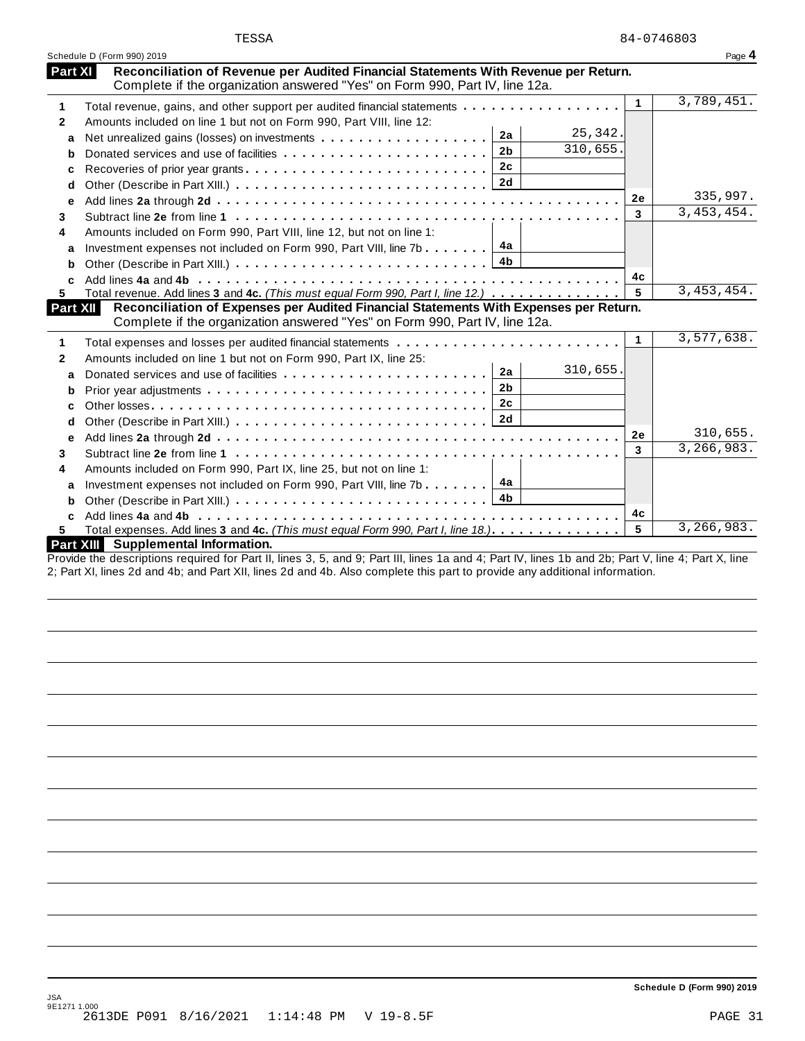| ۹<br>ł<br>٧ |  |
|-------------|--|
|-------------|--|

|                 | Schedule D (Form 990) 2019                                                                                                                                         |                      | Page 4       |
|-----------------|--------------------------------------------------------------------------------------------------------------------------------------------------------------------|----------------------|--------------|
| Part XI         | Reconciliation of Revenue per Audited Financial Statements With Revenue per Return.<br>Complete if the organization answered "Yes" on Form 990, Part IV, line 12a. |                      |              |
| $\mathbf 1$     | Total revenue, gains, and other support per audited financial statements                                                                                           | $\blacktriangleleft$ | 3,789,451.   |
| $\mathbf{2}$    | Amounts included on line 1 but not on Form 990, Part VIII, line 12:                                                                                                |                      |              |
| a               | 25,342.<br>2a                                                                                                                                                      |                      |              |
| b               | 310,655.<br>2 <sub>b</sub>                                                                                                                                         |                      |              |
| c               | 2c                                                                                                                                                                 |                      |              |
| d               | 2d                                                                                                                                                                 |                      |              |
| e               |                                                                                                                                                                    | 2e                   | 335,997.     |
| 3               |                                                                                                                                                                    | $\mathbf{3}$         | 3,453,454.   |
| 4               | Amounts included on Form 990, Part VIII, line 12, but not on line 1:                                                                                               |                      |              |
| a               | 4a<br>Investment expenses not included on Form 990, Part VIII, line 7b $\ldots$ .                                                                                  |                      |              |
| b               | 4 <sub>b</sub>                                                                                                                                                     |                      |              |
| C               |                                                                                                                                                                    | 4c                   |              |
| 5.              | Total revenue. Add lines 3 and 4c. (This must equal Form 990, Part I, line 12.)                                                                                    | 5                    | 3, 453, 454. |
| <b>Part XII</b> | Reconciliation of Expenses per Audited Financial Statements With Expenses per Return.                                                                              |                      |              |
|                 | Complete if the organization answered "Yes" on Form 990, Part IV, line 12a.                                                                                        |                      |              |
| 1               |                                                                                                                                                                    | $\blacktriangleleft$ | 3,577,638.   |
| $\mathbf{2}$    | Amounts included on line 1 but not on Form 990, Part IX, line 25:                                                                                                  |                      |              |
| a               | 310,655.<br>2a                                                                                                                                                     |                      |              |
| b               | 2 <sub>b</sub>                                                                                                                                                     |                      |              |
| C               | 2c                                                                                                                                                                 |                      |              |
| d               |                                                                                                                                                                    |                      |              |
| е               |                                                                                                                                                                    | 2e                   | 310,655.     |
| 3               |                                                                                                                                                                    | 3                    | 3,266,983.   |
| 4               | Amounts included on Form 990, Part IX, line 25, but not on line 1:                                                                                                 |                      |              |
| a               | 4a<br>Investment expenses not included on Form 990, Part VIII, line 7b $\ldots$                                                                                    |                      |              |
| b               |                                                                                                                                                                    |                      |              |
| C               |                                                                                                                                                                    | 4c                   |              |
| 5.              | Total expenses. Add lines 3 and 4c. (This must equal Form 990, Part I, line 18.).                                                                                  | 5                    | 3,266,983.   |
|                 | <b>Part XIII</b><br><b>Supplemental Information.</b>                                                                                                               |                      |              |

Provide the descriptions required for Part II, lines 3, 5, and 9; Part III, lines 1a and 4; Part IV, lines 1b and 2b; Part V, line 4; Part X, line 2; Part XI, lines 2d and 4b; and Part XII, lines 2d and 4b. Also complete this part to provide any additional information.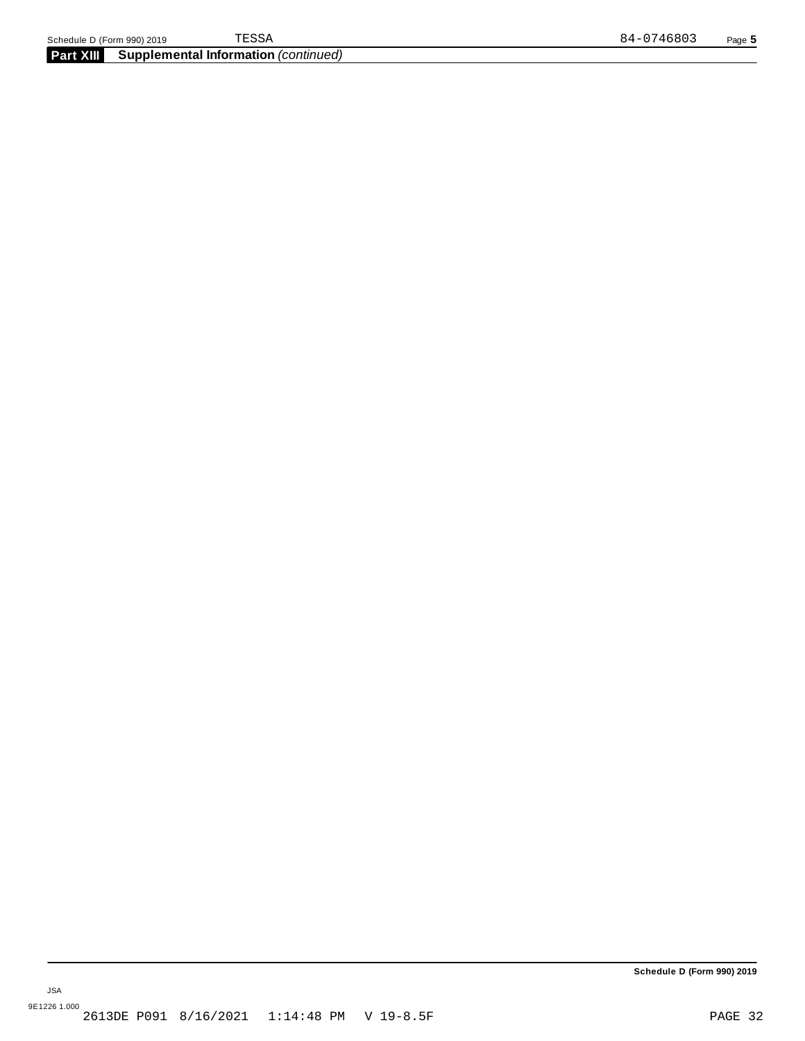## **Part XIII Supplemental Information** *(continued)*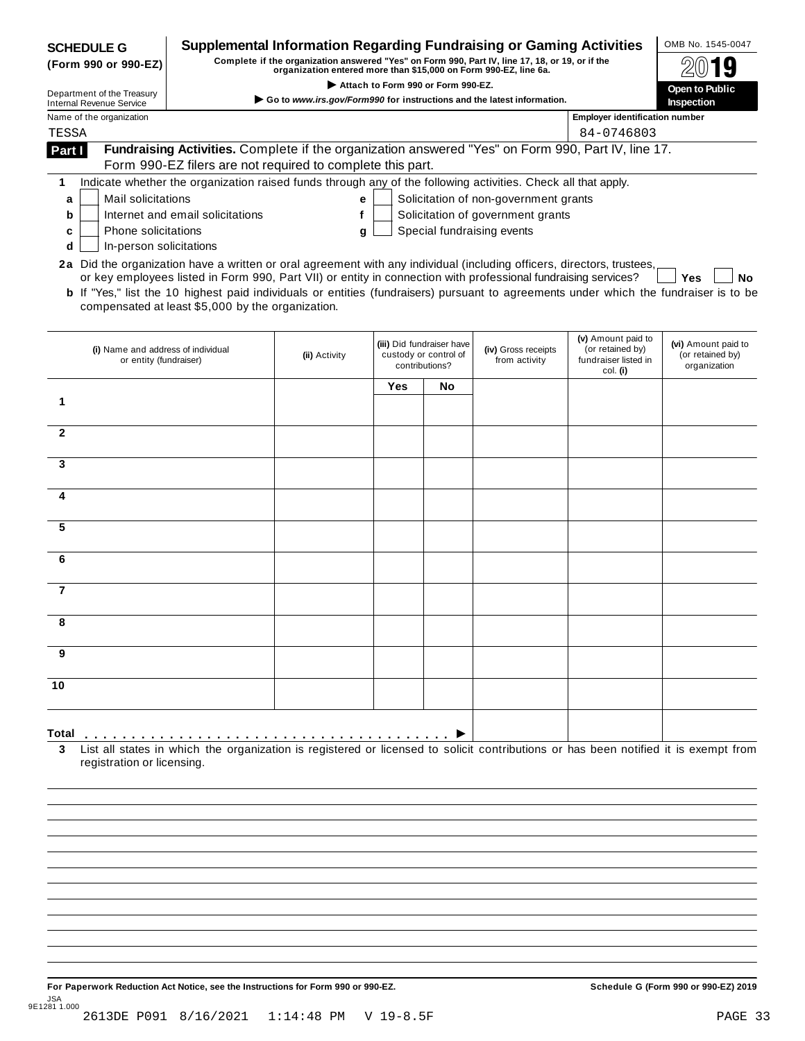| <b>SCHEDULE G</b>                                            | <b>Supplemental Information Regarding Fundraising or Gaming Activities</b>                                                                                                                        |                                                                                                                                                                     |            |                                                                      |                                       |                                                                            | OMB No. 1545-0047                                       |  |  |
|--------------------------------------------------------------|---------------------------------------------------------------------------------------------------------------------------------------------------------------------------------------------------|---------------------------------------------------------------------------------------------------------------------------------------------------------------------|------------|----------------------------------------------------------------------|---------------------------------------|----------------------------------------------------------------------------|---------------------------------------------------------|--|--|
| (Form 990 or 990-EZ)                                         |                                                                                                                                                                                                   | Complete if the organization answered "Yes" on Form 990, Part IV, line 17, 18, or 19, or if the<br>organization entered more than \$15,000 on Form 990-EZ, line 6a. |            |                                                                      |                                       |                                                                            |                                                         |  |  |
| Department of the Treasury                                   |                                                                                                                                                                                                   |                                                                                                                                                                     |            | Attach to Form 990 or Form 990-EZ.                                   |                                       |                                                                            | <b>Open to Public</b>                                   |  |  |
| <b>Internal Revenue Service</b>                              | Go to www.irs.gov/Form990 for instructions and the latest information.                                                                                                                            |                                                                                                                                                                     |            |                                                                      |                                       |                                                                            |                                                         |  |  |
| Name of the organization                                     |                                                                                                                                                                                                   |                                                                                                                                                                     |            |                                                                      |                                       | <b>Employer identification number</b>                                      |                                                         |  |  |
| TESSA                                                        |                                                                                                                                                                                                   |                                                                                                                                                                     |            |                                                                      |                                       | 84-0746803                                                                 |                                                         |  |  |
| Part I                                                       | Fundraising Activities. Complete if the organization answered "Yes" on Form 990, Part IV, line 17.<br>Form 990-EZ filers are not required to complete this part.                                  |                                                                                                                                                                     |            |                                                                      |                                       |                                                                            |                                                         |  |  |
| 1                                                            | Indicate whether the organization raised funds through any of the following activities. Check all that apply.                                                                                     |                                                                                                                                                                     |            |                                                                      |                                       |                                                                            |                                                         |  |  |
| Mail solicitations<br>a                                      |                                                                                                                                                                                                   | e                                                                                                                                                                   |            |                                                                      | Solicitation of non-government grants |                                                                            |                                                         |  |  |
| b                                                            | Internet and email solicitations                                                                                                                                                                  | f                                                                                                                                                                   |            |                                                                      | Solicitation of government grants     |                                                                            |                                                         |  |  |
| Phone solicitations<br>c                                     |                                                                                                                                                                                                   | g                                                                                                                                                                   |            |                                                                      | Special fundraising events            |                                                                            |                                                         |  |  |
| In-person solicitations<br>d                                 |                                                                                                                                                                                                   |                                                                                                                                                                     |            |                                                                      |                                       |                                                                            |                                                         |  |  |
|                                                              | 2a Did the organization have a written or oral agreement with any individual (including officers, directors, trustees,                                                                            |                                                                                                                                                                     |            |                                                                      |                                       |                                                                            |                                                         |  |  |
|                                                              | or key employees listed in Form 990, Part VII) or entity in connection with professional fundraising services?                                                                                    |                                                                                                                                                                     |            |                                                                      |                                       |                                                                            | <b>Yes</b><br>No                                        |  |  |
|                                                              | <b>b</b> If "Yes," list the 10 highest paid individuals or entities (fundraisers) pursuant to agreements under which the fundraiser is to be<br>compensated at least \$5,000 by the organization. |                                                                                                                                                                     |            |                                                                      |                                       |                                                                            |                                                         |  |  |
| (i) Name and address of individual<br>or entity (fundraiser) |                                                                                                                                                                                                   | (ii) Activity                                                                                                                                                       |            | (iii) Did fundraiser have<br>custody or control of<br>contributions? | (iv) Gross receipts<br>from activity  | (v) Amount paid to<br>(or retained by)<br>fundraiser listed in<br>col. (i) | (vi) Amount paid to<br>(or retained by)<br>organization |  |  |
|                                                              |                                                                                                                                                                                                   |                                                                                                                                                                     | <b>Yes</b> | No                                                                   |                                       |                                                                            |                                                         |  |  |
| 1                                                            |                                                                                                                                                                                                   |                                                                                                                                                                     |            |                                                                      |                                       |                                                                            |                                                         |  |  |
| $\mathbf{2}$                                                 |                                                                                                                                                                                                   |                                                                                                                                                                     |            |                                                                      |                                       |                                                                            |                                                         |  |  |
|                                                              |                                                                                                                                                                                                   |                                                                                                                                                                     |            |                                                                      |                                       |                                                                            |                                                         |  |  |
| 3                                                            |                                                                                                                                                                                                   |                                                                                                                                                                     |            |                                                                      |                                       |                                                                            |                                                         |  |  |
|                                                              |                                                                                                                                                                                                   |                                                                                                                                                                     |            |                                                                      |                                       |                                                                            |                                                         |  |  |
| 4                                                            |                                                                                                                                                                                                   |                                                                                                                                                                     |            |                                                                      |                                       |                                                                            |                                                         |  |  |
| 5                                                            |                                                                                                                                                                                                   |                                                                                                                                                                     |            |                                                                      |                                       |                                                                            |                                                         |  |  |
|                                                              |                                                                                                                                                                                                   |                                                                                                                                                                     |            |                                                                      |                                       |                                                                            |                                                         |  |  |
| 6                                                            |                                                                                                                                                                                                   |                                                                                                                                                                     |            |                                                                      |                                       |                                                                            |                                                         |  |  |
| 7                                                            |                                                                                                                                                                                                   |                                                                                                                                                                     |            |                                                                      |                                       |                                                                            |                                                         |  |  |
|                                                              |                                                                                                                                                                                                   |                                                                                                                                                                     |            |                                                                      |                                       |                                                                            |                                                         |  |  |
| ŏ                                                            |                                                                                                                                                                                                   |                                                                                                                                                                     |            |                                                                      |                                       |                                                                            |                                                         |  |  |
| 9                                                            |                                                                                                                                                                                                   |                                                                                                                                                                     |            |                                                                      |                                       |                                                                            |                                                         |  |  |
| 10                                                           |                                                                                                                                                                                                   |                                                                                                                                                                     |            |                                                                      |                                       |                                                                            |                                                         |  |  |
|                                                              |                                                                                                                                                                                                   |                                                                                                                                                                     |            |                                                                      |                                       |                                                                            |                                                         |  |  |
| Total                                                        |                                                                                                                                                                                                   |                                                                                                                                                                     |            |                                                                      |                                       |                                                                            |                                                         |  |  |
| 3                                                            | List all states in which the organization is registered or licensed to solicit contributions or has been notified it is exempt from                                                               |                                                                                                                                                                     |            |                                                                      |                                       |                                                                            |                                                         |  |  |
|                                                              |                                                                                                                                                                                                   |                                                                                                                                                                     |            |                                                                      |                                       |                                                                            |                                                         |  |  |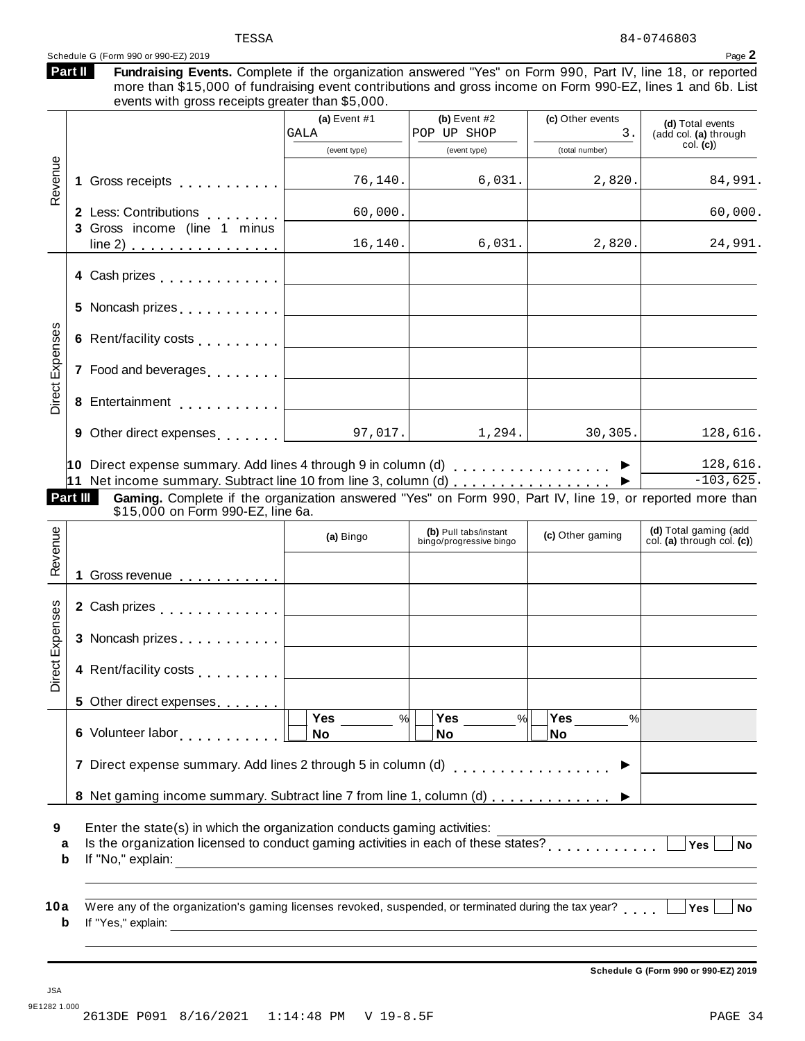| Schedule G (Form 990 or 990-EZ) 2019 |  |
|--------------------------------------|--|
|--------------------------------------|--|

**Part II**

Schedule <sup>G</sup> (Form <sup>990</sup> or 990-EZ) <sup>2019</sup> Page **2** Fundraising Events. Complete if the organization answered "Yes" on Form 990, Part IV, line 18, or reported

more than \$15,000 of fundraising event contributions and gross income on Form 990-EZ, lines 1 and 6b. List

|                 |                                                                                                                                                                                                                    | (a) Event $#1$<br>GALA | (b) Event $#2$<br>POP UP SHOP                    | (c) Other events<br>3.            | (d) Total events<br>(add col. (a) through                          |
|-----------------|--------------------------------------------------------------------------------------------------------------------------------------------------------------------------------------------------------------------|------------------------|--------------------------------------------------|-----------------------------------|--------------------------------------------------------------------|
|                 |                                                                                                                                                                                                                    | (event type)           | (event type)                                     | (total number)                    | col. (c)                                                           |
|                 |                                                                                                                                                                                                                    | 76,140.                | 6,031.                                           | 2,820.                            | 84,991.                                                            |
|                 | 2 Less: Contributions                                                                                                                                                                                              | 60,000.                |                                                  |                                   | 60,000.                                                            |
|                 | 3 Gross income (line 1 minus                                                                                                                                                                                       | 16, 140.               | 6,031.                                           | 2,820.                            | 24,991.                                                            |
|                 | 4 Cash prizes [1994]                                                                                                                                                                                               |                        |                                                  |                                   |                                                                    |
|                 | 5 Noncash prizes [                                                                                                                                                                                                 |                        |                                                  |                                   |                                                                    |
| Direct Expenses |                                                                                                                                                                                                                    |                        |                                                  |                                   |                                                                    |
|                 | 7 Food and beverages [1, 1, 2, 2, 2]                                                                                                                                                                               |                        |                                                  |                                   |                                                                    |
|                 |                                                                                                                                                                                                                    |                        |                                                  |                                   |                                                                    |
|                 | 9 Other direct expenses $\vert$   97,017.                                                                                                                                                                          |                        | 1,294.                                           | 30, 305.                          | 128,616.                                                           |
|                 |                                                                                                                                                                                                                    |                        |                                                  |                                   | 128,616.                                                           |
| Part III        | 11 Net income summary. Subtract line 10 from line 3, column $(d)$<br>Gaming. Complete if the organization answered "Yes" on Form 990, Part IV, line 19, or reported more than<br>\$15,000 on Form 990-EZ, line 6a. |                        |                                                  |                                   |                                                                    |
| Revenue         |                                                                                                                                                                                                                    | (a) Bingo              | (b) Pull tabs/instant<br>bingo/progressive bingo | (c) Other gaming                  |                                                                    |
|                 | 1 Gross revenue                                                                                                                                                                                                    |                        |                                                  |                                   |                                                                    |
|                 | 2 Cash prizes <b>contained 2</b> Cash prizes <b>contained 2</b><br>3 Noncash prizes                                                                                                                                |                        |                                                  |                                   |                                                                    |
|                 |                                                                                                                                                                                                                    |                        |                                                  |                                   | $-103,625.$<br>(d) Total gaming (add<br>col. (a) through col. (c)) |
| Direct Expenses | 5 Other direct expenses                                                                                                                                                                                            |                        |                                                  |                                   |                                                                    |
|                 | 6 Volunteer labor                                                                                                                                                                                                  | Yes<br>%<br>No         | <b>Yes</b><br>%<br>No                            | Yes<br>$\frac{0}{0}$<br><b>No</b> |                                                                    |

**Schedule G (Form 990 or 990-EZ) 2019**

JSA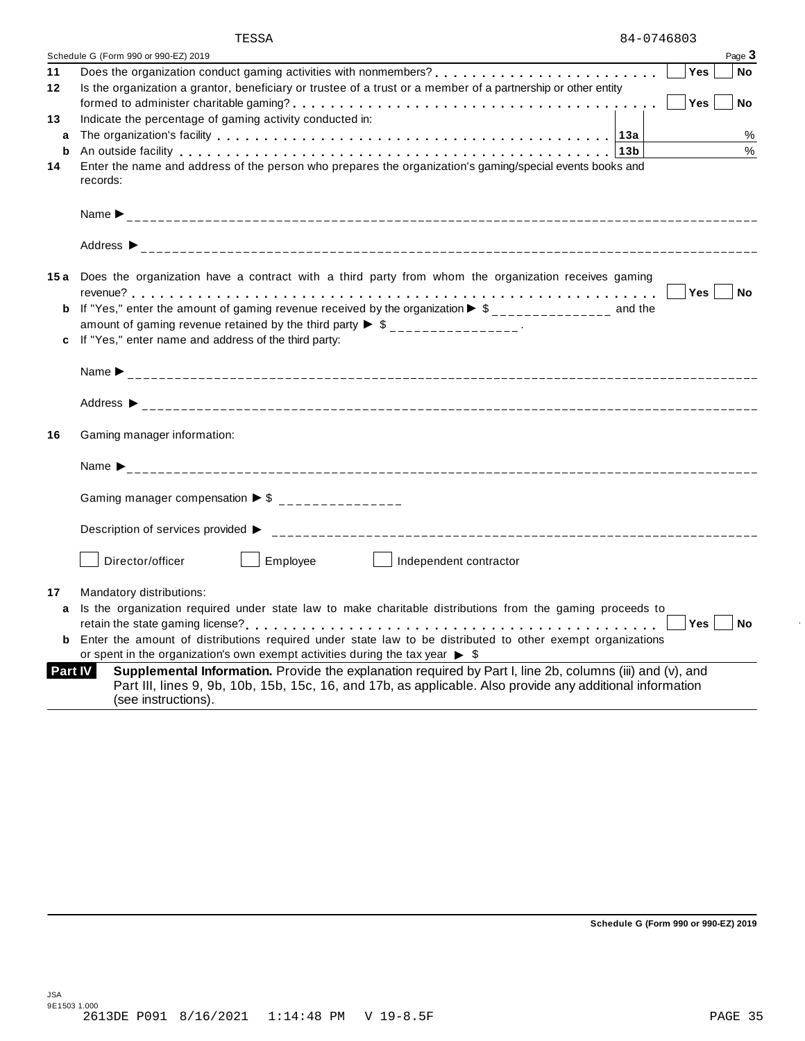|                | TESSA                                                                                                                                                                                                                                                                  | 84-0746803 |                 |           |
|----------------|------------------------------------------------------------------------------------------------------------------------------------------------------------------------------------------------------------------------------------------------------------------------|------------|-----------------|-----------|
|                | Schedule G (Form 990 or 990-EZ) 2019                                                                                                                                                                                                                                   |            |                 | Page $3$  |
| 11             | Does the organization conduct gaming activities with nonmembers? [1] [1] [1] $\ldots$ [1] [1] $\ldots$ [1] $\ldots$ [1] $\ldots$ [1] $\ldots$ [1] $\ldots$ [1] $\ldots$ [1] $\ldots$ [1] $\ldots$ [1] $\ldots$ [1] $\ldots$ [1] $\ldots$ [1] $\ldots$ [1] $\ldots$ [1] |            | <b>Yes</b>      | <b>No</b> |
| 12             | Is the organization a grantor, beneficiary or trustee of a trust or a member of a partnership or other entity                                                                                                                                                          |            |                 |           |
|                |                                                                                                                                                                                                                                                                        |            | <b>Yes</b>      | <b>No</b> |
| 13             | Indicate the percentage of gaming activity conducted in:                                                                                                                                                                                                               |            |                 |           |
| a              |                                                                                                                                                                                                                                                                        |            |                 | %         |
| b              | An outside facility enterpretence in the series of the series of the series of the series of the series of the series of the series of the series of the series of the series of the series of the series of the series of the                                         |            |                 | $\%$      |
| 14             | Enter the name and address of the person who prepares the organization's gaming/special events books and                                                                                                                                                               |            |                 |           |
|                | records:                                                                                                                                                                                                                                                               |            |                 |           |
|                |                                                                                                                                                                                                                                                                        |            |                 |           |
|                |                                                                                                                                                                                                                                                                        |            |                 |           |
|                |                                                                                                                                                                                                                                                                        |            |                 |           |
|                |                                                                                                                                                                                                                                                                        |            |                 |           |
|                |                                                                                                                                                                                                                                                                        |            |                 |           |
|                | 15a Does the organization have a contract with a third party from whom the organization receives gaming                                                                                                                                                                |            |                 |           |
|                |                                                                                                                                                                                                                                                                        |            | Yes <sup></sup> | <b>No</b> |
|                | <b>b</b> If "Yes," enter the amount of gaming revenue received by the organization $\triangleright$ \$                                                                                                                                                                 |            |                 |           |
|                | amount of gaming revenue retained by the third party $\triangleright$ \$ _______________.                                                                                                                                                                              |            |                 |           |
| c              | If "Yes," enter name and address of the third party:                                                                                                                                                                                                                   |            |                 |           |
|                |                                                                                                                                                                                                                                                                        |            |                 |           |
|                |                                                                                                                                                                                                                                                                        |            |                 |           |
|                |                                                                                                                                                                                                                                                                        |            |                 |           |
|                |                                                                                                                                                                                                                                                                        |            |                 |           |
| 16             |                                                                                                                                                                                                                                                                        |            |                 |           |
|                | Gaming manager information:                                                                                                                                                                                                                                            |            |                 |           |
|                |                                                                                                                                                                                                                                                                        |            |                 |           |
|                | Name $\sum_{-2}$                                                                                                                                                                                                                                                       |            |                 |           |
|                | Gaming manager compensation $\triangleright$ \$ ________________                                                                                                                                                                                                       |            |                 |           |
|                |                                                                                                                                                                                                                                                                        |            |                 |           |
|                | Description of services provided ▶                                                                                                                                                                                                                                     |            |                 |           |
|                |                                                                                                                                                                                                                                                                        |            |                 |           |
|                | Director/officer<br>Employee<br>Independent contractor                                                                                                                                                                                                                 |            |                 |           |
|                |                                                                                                                                                                                                                                                                        |            |                 |           |
| 17             | Mandatory distributions:                                                                                                                                                                                                                                               |            |                 |           |
| a              | Is the organization required under state law to make charitable distributions from the gaming proceeds to                                                                                                                                                              |            |                 |           |
|                |                                                                                                                                                                                                                                                                        |            | <b>Yes</b>      | No        |
| b              | Enter the amount of distributions required under state law to be distributed to other exempt organizations                                                                                                                                                             |            |                 |           |
|                | or spent in the organization's own exempt activities during the tax year $\triangleright$ \$                                                                                                                                                                           |            |                 |           |
| <b>Part IV</b> | Supplemental Information. Provide the explanation required by Part I, line 2b, columns (iii) and (v), and                                                                                                                                                              |            |                 |           |
|                | Part III, lines 9, 9b, 10b, 15b, 15c, 16, and 17b, as applicable. Also provide any additional information                                                                                                                                                              |            |                 |           |
|                | (see instructions).                                                                                                                                                                                                                                                    |            |                 |           |
|                |                                                                                                                                                                                                                                                                        |            |                 |           |

**Schedule G (Form 990 or 990-EZ) 2019**

 $\ddot{\phantom{a}}$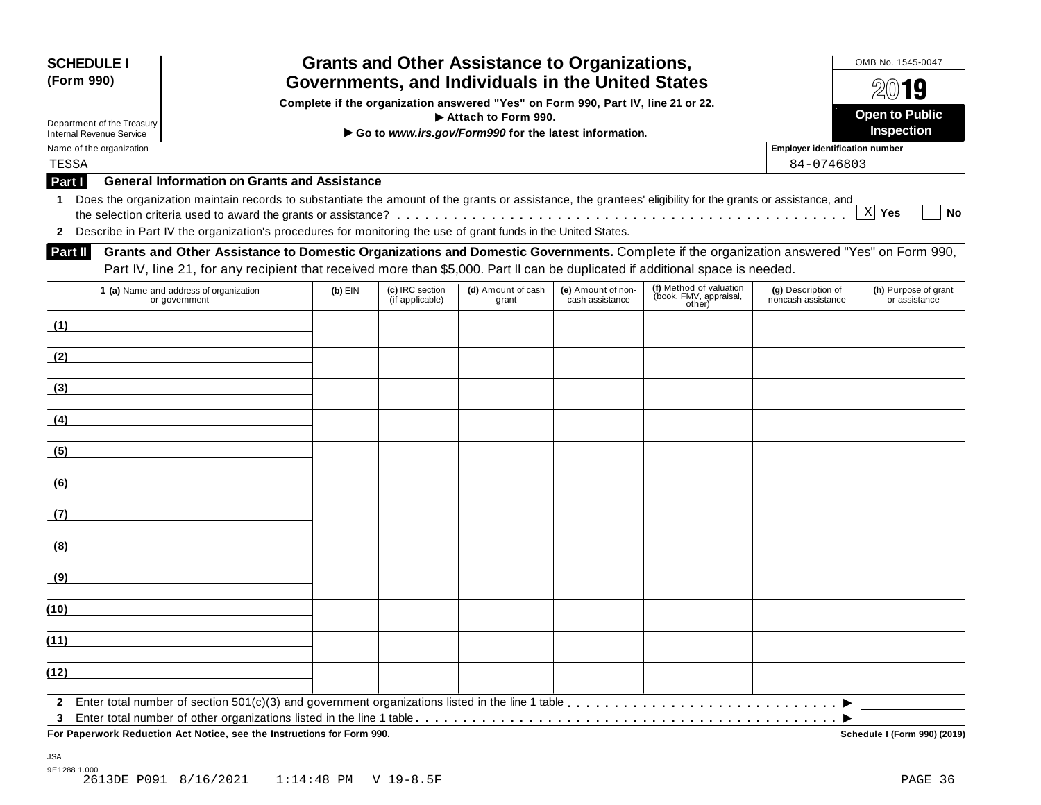| <b>SCHEDULE I</b><br>(Form 990) |                                                                                                                                                                                                                                                                                 | <b>Grants and Other Assistance to Organizations,</b><br>Governments, and Individuals in the United States |                                    |                                                                                  |                                       |                                                             |                                          | OMB No. 1545-0047                     |  |
|---------------------------------|---------------------------------------------------------------------------------------------------------------------------------------------------------------------------------------------------------------------------------------------------------------------------------|-----------------------------------------------------------------------------------------------------------|------------------------------------|----------------------------------------------------------------------------------|---------------------------------------|-------------------------------------------------------------|------------------------------------------|---------------------------------------|--|
|                                 |                                                                                                                                                                                                                                                                                 |                                                                                                           |                                    | Complete if the organization answered "Yes" on Form 990, Part IV, line 21 or 22. |                                       | $20$ 19                                                     |                                          |                                       |  |
| Department of the Treasury      |                                                                                                                                                                                                                                                                                 |                                                                                                           |                                    | Attach to Form 990.                                                              |                                       |                                                             |                                          | <b>Open to Public</b>                 |  |
| <b>Internal Revenue Service</b> |                                                                                                                                                                                                                                                                                 |                                                                                                           |                                    | Go to www.irs.gov/Form990 for the latest information.                            |                                       |                                                             |                                          | Inspection                            |  |
| Name of the organization        |                                                                                                                                                                                                                                                                                 |                                                                                                           |                                    |                                                                                  |                                       |                                                             | <b>Employer identification number</b>    |                                       |  |
| TESSA                           |                                                                                                                                                                                                                                                                                 |                                                                                                           |                                    |                                                                                  |                                       |                                                             | 84-0746803                               |                                       |  |
| Part I                          | <b>General Information on Grants and Assistance</b>                                                                                                                                                                                                                             |                                                                                                           |                                    |                                                                                  |                                       |                                                             |                                          |                                       |  |
|                                 | 1 Does the organization maintain records to substantiate the amount of the grants or assistance, the grantees' eligibility for the grants or assistance, and<br>2 Describe in Part IV the organization's procedures for monitoring the use of grant funds in the United States. |                                                                                                           |                                    |                                                                                  |                                       |                                                             |                                          | X Yes<br><b>No</b>                    |  |
| <b>Part II</b>                  | Grants and Other Assistance to Domestic Organizations and Domestic Governments. Complete if the organization answered "Yes" on Form 990,<br>Part IV, line 21, for any recipient that received more than \$5,000. Part II can be duplicated if additional space is needed.       |                                                                                                           |                                    |                                                                                  |                                       |                                                             |                                          |                                       |  |
|                                 | 1 (a) Name and address of organization<br>or government                                                                                                                                                                                                                         | $(b)$ EIN                                                                                                 | (c) IRC section<br>(if applicable) | (d) Amount of cash<br>grant                                                      | (e) Amount of non-<br>cash assistance | (f) Method of valuation<br>(book, FMV, appraisal,<br>other) | (g) Description of<br>noncash assistance | (h) Purpose of grant<br>or assistance |  |
|                                 | (1)                                                                                                                                                                                                                                                                             |                                                                                                           |                                    |                                                                                  |                                       |                                                             |                                          |                                       |  |
| (2)                             |                                                                                                                                                                                                                                                                                 |                                                                                                           |                                    |                                                                                  |                                       |                                                             |                                          |                                       |  |
| $\left(3\right)$                |                                                                                                                                                                                                                                                                                 |                                                                                                           |                                    |                                                                                  |                                       |                                                             |                                          |                                       |  |
| $\left(4\right)$                |                                                                                                                                                                                                                                                                                 |                                                                                                           |                                    |                                                                                  |                                       |                                                             |                                          |                                       |  |
| (5)                             |                                                                                                                                                                                                                                                                                 |                                                                                                           |                                    |                                                                                  |                                       |                                                             |                                          |                                       |  |
| (6)                             |                                                                                                                                                                                                                                                                                 |                                                                                                           |                                    |                                                                                  |                                       |                                                             |                                          |                                       |  |
| (7)                             |                                                                                                                                                                                                                                                                                 |                                                                                                           |                                    |                                                                                  |                                       |                                                             |                                          |                                       |  |
| (8)                             |                                                                                                                                                                                                                                                                                 |                                                                                                           |                                    |                                                                                  |                                       |                                                             |                                          |                                       |  |
| (9)                             |                                                                                                                                                                                                                                                                                 |                                                                                                           |                                    |                                                                                  |                                       |                                                             |                                          |                                       |  |
| (10)                            |                                                                                                                                                                                                                                                                                 |                                                                                                           |                                    |                                                                                  |                                       |                                                             |                                          |                                       |  |
| (11)                            |                                                                                                                                                                                                                                                                                 |                                                                                                           |                                    |                                                                                  |                                       |                                                             |                                          |                                       |  |
| (12)                            |                                                                                                                                                                                                                                                                                 |                                                                                                           |                                    |                                                                                  |                                       |                                                             |                                          |                                       |  |
| $\mathbf{2}$                    |                                                                                                                                                                                                                                                                                 |                                                                                                           |                                    |                                                                                  |                                       |                                                             |                                          |                                       |  |
| 3                               | For Paperwork Reduction Act Notice, see the Instructions for Form 990.                                                                                                                                                                                                          |                                                                                                           |                                    |                                                                                  |                                       |                                                             |                                          | Schedule I (Form 990) (2019)          |  |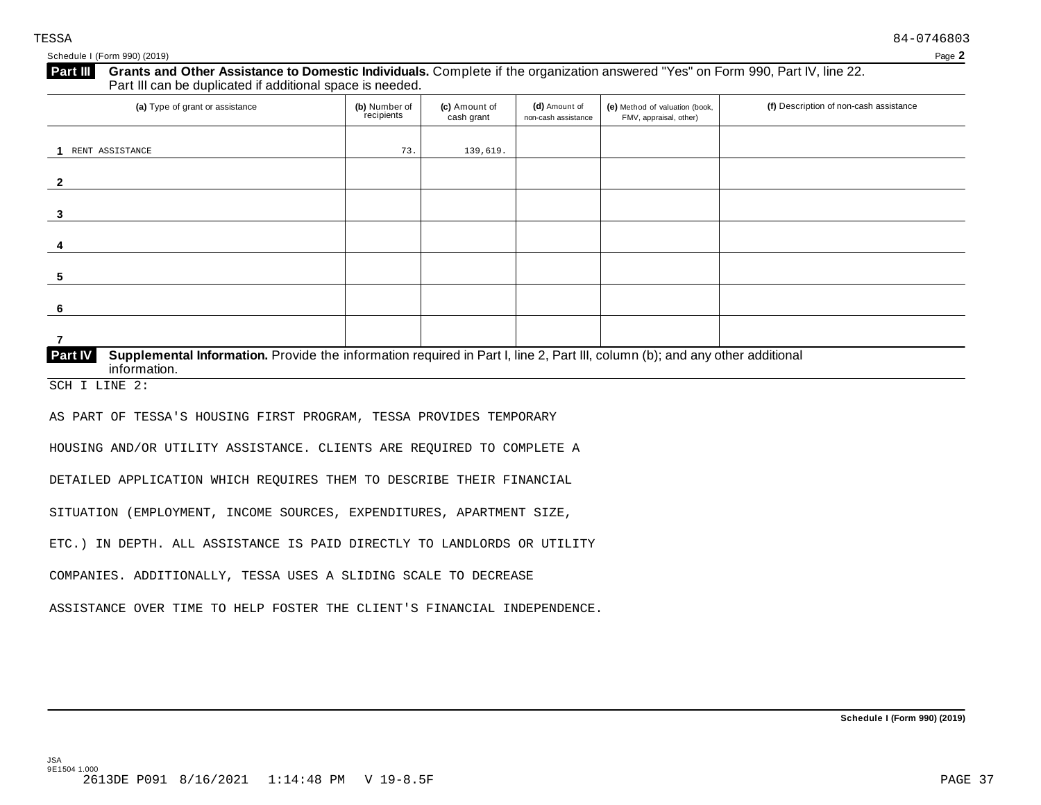### TESSA 84-0746803

### Schedule I (Form 990) (2019) Page **2**

### **Grants and Other Assistance to Domestic Individuals.** Complete ifthe organization answered "Yes" on Form 990, Part IV, line 22. **Part III** Grants and Other Assistance to Domestic Individuals<br>Part III can be duplicated if additional space is needed.

| (a) Type of grant or assistance | (b) Number of<br>recipients | (c) Amount of<br>cash grant | (d) Amount of<br>non-cash assistance | (e) Method of valuation (book,<br>FMV, appraisal, other) | (f) Description of non-cash assistance |
|---------------------------------|-----------------------------|-----------------------------|--------------------------------------|----------------------------------------------------------|----------------------------------------|
| RENT ASSISTANCE                 | 73.                         | 139,619.                    |                                      |                                                          |                                        |
|                                 |                             |                             |                                      |                                                          |                                        |
| 2                               |                             |                             |                                      |                                                          |                                        |
| 3                               |                             |                             |                                      |                                                          |                                        |
|                                 |                             |                             |                                      |                                                          |                                        |
|                                 |                             |                             |                                      |                                                          |                                        |
| -5                              |                             |                             |                                      |                                                          |                                        |
|                                 |                             |                             |                                      |                                                          |                                        |
| -6                              |                             |                             |                                      |                                                          |                                        |
|                                 |                             |                             |                                      |                                                          |                                        |

SCH I LINE 2:

AS PART OF TESSA'S HOUSING FIRST PROGRAM, TESSA PROVIDES TEMPORARY

HOUSING AND/OR UTILITY ASSISTANCE. CLIENTS ARE REQUIRED TO COMPLETE A

DETAILED APPLICATION WHICH REQUIRES THEM TO DESCRIBE THEIR FINANCIAL

SITUATION (EMPLOYMENT, INCOME SOURCES, EXPENDITURES, APARTMENT SIZE,

ETC.) IN DEPTH. ALL ASSISTANCE IS PAID DIRECTLY TO LANDLORDS OR UTILITY

COMPANIES. ADDITIONALLY, TESSA USES A SLIDING SCALE TO DECREASE

ASSISTANCE OVER TIME TO HELP FOSTER THE CLIENT'S FINANCIAL INDEPENDENCE.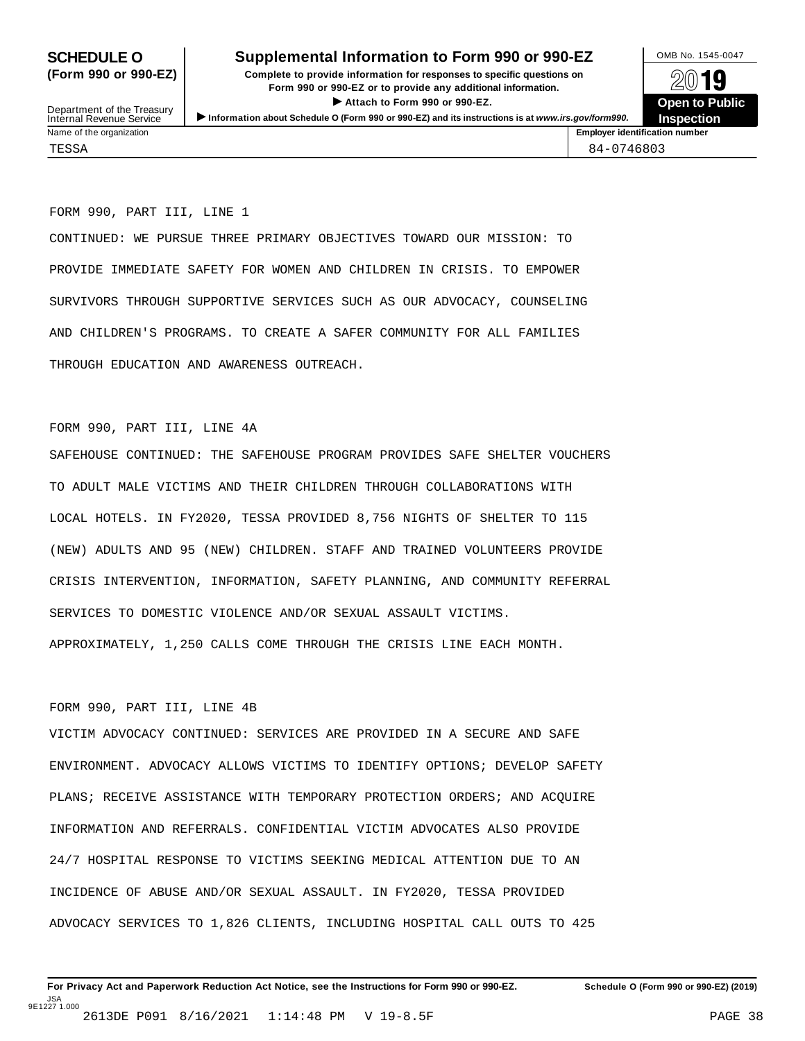### **SCHEDULE O** Supplemental Information to Form 990 or 990-EZ DMB No. 1545-0047

**(Form 990 or 990-EZ) Complete to provide information for responses to specific questions on** Form 990 or 990-EZ or to provide any additional information.<br>► Attach to Form 990 or 990-EZ.<br>▶ Attach to Form 990 or 990-EZ.  $\blacktriangleright$  Attach to Form 990 or 990-EZ.



| Department of the Treasury | ► Attach to Form 990 or 990-EZ.                                                                   | <b>Open to Publ</b> |                                       |
|----------------------------|---------------------------------------------------------------------------------------------------|---------------------|---------------------------------------|
| Internal Revenue Service   | Information about Schedule O (Form 990 or 990-EZ) and its instructions is at www.irs.gov/form990. | <b>Inspection</b>   |                                       |
| Name of the organization   |                                                                                                   |                     | <b>Employer identification number</b> |
| TESSA                      |                                                                                                   | 84-0746803          |                                       |
|                            |                                                                                                   |                     |                                       |

FORM 990, PART III, LINE 1

CONTINUED: WE PURSUE THREE PRIMARY OBJECTIVES TOWARD OUR MISSION: TO PROVIDE IMMEDIATE SAFETY FOR WOMEN AND CHILDREN IN CRISIS. TO EMPOWER SURVIVORS THROUGH SUPPORTIVE SERVICES SUCH AS OUR ADVOCACY, COUNSELING AND CHILDREN'S PROGRAMS. TO CREATE A SAFER COMMUNITY FOR ALL FAMILIES THROUGH EDUCATION AND AWARENESS OUTREACH.

### FORM 990, PART III, LINE 4A

SAFEHOUSE CONTINUED: THE SAFEHOUSE PROGRAM PROVIDES SAFE SHELTER VOUCHERS TO ADULT MALE VICTIMS AND THEIR CHILDREN THROUGH COLLABORATIONS WITH LOCAL HOTELS. IN FY2020, TESSA PROVIDED 8,756 NIGHTS OF SHELTER TO 115 (NEW) ADULTS AND 95 (NEW) CHILDREN. STAFF AND TRAINED VOLUNTEERS PROVIDE CRISIS INTERVENTION, INFORMATION, SAFETY PLANNING, AND COMMUNITY REFERRAL SERVICES TO DOMESTIC VIOLENCE AND/OR SEXUAL ASSAULT VICTIMS. APPROXIMATELY, 1,250 CALLS COME THROUGH THE CRISIS LINE EACH MONTH.

### FORM 990, PART III, LINE 4B

VICTIM ADVOCACY CONTINUED: SERVICES ARE PROVIDED IN A SECURE AND SAFE ENVIRONMENT. ADVOCACY ALLOWS VICTIMS TO IDENTIFY OPTIONS; DEVELOP SAFETY PLANS; RECEIVE ASSISTANCE WITH TEMPORARY PROTECTION ORDERS; AND ACQUIRE INFORMATION AND REFERRALS. CONFIDENTIAL VICTIM ADVOCATES ALSO PROVIDE 24/7 HOSPITAL RESPONSE TO VICTIMS SEEKING MEDICAL ATTENTION DUE TO AN INCIDENCE OF ABUSE AND/OR SEXUAL ASSAULT. IN FY2020, TESSA PROVIDED ADVOCACY SERVICES TO 1,826 CLIENTS, INCLUDING HOSPITAL CALL OUTS TO 425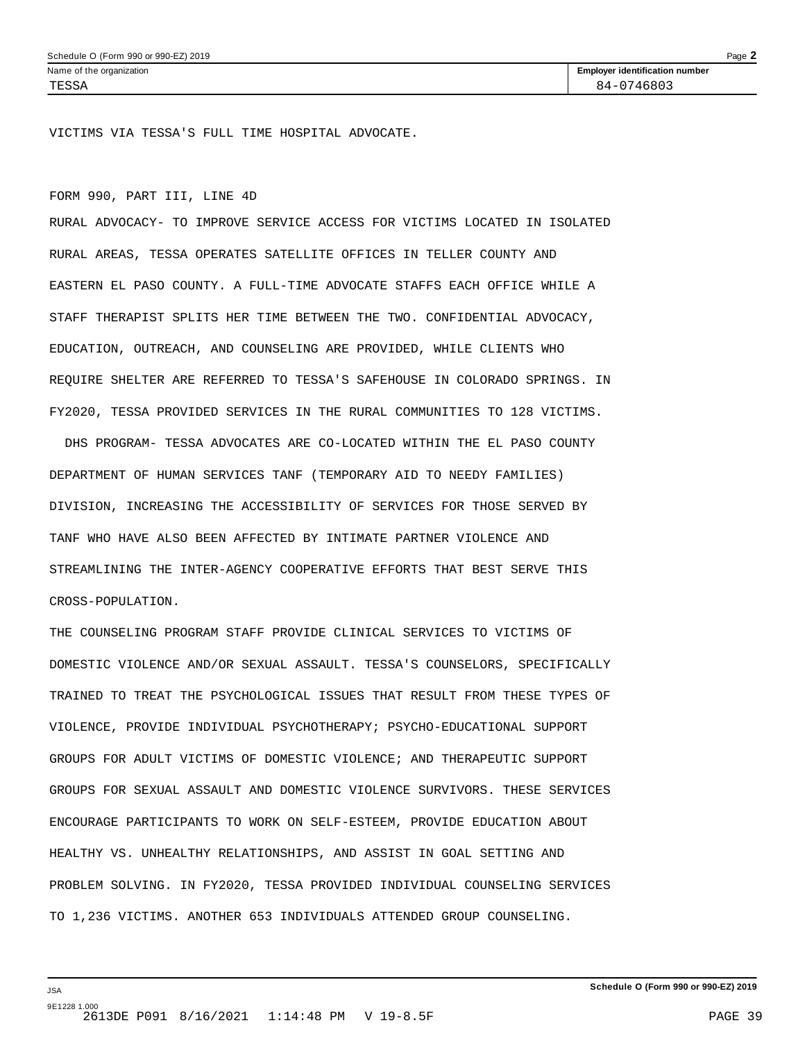VICTIMS VIA TESSA'S FULL TIME HOSPITAL ADVOCATE.

FORM 990, PART III, LINE 4D

RURAL ADVOCACY- TO IMPROVE SERVICE ACCESS FOR VICTIMS LOCATED IN ISOLATED RURAL AREAS, TESSA OPERATES SATELLITE OFFICES IN TELLER COUNTY AND EASTERN EL PASO COUNTY. A FULL-TIME ADVOCATE STAFFS EACH OFFICE WHILE A STAFF THERAPIST SPLITS HER TIME BETWEEN THE TWO. CONFIDENTIAL ADVOCACY, EDUCATION, OUTREACH, AND COUNSELING ARE PROVIDED, WHILE CLIENTS WHO REQUIRE SHELTER ARE REFERRED TO TESSA'S SAFEHOUSE IN COLORADO SPRINGS. IN FY2020, TESSA PROVIDED SERVICES IN THE RURAL COMMUNITIES TO 128 VICTIMS.

 DHS PROGRAM- TESSA ADVOCATES ARE CO-LOCATED WITHIN THE EL PASO COUNTY DEPARTMENT OF HUMAN SERVICES TANF (TEMPORARY AID TO NEEDY FAMILIES) DIVISION, INCREASING THE ACCESSIBILITY OF SERVICES FOR THOSE SERVED BY TANF WHO HAVE ALSO BEEN AFFECTED BY INTIMATE PARTNER VIOLENCE AND STREAMLINING THE INTER-AGENCY COOPERATIVE EFFORTS THAT BEST SERVE THIS CROSS-POPULATION.

THE COUNSELING PROGRAM STAFF PROVIDE CLINICAL SERVICES TO VICTIMS OF DOMESTIC VIOLENCE AND/OR SEXUAL ASSAULT. TESSA'S COUNSELORS, SPECIFICALLY TRAINED TO TREAT THE PSYCHOLOGICAL ISSUES THAT RESULT FROM THESE TYPES OF VIOLENCE, PROVIDE INDIVIDUAL PSYCHOTHERAPY; PSYCHO-EDUCATIONAL SUPPORT GROUPS FOR ADULT VICTIMS OF DOMESTIC VIOLENCE; AND THERAPEUTIC SUPPORT GROUPS FOR SEXUAL ASSAULT AND DOMESTIC VIOLENCE SURVIVORS. THESE SERVICES ENCOURAGE PARTICIPANTS TO WORK ON SELF-ESTEEM, PROVIDE EDUCATION ABOUT HEALTHY VS. UNHEALTHY RELATIONSHIPS, AND ASSIST IN GOAL SETTING AND PROBLEM SOLVING. IN FY2020, TESSA PROVIDED INDIVIDUAL COUNSELING SERVICES TO 1,236 VICTIMS. ANOTHER 653 INDIVIDUALS ATTENDED GROUP COUNSELING.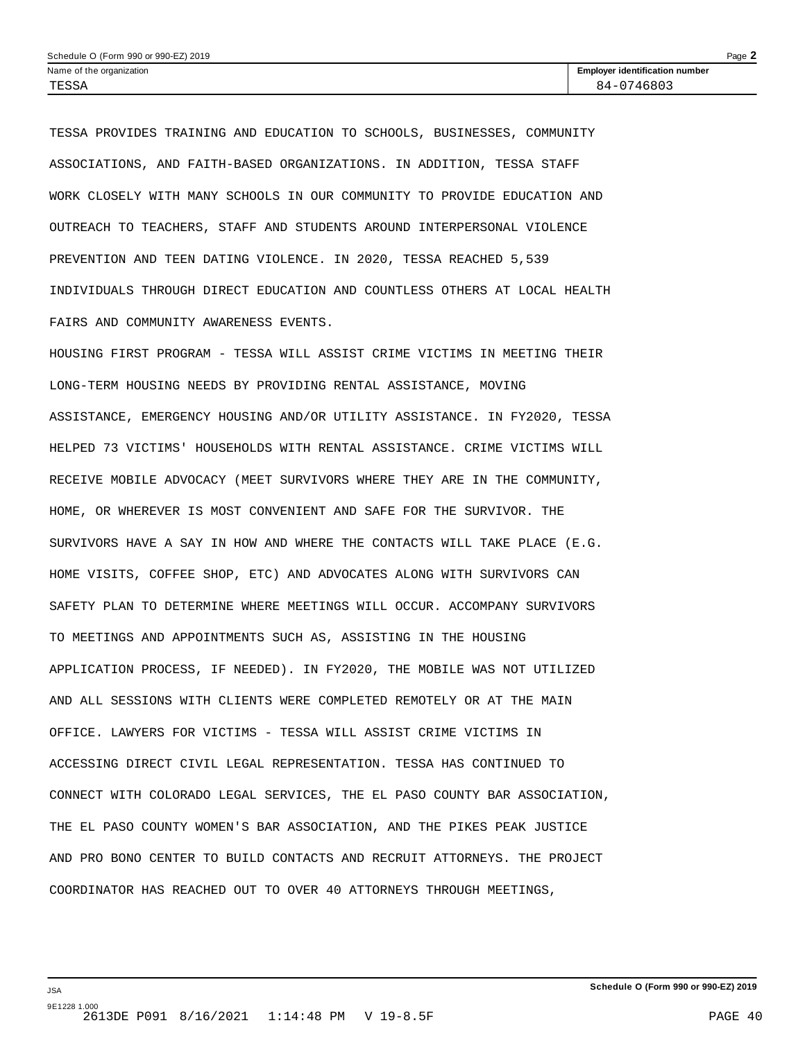TESSA PROVIDES TRAINING AND EDUCATION TO SCHOOLS, BUSINESSES, COMMUNITY ASSOCIATIONS, AND FAITH-BASED ORGANIZATIONS. IN ADDITION, TESSA STAFF WORK CLOSELY WITH MANY SCHOOLS IN OUR COMMUNITY TO PROVIDE EDUCATION AND OUTREACH TO TEACHERS, STAFF AND STUDENTS AROUND INTERPERSONAL VIOLENCE PREVENTION AND TEEN DATING VIOLENCE. IN 2020, TESSA REACHED 5,539 INDIVIDUALS THROUGH DIRECT EDUCATION AND COUNTLESS OTHERS AT LOCAL HEALTH FAIRS AND COMMUNITY AWARENESS EVENTS.

HOUSING FIRST PROGRAM - TESSA WILL ASSIST CRIME VICTIMS IN MEETING THEIR LONG-TERM HOUSING NEEDS BY PROVIDING RENTAL ASSISTANCE, MOVING ASSISTANCE, EMERGENCY HOUSING AND/OR UTILITY ASSISTANCE. IN FY2020, TESSA HELPED 73 VICTIMS' HOUSEHOLDS WITH RENTAL ASSISTANCE. CRIME VICTIMS WILL RECEIVE MOBILE ADVOCACY (MEET SURVIVORS WHERE THEY ARE IN THE COMMUNITY, HOME, OR WHEREVER IS MOST CONVENIENT AND SAFE FOR THE SURVIVOR. THE SURVIVORS HAVE A SAY IN HOW AND WHERE THE CONTACTS WILL TAKE PLACE (E.G. HOME VISITS, COFFEE SHOP, ETC) AND ADVOCATES ALONG WITH SURVIVORS CAN SAFETY PLAN TO DETERMINE WHERE MEETINGS WILL OCCUR. ACCOMPANY SURVIVORS TO MEETINGS AND APPOINTMENTS SUCH AS, ASSISTING IN THE HOUSING APPLICATION PROCESS, IF NEEDED). IN FY2020, THE MOBILE WAS NOT UTILIZED AND ALL SESSIONS WITH CLIENTS WERE COMPLETED REMOTELY OR AT THE MAIN OFFICE. LAWYERS FOR VICTIMS - TESSA WILL ASSIST CRIME VICTIMS IN ACCESSING DIRECT CIVIL LEGAL REPRESENTATION. TESSA HAS CONTINUED TO CONNECT WITH COLORADO LEGAL SERVICES, THE EL PASO COUNTY BAR ASSOCIATION, THE EL PASO COUNTY WOMEN'S BAR ASSOCIATION, AND THE PIKES PEAK JUSTICE AND PRO BONO CENTER TO BUILD CONTACTS AND RECRUIT ATTORNEYS. THE PROJECT COORDINATOR HAS REACHED OUT TO OVER 40 ATTORNEYS THROUGH MEETINGS,

JSA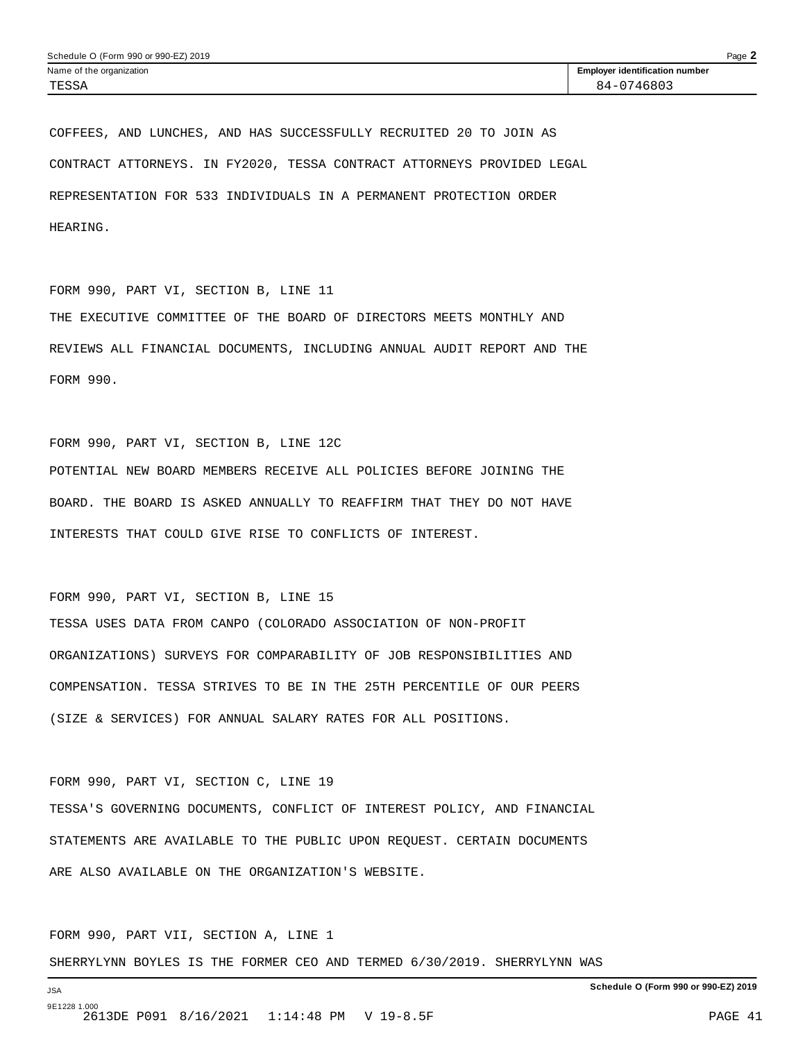COFFEES, AND LUNCHES, AND HAS SUCCESSFULLY RECRUITED 20 TO JOIN AS CONTRACT ATTORNEYS. IN FY2020, TESSA CONTRACT ATTORNEYS PROVIDED LEGAL REPRESENTATION FOR 533 INDIVIDUALS IN A PERMANENT PROTECTION ORDER HEARING.

FORM 990, PART VI, SECTION B, LINE 11 THE EXECUTIVE COMMITTEE OF THE BOARD OF DIRECTORS MEETS MONTHLY AND REVIEWS ALL FINANCIAL DOCUMENTS, INCLUDING ANNUAL AUDIT REPORT AND THE FORM 990.

FORM 990, PART VI, SECTION B, LINE 12C POTENTIAL NEW BOARD MEMBERS RECEIVE ALL POLICIES BEFORE JOINING THE BOARD. THE BOARD IS ASKED ANNUALLY TO REAFFIRM THAT THEY DO NOT HAVE INTERESTS THAT COULD GIVE RISE TO CONFLICTS OF INTEREST.

FORM 990, PART VI, SECTION B, LINE 15 TESSA USES DATA FROM CANPO (COLORADO ASSOCIATION OF NON-PROFIT ORGANIZATIONS) SURVEYS FOR COMPARABILITY OF JOB RESPONSIBILITIES AND COMPENSATION. TESSA STRIVES TO BE IN THE 25TH PERCENTILE OF OUR PEERS (SIZE & SERVICES) FOR ANNUAL SALARY RATES FOR ALL POSITIONS.

FORM 990, PART VI, SECTION C, LINE 19 TESSA'S GOVERNING DOCUMENTS, CONFLICT OF INTEREST POLICY, AND FINANCIAL STATEMENTS ARE AVAILABLE TO THE PUBLIC UPON REQUEST. CERTAIN DOCUMENTS ARE ALSO AVAILABLE ON THE ORGANIZATION'S WEBSITE.

FORM 990, PART VII, SECTION A, LINE 1 SHERRYLYNN BOYLES IS THE FORMER CEO AND TERMED 6/30/2019. SHERRYLYNN WAS